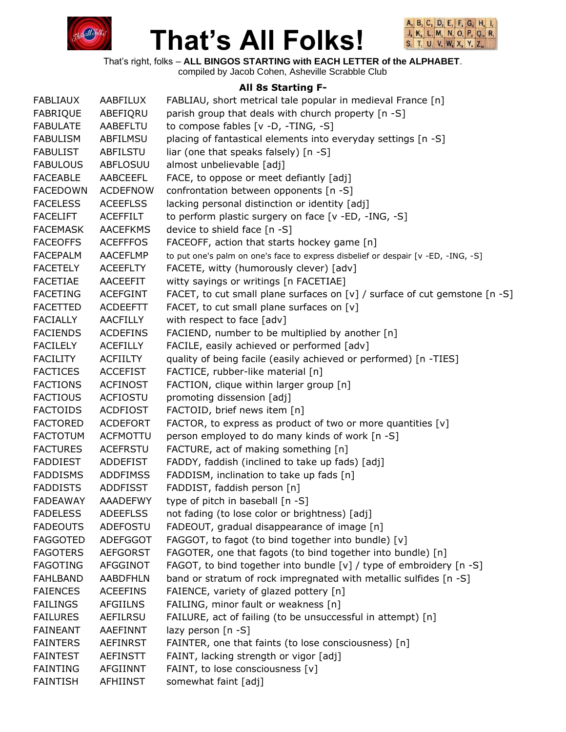



That's right, folks – **ALL BINGOS STARTING with EACH LETTER of the ALPHABET**.

#### compiled by Jacob Cohen, Asheville Scrabble Club

#### **All 8s Starting F-**

| <b>FABLIAUX</b> | AABFILUX        | FABLIAU, short metrical tale popular in medieval France [n]                       |
|-----------------|-----------------|-----------------------------------------------------------------------------------|
| <b>FABRIQUE</b> | ABEFIQRU        | parish group that deals with church property [n -S]                               |
| <b>FABULATE</b> | AABEFLTU        | to compose fables [v -D, -TING, -S]                                               |
| <b>FABULISM</b> | ABFILMSU        | placing of fantastical elements into everyday settings [n -S]                     |
| <b>FABULIST</b> | ABFILSTU        | liar (one that speaks falsely) [n -S]                                             |
| <b>FABULOUS</b> | ABFLOSUU        | almost unbelievable [adj]                                                         |
| <b>FACEABLE</b> | AABCEEFL        | FACE, to oppose or meet defiantly [adj]                                           |
| <b>FACEDOWN</b> | <b>ACDEFNOW</b> | confrontation between opponents [n -S]                                            |
| <b>FACELESS</b> | <b>ACEEFLSS</b> | lacking personal distinction or identity [adj]                                    |
| <b>FACELIFT</b> | <b>ACEFFILT</b> | to perform plastic surgery on face [v -ED, -ING, -S]                              |
| <b>FACEMASK</b> | <b>AACEFKMS</b> | device to shield face [n -S]                                                      |
| <b>FACEOFFS</b> | <b>ACEFFFOS</b> | FACEOFF, action that starts hockey game [n]                                       |
| <b>FACEPALM</b> | <b>AACEFLMP</b> | to put one's palm on one's face to express disbelief or despair [v -ED, -ING, -S] |
| <b>FACETELY</b> | <b>ACEEFLTY</b> | FACETE, witty (humorously clever) [adv]                                           |
| FACETIAE        | AACEEFIT        | witty sayings or writings [n FACETIAE]                                            |
| <b>FACETING</b> | <b>ACEFGINT</b> | FACET, to cut small plane surfaces on [v] / surface of cut gemstone [n -S]        |
| <b>FACETTED</b> | <b>ACDEEFTT</b> | FACET, to cut small plane surfaces on [v]                                         |
| <b>FACIALLY</b> | AACFILLY        | with respect to face [adv]                                                        |
| <b>FACIENDS</b> | <b>ACDEFINS</b> | FACIEND, number to be multiplied by another [n]                                   |
| <b>FACILELY</b> | <b>ACEFILLY</b> | FACILE, easily achieved or performed [adv]                                        |
| <b>FACILITY</b> | <b>ACFIILTY</b> | quality of being facile (easily achieved or performed) [n -TIES]                  |
| <b>FACTICES</b> | <b>ACCEFIST</b> | FACTICE, rubber-like material [n]                                                 |
| <b>FACTIONS</b> | <b>ACFINOST</b> | FACTION, clique within larger group [n]                                           |
| <b>FACTIOUS</b> | <b>ACFIOSTU</b> | promoting dissension [adj]                                                        |
| <b>FACTOIDS</b> | <b>ACDFIOST</b> | FACTOID, brief news item [n]                                                      |
| <b>FACTORED</b> | <b>ACDEFORT</b> | FACTOR, to express as product of two or more quantities [v]                       |
| <b>FACTOTUM</b> | <b>ACFMOTTU</b> | person employed to do many kinds of work [n -S]                                   |
| <b>FACTURES</b> | <b>ACEFRSTU</b> | FACTURE, act of making something [n]                                              |
| <b>FADDIEST</b> | ADDEFIST        | FADDY, faddish (inclined to take up fads) [adj]                                   |
| <b>FADDISMS</b> | <b>ADDFIMSS</b> | FADDISM, inclination to take up fads [n]                                          |
| <b>FADDISTS</b> | <b>ADDFISST</b> | FADDIST, faddish person [n]                                                       |
| <b>FADEAWAY</b> | <b>AAADEFWY</b> | type of pitch in baseball [n -S]                                                  |
| <b>FADELESS</b> | <b>ADEEFLSS</b> | not fading (to lose color or brightness) [adj]                                    |
| <b>FADEOUTS</b> | ADEFOSTU        | FADEOUT, gradual disappearance of image [n]                                       |
| <b>FAGGOTED</b> | <b>ADEFGGOT</b> | FAGGOT, to fagot (to bind together into bundle) [v]                               |
| <b>FAGOTERS</b> | <b>AEFGORST</b> | FAGOTER, one that fagots (to bind together into bundle) [n]                       |
| <b>FAGOTING</b> | AFGGINOT        | FAGOT, to bind together into bundle [v] / type of embroidery [n -S]               |
| <b>FAHLBAND</b> | <b>AABDFHLN</b> | band or stratum of rock impregnated with metallic sulfides [n -S]                 |
| <b>FAIENCES</b> | <b>ACEEFINS</b> | FAIENCE, variety of glazed pottery [n]                                            |
| <b>FAILINGS</b> | <b>AFGIILNS</b> | FAILING, minor fault or weakness [n]                                              |
| <b>FAILURES</b> | <b>AEFILRSU</b> | FAILURE, act of failing (to be unsuccessful in attempt) [n]                       |
| <b>FAINEANT</b> | AAEFINNT        | lazy person $[n - S]$                                                             |
| <b>FAINTERS</b> | <b>AEFINRST</b> | FAINTER, one that faints (to lose consciousness) [n]                              |
| <b>FAINTEST</b> | <b>AEFINSTT</b> | FAINT, lacking strength or vigor [adj]                                            |
| <b>FAINTING</b> | <b>AFGIINNT</b> | FAINT, to lose consciousness [v]                                                  |
| <b>FAINTISH</b> | <b>AFHIINST</b> | somewhat faint [adj]                                                              |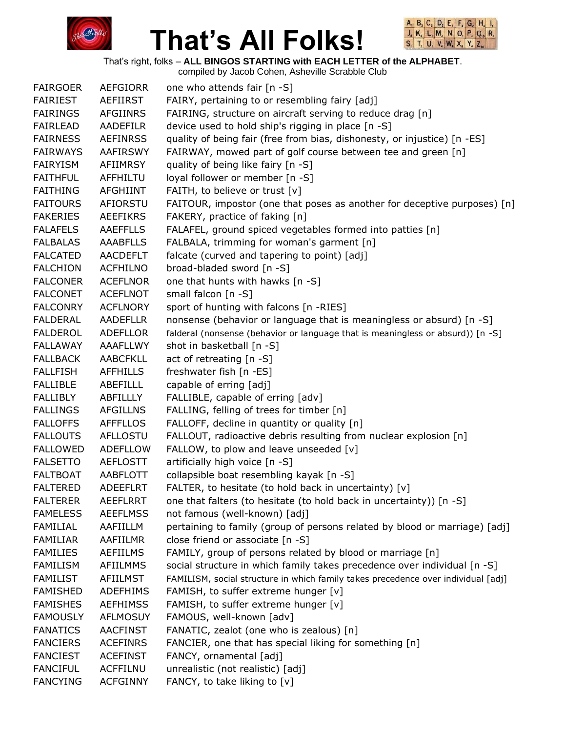



That's right, folks – **ALL BINGOS STARTING with EACH LETTER of the ALPHABET**.

| <b>FAIRGOER</b> | <b>AEFGIORR</b> | one who attends fair [n -S]                                                       |
|-----------------|-----------------|-----------------------------------------------------------------------------------|
| <b>FAIRIEST</b> | <b>AEFIIRST</b> | FAIRY, pertaining to or resembling fairy [adj]                                    |
| <b>FAIRINGS</b> | <b>AFGIINRS</b> | FAIRING, structure on aircraft serving to reduce drag [n]                         |
| <b>FAIRLEAD</b> | <b>AADEFILR</b> | device used to hold ship's rigging in place [n -S]                                |
| <b>FAIRNESS</b> | <b>AEFINRSS</b> | quality of being fair (free from bias, dishonesty, or injustice) [n -ES]          |
| <b>FAIRWAYS</b> | AAFIRSWY        | FAIRWAY, mowed part of golf course between tee and green [n]                      |
| <b>FAIRYISM</b> | AFIIMRSY        | quality of being like fairy [n -S]                                                |
| <b>FAITHFUL</b> | AFFHILTU        | loyal follower or member [n -S]                                                   |
| <b>FAITHING</b> | AFGHIINT        | FAITH, to believe or trust [v]                                                    |
| <b>FAITOURS</b> | AFIORSTU        | FAITOUR, impostor (one that poses as another for deceptive purposes) [n]          |
| <b>FAKERIES</b> | <b>AEEFIKRS</b> | FAKERY, practice of faking [n]                                                    |
| <b>FALAFELS</b> | <b>AAEFFLLS</b> | FALAFEL, ground spiced vegetables formed into patties [n]                         |
| <b>FALBALAS</b> | <b>AAABFLLS</b> | FALBALA, trimming for woman's garment [n]                                         |
| <b>FALCATED</b> | <b>AACDEFLT</b> | falcate (curved and tapering to point) [adj]                                      |
| <b>FALCHION</b> | <b>ACFHILNO</b> | broad-bladed sword [n -S]                                                         |
| <b>FALCONER</b> | <b>ACEFLNOR</b> | one that hunts with hawks [n -S]                                                  |
| <b>FALCONET</b> | <b>ACEFLNOT</b> | small falcon [n -S]                                                               |
| <b>FALCONRY</b> | <b>ACFLNORY</b> | sport of hunting with falcons [n -RIES]                                           |
| <b>FALDERAL</b> | <b>AADEFLLR</b> | nonsense (behavior or language that is meaningless or absurd) [n -S]              |
| <b>FALDEROL</b> | ADEFLLOR        | falderal (nonsense (behavior or language that is meaningless or absurd)) [n -S]   |
| <b>FALLAWAY</b> | AAAFLLWY        | shot in basketball [n -S]                                                         |
| <b>FALLBACK</b> | <b>AABCFKLL</b> | act of retreating [n -S]                                                          |
| <b>FALLFISH</b> | <b>AFFHILLS</b> | freshwater fish [n -ES]                                                           |
| <b>FALLIBLE</b> | ABEFILLL        | capable of erring [adj]                                                           |
| <b>FALLIBLY</b> | ABFILLLY        | FALLIBLE, capable of erring [adv]                                                 |
| <b>FALLINGS</b> | <b>AFGILLNS</b> | FALLING, felling of trees for timber [n]                                          |
| <b>FALLOFFS</b> | <b>AFFFLLOS</b> | FALLOFF, decline in quantity or quality [n]                                       |
| <b>FALLOUTS</b> | <b>AFLLOSTU</b> | FALLOUT, radioactive debris resulting from nuclear explosion [n]                  |
| <b>FALLOWED</b> | <b>ADEFLLOW</b> | FALLOW, to plow and leave unseeded [v]                                            |
| <b>FALSETTO</b> | <b>AEFLOSTT</b> | artificially high voice [n -S]                                                    |
| <b>FALTBOAT</b> | AABFLOTT        | collapsible boat resembling kayak [n -S]                                          |
| <b>FALTERED</b> | <b>ADEEFLRT</b> | FALTER, to hesitate (to hold back in uncertainty) [v]                             |
| <b>FALTERER</b> | <b>AEEFLRRT</b> | one that falters (to hesitate (to hold back in uncertainty)) [n -S]               |
| <b>FAMELESS</b> | <b>AEEFLMSS</b> | not famous (well-known) [adj]                                                     |
| <b>FAMILIAL</b> | AAFIILLM        | pertaining to family (group of persons related by blood or marriage) [adj]        |
| <b>FAMILIAR</b> | AAFIILMR        | close friend or associate [n -S]                                                  |
| <b>FAMILIES</b> | <b>AEFIILMS</b> | FAMILY, group of persons related by blood or marriage [n]                         |
| <b>FAMILISM</b> | <b>AFIILMMS</b> | social structure in which family takes precedence over individual [n -S]          |
| <b>FAMILIST</b> | <b>AFIILMST</b> | FAMILISM, social structure in which family takes precedence over individual [adj] |
| <b>FAMISHED</b> | <b>ADEFHIMS</b> | FAMISH, to suffer extreme hunger [v]                                              |
| <b>FAMISHES</b> | <b>AEFHIMSS</b> | FAMISH, to suffer extreme hunger [v]                                              |
| <b>FAMOUSLY</b> | <b>AFLMOSUY</b> | FAMOUS, well-known [adv]                                                          |
| <b>FANATICS</b> | <b>AACFINST</b> | FANATIC, zealot (one who is zealous) [n]                                          |
| <b>FANCIERS</b> | <b>ACEFINRS</b> | FANCIER, one that has special liking for something [n]                            |
| <b>FANCIEST</b> | <b>ACEFINST</b> | FANCY, ornamental [adj]                                                           |
| <b>FANCIFUL</b> | <b>ACFFILNU</b> | unrealistic (not realistic) [adj]                                                 |
| <b>FANCYING</b> | <b>ACFGINNY</b> | FANCY, to take liking to [v]                                                      |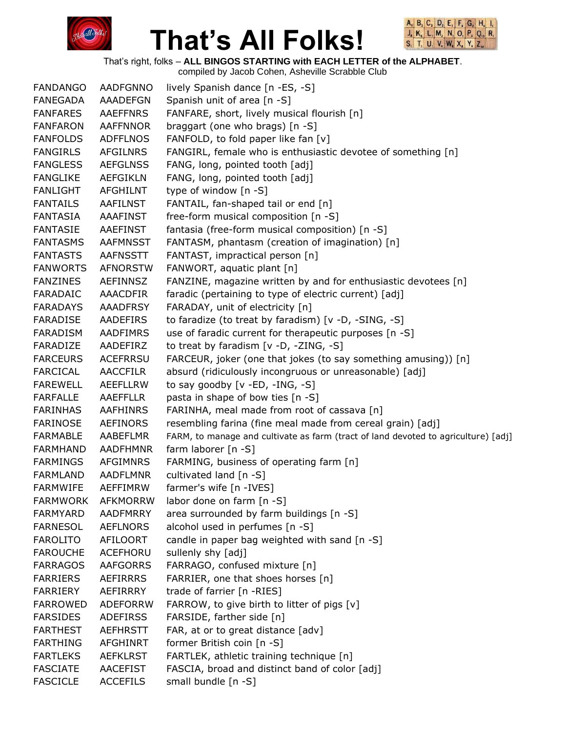



That's right, folks – **ALL BINGOS STARTING with EACH LETTER of the ALPHABET**.

| <b>FANDANGO</b> | <b>AADFGNNO</b> | lively Spanish dance [n -ES, -S]                                                   |
|-----------------|-----------------|------------------------------------------------------------------------------------|
| FANEGADA        | <b>AAADEFGN</b> | Spanish unit of area [n -S]                                                        |
| <b>FANFARES</b> | <b>AAEFFNRS</b> | FANFARE, short, lively musical flourish [n]                                        |
| <b>FANFARON</b> | <b>AAFFNNOR</b> | braggart (one who brags) [n -S]                                                    |
| <b>FANFOLDS</b> | <b>ADFFLNOS</b> | FANFOLD, to fold paper like fan [v]                                                |
| <b>FANGIRLS</b> | <b>AFGILNRS</b> | FANGIRL, female who is enthusiastic devotee of something [n]                       |
| <b>FANGLESS</b> | <b>AEFGLNSS</b> | FANG, long, pointed tooth [adj]                                                    |
| <b>FANGLIKE</b> | AEFGIKLN        | FANG, long, pointed tooth [adj]                                                    |
| <b>FANLIGHT</b> | <b>AFGHILNT</b> | type of window [n -S]                                                              |
| <b>FANTAILS</b> | <b>AAFILNST</b> | FANTAIL, fan-shaped tail or end [n]                                                |
| <b>FANTASIA</b> | <b>AAAFINST</b> | free-form musical composition [n -S]                                               |
| <b>FANTASIE</b> | AAEFINST        | fantasia (free-form musical composition) [n -S]                                    |
| <b>FANTASMS</b> | <b>AAFMNSST</b> | FANTASM, phantasm (creation of imagination) [n]                                    |
| <b>FANTASTS</b> | <b>AAFNSSTT</b> | FANTAST, impractical person [n]                                                    |
| <b>FANWORTS</b> | <b>AFNORSTW</b> | FANWORT, aquatic plant [n]                                                         |
| <b>FANZINES</b> | <b>AEFINNSZ</b> | FANZINE, magazine written by and for enthusiastic devotees [n]                     |
| <b>FARADAIC</b> | AAACDFIR        | faradic (pertaining to type of electric current) [adj]                             |
| <b>FARADAYS</b> | <b>AAADFRSY</b> | FARADAY, unit of electricity [n]                                                   |
| <b>FARADISE</b> | AADEFIRS        | to faradize (to treat by faradism) [v -D, -SING, -S]                               |
| <b>FARADISM</b> | AADFIMRS        | use of faradic current for therapeutic purposes [n -S]                             |
| FARADIZE        | AADEFIRZ        | to treat by faradism $[v -D, -ZING, -S]$                                           |
| <b>FARCEURS</b> | <b>ACEFRRSU</b> | FARCEUR, joker (one that jokes (to say something amusing)) [n]                     |
| <b>FARCICAL</b> | <b>AACCFILR</b> | absurd (ridiculously incongruous or unreasonable) [adj]                            |
| <b>FAREWELL</b> | <b>AEEFLLRW</b> | to say goodby $[v - ED, -ING, -S]$                                                 |
| <b>FARFALLE</b> | <b>AAEFFLLR</b> | pasta in shape of bow ties [n -S]                                                  |
| <b>FARINHAS</b> | AAFHINRS        | FARINHA, meal made from root of cassava [n]                                        |
| <b>FARINOSE</b> | AEFINORS        | resembling farina (fine meal made from cereal grain) [adj]                         |
| <b>FARMABLE</b> | AABEFLMR        | FARM, to manage and cultivate as farm (tract of land devoted to agriculture) [adj] |
| <b>FARMHAND</b> | <b>AADFHMNR</b> | farm laborer $[n -S]$                                                              |
| <b>FARMINGS</b> | <b>AFGIMNRS</b> | FARMING, business of operating farm [n]                                            |
| <b>FARMLAND</b> | <b>AADFLMNR</b> | cultivated land [n -S]                                                             |
| <b>FARMWIFE</b> | <b>AEFFIMRW</b> | farmer's wife [n -IVES]                                                            |
| <b>FARMWORK</b> | <b>AFKMORRW</b> | labor done on farm [n -S]                                                          |
| <b>FARMYARD</b> | <b>AADFMRRY</b> | area surrounded by farm buildings [n -S]                                           |
| <b>FARNESOL</b> | <b>AEFLNORS</b> | alcohol used in perfumes [n -S]                                                    |
| <b>FAROLITO</b> | AFILOORT        | candle in paper bag weighted with sand [n -S]                                      |
| <b>FAROUCHE</b> | ACEFHORU        | sullenly shy [adj]                                                                 |
| <b>FARRAGOS</b> | <b>AAFGORRS</b> | FARRAGO, confused mixture [n]                                                      |
| <b>FARRIERS</b> | <b>AEFIRRRS</b> | FARRIER, one that shoes horses [n]                                                 |
| <b>FARRIERY</b> | AEFIRRRY        | trade of farrier [n -RIES]                                                         |
| <b>FARROWED</b> | ADEFORRW        | FARROW, to give birth to litter of pigs [v]                                        |
| <b>FARSIDES</b> | <b>ADEFIRSS</b> | FARSIDE, farther side [n]                                                          |
| <b>FARTHEST</b> | <b>AEFHRSTT</b> | FAR, at or to great distance [adv]                                                 |
| <b>FARTHING</b> | AFGHINRT        | former British coin [n -S]                                                         |
| <b>FARTLEKS</b> | <b>AEFKLRST</b> | FARTLEK, athletic training technique [n]                                           |
| <b>FASCIATE</b> | <b>AACEFIST</b> | FASCIA, broad and distinct band of color [adj]                                     |
| <b>FASCICLE</b> | <b>ACCEFILS</b> | small bundle [n -S]                                                                |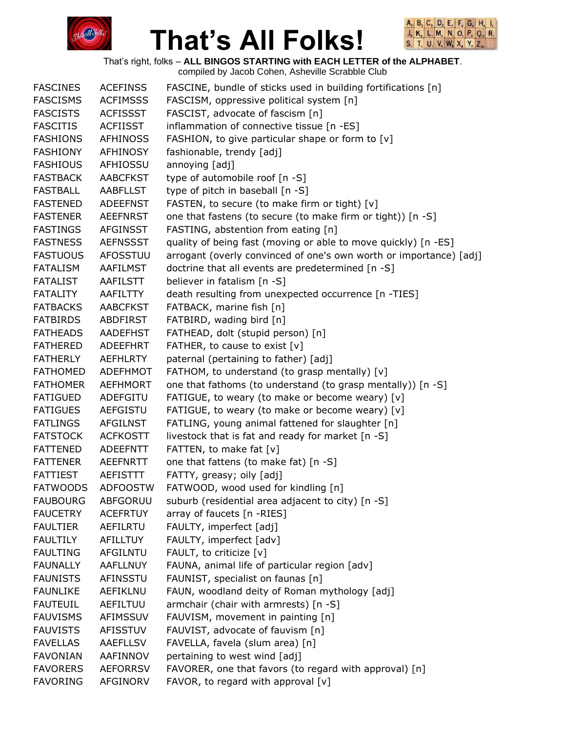



That's right, folks – **ALL BINGOS STARTING with EACH LETTER of the ALPHABET**.

| <b>FASCINES</b> | <b>ACEFINSS</b> | FASCINE, bundle of sticks used in building fortifications [n]      |
|-----------------|-----------------|--------------------------------------------------------------------|
| <b>FASCISMS</b> | <b>ACFIMSSS</b> | FASCISM, oppressive political system [n]                           |
| <b>FASCISTS</b> | <b>ACFISSST</b> | FASCIST, advocate of fascism [n]                                   |
| <b>FASCITIS</b> | <b>ACFIISST</b> | inflammation of connective tissue [n -ES]                          |
| <b>FASHIONS</b> | <b>AFHINOSS</b> | FASHION, to give particular shape or form to [v]                   |
| <b>FASHIONY</b> | <b>AFHINOSY</b> | fashionable, trendy [adj]                                          |
| <b>FASHIOUS</b> | AFHIOSSU        | annoying [adj]                                                     |
| <b>FASTBACK</b> | <b>AABCFKST</b> | type of automobile roof [n -S]                                     |
| <b>FASTBALL</b> | <b>AABFLLST</b> | type of pitch in baseball [n -S]                                   |
| <b>FASTENED</b> | <b>ADEEFNST</b> | FASTEN, to secure (to make firm or tight) [v]                      |
| <b>FASTENER</b> | <b>AEEFNRST</b> | one that fastens (to secure (to make firm or tight)) [n -S]        |
| <b>FASTINGS</b> | <b>AFGINSST</b> | FASTING, abstention from eating [n]                                |
| <b>FASTNESS</b> | <b>AEFNSSST</b> | quality of being fast (moving or able to move quickly) [n -ES]     |
| <b>FASTUOUS</b> | <b>AFOSSTUU</b> | arrogant (overly convinced of one's own worth or importance) [adj] |
| <b>FATALISM</b> | AAFILMST        | doctrine that all events are predetermined [n -S]                  |
| <b>FATALIST</b> | AAFILSTT        | believer in fatalism [n -S]                                        |
| <b>FATALITY</b> | AAFILTTY        | death resulting from unexpected occurrence [n -TIES]               |
| <b>FATBACKS</b> | <b>AABCFKST</b> | FATBACK, marine fish [n]                                           |
| <b>FATBIRDS</b> | ABDFIRST        | FATBIRD, wading bird [n]                                           |
| <b>FATHEADS</b> | <b>AADEFHST</b> | FATHEAD, dolt (stupid person) [n]                                  |
| <b>FATHERED</b> | <b>ADEEFHRT</b> | FATHER, to cause to exist [v]                                      |
| <b>FATHERLY</b> | <b>AEFHLRTY</b> | paternal (pertaining to father) [adj]                              |
| <b>FATHOMED</b> | <b>ADEFHMOT</b> | FATHOM, to understand (to grasp mentally) [v]                      |
| <b>FATHOMER</b> | <b>AEFHMORT</b> | one that fathoms (to understand (to grasp mentally)) [n -S]        |
| <b>FATIGUED</b> | ADEFGITU        | FATIGUE, to weary (to make or become weary) [v]                    |
| <b>FATIGUES</b> | <b>AEFGISTU</b> | FATIGUE, to weary (to make or become weary) [v]                    |
| <b>FATLINGS</b> | <b>AFGILNST</b> | FATLING, young animal fattened for slaughter [n]                   |
| <b>FATSTOCK</b> | <b>ACFKOSTT</b> | livestock that is fat and ready for market [n -S]                  |
| <b>FATTENED</b> | <b>ADEEFNTT</b> | FATTEN, to make fat [v]                                            |
| <b>FATTENER</b> | <b>AEEFNRTT</b> | one that fattens (to make fat) [n -S]                              |
| <b>FATTIEST</b> | <b>AEFISTTT</b> | FATTY, greasy; oily [adj]                                          |
| <b>FATWOODS</b> | <b>ADFOOSTW</b> | FATWOOD, wood used for kindling [n]                                |
| <b>FAUBOURG</b> | <b>ABFGORUU</b> | suburb (residential area adjacent to city) [n -S]                  |
| <b>FAUCETRY</b> | <b>ACEFRTUY</b> | array of faucets [n -RIES]                                         |
| <b>FAULTIER</b> | <b>AEFILRTU</b> | FAULTY, imperfect [adj]                                            |
| <b>FAULTILY</b> | AFILLTUY        | FAULTY, imperfect [adv]                                            |
| <b>FAULTING</b> | <b>AFGILNTU</b> | FAULT, to criticize [v]                                            |
| <b>FAUNALLY</b> | <b>AAFLLNUY</b> | FAUNA, animal life of particular region [adv]                      |
| <b>FAUNISTS</b> | <b>AFINSSTU</b> | FAUNIST, specialist on faunas [n]                                  |
| <b>FAUNLIKE</b> | AEFIKLNU        | FAUN, woodland deity of Roman mythology [adj]                      |
| <b>FAUTEUIL</b> | AEFILTUU        | armchair (chair with armrests) [n -S]                              |
| <b>FAUVISMS</b> | AFIMSSUV        | FAUVISM, movement in painting [n]                                  |
| <b>FAUVISTS</b> | <b>AFISSTUV</b> | FAUVIST, advocate of fauvism [n]                                   |
| <b>FAVELLAS</b> | <b>AAEFLLSV</b> | FAVELLA, favela (slum area) [n]                                    |
| <b>FAVONIAN</b> | AAFINNOV        | pertaining to west wind [adj]                                      |
| <b>FAVORERS</b> | <b>AEFORRSV</b> | FAVORER, one that favors (to regard with approval) [n]             |
| <b>FAVORING</b> | AFGINORV        | FAVOR, to regard with approval [v]                                 |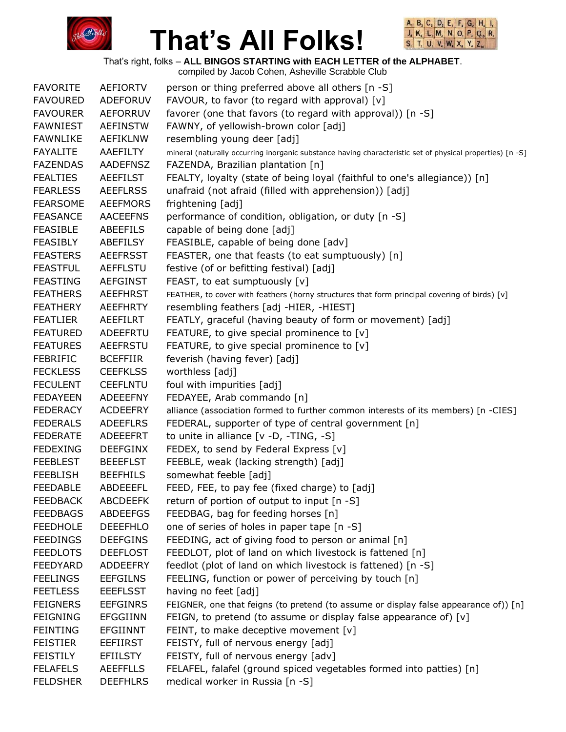



That's right, folks – **ALL BINGOS STARTING with EACH LETTER of the ALPHABET**.

| <b>FAVORITE</b> | <b>AEFIORTV</b> | person or thing preferred above all others [n -S]                                                         |
|-----------------|-----------------|-----------------------------------------------------------------------------------------------------------|
| <b>FAVOURED</b> | ADEFORUV        | FAVOUR, to favor (to regard with approval) [v]                                                            |
| <b>FAVOURER</b> | <b>AEFORRUV</b> | favorer (one that favors (to regard with approval)) [n -S]                                                |
| <b>FAWNIEST</b> | <b>AEFINSTW</b> | FAWNY, of yellowish-brown color [adj]                                                                     |
| <b>FAWNLIKE</b> | <b>AEFIKLNW</b> | resembling young deer [adj]                                                                               |
| <b>FAYALITE</b> | AAEFILTY        | mineral (naturally occurring inorganic substance having characteristic set of physical properties) [n -S] |
| <b>FAZENDAS</b> | <b>AADEFNSZ</b> | FAZENDA, Brazilian plantation [n]                                                                         |
| <b>FEALTIES</b> | <b>AEEFILST</b> | FEALTY, loyalty (state of being loyal (faithful to one's allegiance)) [n]                                 |
| <b>FEARLESS</b> | <b>AEEFLRSS</b> | unafraid (not afraid (filled with apprehension)) [adj]                                                    |
| <b>FEARSOME</b> | <b>AEEFMORS</b> | frightening [adj]                                                                                         |
| <b>FEASANCE</b> | <b>AACEEFNS</b> | performance of condition, obligation, or duty [n -S]                                                      |
| <b>FEASIBLE</b> | ABEEFILS        | capable of being done [adj]                                                                               |
| <b>FEASIBLY</b> | <b>ABEFILSY</b> | FEASIBLE, capable of being done [adv]                                                                     |
| <b>FEASTERS</b> | <b>AEEFRSST</b> | FEASTER, one that feasts (to eat sumptuously) [n]                                                         |
| <b>FEASTFUL</b> | <b>AEFFLSTU</b> | festive (of or befitting festival) [adj]                                                                  |
| <b>FEASTING</b> | <b>AEFGINST</b> | FEAST, to eat sumptuously [v]                                                                             |
| <b>FEATHERS</b> | <b>AEEFHRST</b> | FEATHER, to cover with feathers (horny structures that form principal covering of birds) [v]              |
| <b>FEATHERY</b> | <b>AEEFHRTY</b> | resembling feathers [adj -HIER, -HIEST]                                                                   |
| <b>FEATLIER</b> | AEEFILRT        | FEATLY, graceful (having beauty of form or movement) [adj]                                                |
| <b>FEATURED</b> | ADEEFRTU        | FEATURE, to give special prominence to [v]                                                                |
| <b>FEATURES</b> | AEEFRSTU        | FEATURE, to give special prominence to [v]                                                                |
| <b>FEBRIFIC</b> | <b>BCEFFIIR</b> | feverish (having fever) [adj]                                                                             |
| <b>FECKLESS</b> | <b>CEEFKLSS</b> | worthless [adj]                                                                                           |
| <b>FECULENT</b> | <b>CEEFLNTU</b> | foul with impurities [adj]                                                                                |
| <b>FEDAYEEN</b> | <b>ADEEEFNY</b> | FEDAYEE, Arab commando [n]                                                                                |
| <b>FEDERACY</b> | <b>ACDEEFRY</b> | alliance (association formed to further common interests of its members) [n -CIES]                        |
| <b>FEDERALS</b> | <b>ADEEFLRS</b> | FEDERAL, supporter of type of central government [n]                                                      |
| <b>FEDERATE</b> | ADEEEFRT        | to unite in alliance $[v -D, -TING, -S]$                                                                  |
| <b>FEDEXING</b> | <b>DEEFGINX</b> | FEDEX, to send by Federal Express [v]                                                                     |
| <b>FEEBLEST</b> | <b>BEEEFLST</b> | FEEBLE, weak (lacking strength) [adj]                                                                     |
| <b>FEEBLISH</b> | <b>BEEFHILS</b> | somewhat feeble [adj]                                                                                     |
| <b>FEEDABLE</b> | ABDEEEFL        | FEED, FEE, to pay fee (fixed charge) to [adj]                                                             |
| <b>FEEDBACK</b> | <b>ABCDEEFK</b> | return of portion of output to input [n -S]                                                               |
| <b>FEEDBAGS</b> | <b>ABDEEFGS</b> | FEEDBAG, bag for feeding horses [n]                                                                       |
| <b>FEEDHOLE</b> | <b>DEEEFHLO</b> | one of series of holes in paper tape [n -S]                                                               |
| <b>FEEDINGS</b> | <b>DEEFGINS</b> | FEEDING, act of giving food to person or animal [n]                                                       |
| <b>FEEDLOTS</b> | <b>DEEFLOST</b> | FEEDLOT, plot of land on which livestock is fattened [n]                                                  |
| <b>FEEDYARD</b> | ADDEEFRY        | feedlot (plot of land on which livestock is fattened) [n -S]                                              |
| <b>FEELINGS</b> | <b>EEFGILNS</b> | FEELING, function or power of perceiving by touch [n]                                                     |
| <b>FEETLESS</b> | <b>EEEFLSST</b> | having no feet [adj]                                                                                      |
| <b>FEIGNERS</b> | <b>EEFGINRS</b> | FEIGNER, one that feigns (to pretend (to assume or display false appearance of)) [n]                      |
| <b>FEIGNING</b> | <b>EFGGIINN</b> | FEIGN, to pretend (to assume or display false appearance of) [v]                                          |
| <b>FEINTING</b> | <b>EFGIINNT</b> | FEINT, to make deceptive movement [v]                                                                     |
| <b>FEISTIER</b> | <b>EEFIIRST</b> | FEISTY, full of nervous energy [adj]                                                                      |
| <b>FEISTILY</b> | <b>EFIILSTY</b> | FEISTY, full of nervous energy [adv]                                                                      |
| <b>FELAFELS</b> | <b>AEEFFLLS</b> | FELAFEL, falafel (ground spiced vegetables formed into patties) [n]                                       |
| <b>FELDSHER</b> | <b>DEEFHLRS</b> | medical worker in Russia [n -S]                                                                           |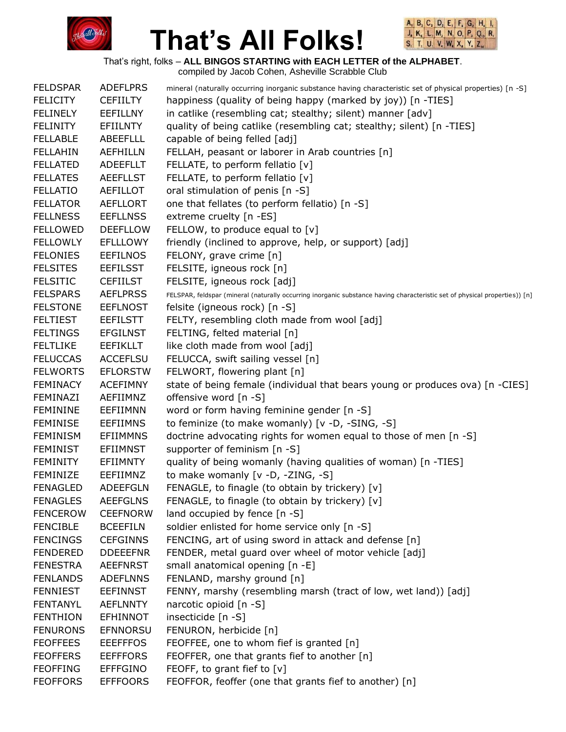



That's right, folks – **ALL BINGOS STARTING with EACH LETTER of the ALPHABET**.

| <b>FELDSPAR</b> | <b>ADEFLPRS</b> | mineral (naturally occurring inorganic substance having characteristic set of physical properties) [n -S]                  |
|-----------------|-----------------|----------------------------------------------------------------------------------------------------------------------------|
| <b>FELICITY</b> | <b>CEFIILTY</b> | happiness (quality of being happy (marked by joy)) [n -TIES]                                                               |
| <b>FELINELY</b> | <b>EEFILLNY</b> | in catlike (resembling cat; stealthy; silent) manner [adv]                                                                 |
| <b>FELINITY</b> | EFIILNTY        | quality of being catlike (resembling cat; stealthy; silent) [n -TIES]                                                      |
| <b>FELLABLE</b> | <b>ABEEFLLL</b> | capable of being felled [adj]                                                                                              |
| <b>FELLAHIN</b> | <b>AEFHILLN</b> | FELLAH, peasant or laborer in Arab countries [n]                                                                           |
| <b>FELLATED</b> | <b>ADEEFLLT</b> | FELLATE, to perform fellatio [v]                                                                                           |
| <b>FELLATES</b> | <b>AEEFLLST</b> | FELLATE, to perform fellatio [v]                                                                                           |
| <b>FELLATIO</b> | <b>AEFILLOT</b> | oral stimulation of penis [n -S]                                                                                           |
| <b>FELLATOR</b> | <b>AEFLLORT</b> | one that fellates (to perform fellatio) [n -S]                                                                             |
| <b>FELLNESS</b> | <b>EEFLLNSS</b> | extreme cruelty [n -ES]                                                                                                    |
| <b>FELLOWED</b> | <b>DEEFLLOW</b> | FELLOW, to produce equal to [v]                                                                                            |
| <b>FELLOWLY</b> | <b>EFLLLOWY</b> | friendly (inclined to approve, help, or support) [adj]                                                                     |
| <b>FELONIES</b> | <b>EEFILNOS</b> | FELONY, grave crime [n]                                                                                                    |
| <b>FELSITES</b> | <b>EEFILSST</b> | FELSITE, igneous rock [n]                                                                                                  |
| <b>FELSITIC</b> | <b>CEFIILST</b> | FELSITE, igneous rock [adj]                                                                                                |
| <b>FELSPARS</b> | <b>AEFLPRSS</b> | FELSPAR, feldspar (mineral (naturally occurring inorganic substance having characteristic set of physical properties)) [n] |
| <b>FELSTONE</b> | <b>EEFLNOST</b> | felsite (igneous rock) [n -S]                                                                                              |
| <b>FELTIEST</b> | <b>EEFILSTT</b> | FELTY, resembling cloth made from wool [adj]                                                                               |
| <b>FELTINGS</b> | <b>EFGILNST</b> | FELTING, felted material [n]                                                                                               |
| <b>FELTLIKE</b> | <b>EEFIKLLT</b> | like cloth made from wool [adj]                                                                                            |
| <b>FELUCCAS</b> | <b>ACCEFLSU</b> | FELUCCA, swift sailing vessel [n]                                                                                          |
| <b>FELWORTS</b> | <b>EFLORSTW</b> | FELWORT, flowering plant [n]                                                                                               |
| <b>FEMINACY</b> | <b>ACEFIMNY</b> | state of being female (individual that bears young or produces ova) [n -CIES]                                              |
| FEMINAZI        | AEFIIMNZ        | offensive word [n -S]                                                                                                      |
| <b>FEMININE</b> | EEFIIMNN        | word or form having feminine gender [n -S]                                                                                 |
| <b>FEMINISE</b> | <b>EEFIIMNS</b> | to feminize (to make womanly) [v -D, -SING, -S]                                                                            |
| <b>FEMINISM</b> | <b>EFIIMMNS</b> | doctrine advocating rights for women equal to those of men [n -S]                                                          |
| <b>FEMINIST</b> | <b>EFIIMNST</b> | supporter of feminism [n -S]                                                                                               |
| <b>FEMINITY</b> | <b>EFIIMNTY</b> | quality of being womanly (having qualities of woman) [n -TIES]                                                             |
| <b>FEMINIZE</b> | EEFIIMNZ        | to make womanly [v -D, -ZING, -S]                                                                                          |
| <b>FENAGLED</b> | <b>ADEEFGLN</b> | FENAGLE, to finagle (to obtain by trickery) [v]                                                                            |
| <b>FENAGLES</b> | <b>AEEFGLNS</b> | FENAGLE, to finagle (to obtain by trickery) [v]                                                                            |
| <b>FENCEROW</b> | <b>CEEFNORW</b> | land occupied by fence [n -S]                                                                                              |
| <b>FENCIBLE</b> | <b>BCEEFILN</b> | soldier enlisted for home service only [n -S]                                                                              |
| <b>FENCINGS</b> | <b>CEFGINNS</b> | FENCING, art of using sword in attack and defense [n]                                                                      |
| <b>FENDERED</b> | <b>DDEEEFNR</b> | FENDER, metal guard over wheel of motor vehicle [adj]                                                                      |
| <b>FENESTRA</b> | <b>AEEFNRST</b> | small anatomical opening [n -E]                                                                                            |
| <b>FENLANDS</b> | <b>ADEFLNNS</b> | FENLAND, marshy ground [n]                                                                                                 |
| <b>FENNIEST</b> | <b>EEFINNST</b> | FENNY, marshy (resembling marsh (tract of low, wet land)) [adj]                                                            |
| <b>FENTANYL</b> | <b>AEFLNNTY</b> | narcotic opioid [n -S]                                                                                                     |
| <b>FENTHION</b> | <b>EFHINNOT</b> | insecticide [n -S]                                                                                                         |
| <b>FENURONS</b> | <b>EFNNORSU</b> | FENURON, herbicide [n]                                                                                                     |
| <b>FEOFFEES</b> | <b>EEEFFFOS</b> | FEOFFEE, one to whom fief is granted [n]                                                                                   |
| <b>FEOFFERS</b> | <b>EEFFFORS</b> | FEOFFER, one that grants fief to another [n]                                                                               |
| <b>FEOFFING</b> | <b>EFFFGINO</b> | FEOFF, to grant fief to [v]                                                                                                |
| <b>FEOFFORS</b> | <b>EFFFOORS</b> | FEOFFOR, feoffer (one that grants fief to another) [n]                                                                     |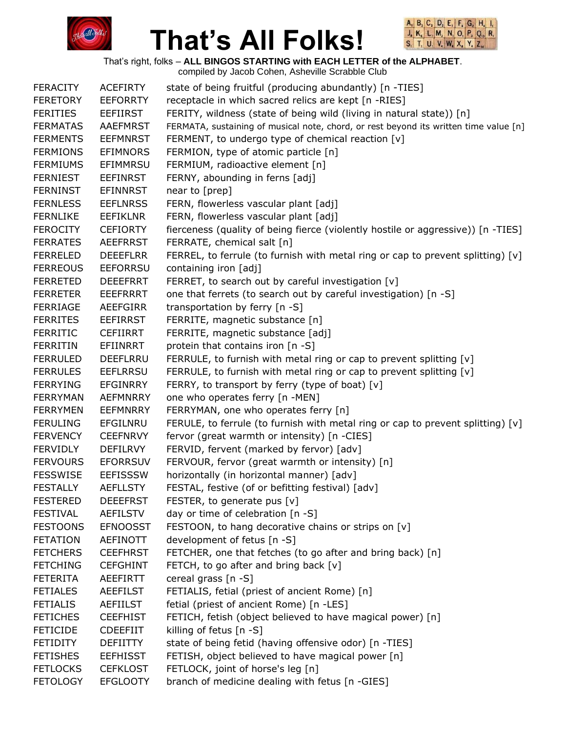



That's right, folks – **ALL BINGOS STARTING with EACH LETTER of the ALPHABET**.

| <b>FERACITY</b> | <b>ACEFIRTY</b> | state of being fruitful (producing abundantly) [n -TIES]                              |
|-----------------|-----------------|---------------------------------------------------------------------------------------|
| <b>FERETORY</b> | <b>EEFORRTY</b> | receptacle in which sacred relics are kept [n -RIES]                                  |
| <b>FERITIES</b> | <b>EEFIIRST</b> | FERITY, wildness (state of being wild (living in natural state)) [n]                  |
| <b>FERMATAS</b> | <b>AAEFMRST</b> | FERMATA, sustaining of musical note, chord, or rest beyond its written time value [n] |
| <b>FERMENTS</b> | <b>EEFMNRST</b> | FERMENT, to undergo type of chemical reaction [v]                                     |
| <b>FERMIONS</b> | <b>EFIMNORS</b> | FERMION, type of atomic particle [n]                                                  |
| <b>FERMIUMS</b> | EFIMMRSU        | FERMIUM, radioactive element [n]                                                      |
| <b>FERNIEST</b> | <b>EEFINRST</b> | FERNY, abounding in ferns [adj]                                                       |
| <b>FERNINST</b> | <b>EFINNRST</b> | near to [prep]                                                                        |
| <b>FERNLESS</b> | <b>EEFLNRSS</b> | FERN, flowerless vascular plant [adj]                                                 |
| <b>FERNLIKE</b> | <b>EEFIKLNR</b> | FERN, flowerless vascular plant [adj]                                                 |
| <b>FEROCITY</b> | <b>CEFIORTY</b> | fierceness (quality of being fierce (violently hostile or aggressive)) [n -TIES]      |
| <b>FERRATES</b> | <b>AEEFRRST</b> | FERRATE, chemical salt [n]                                                            |
| <b>FERRELED</b> | <b>DEEEFLRR</b> | FERREL, to ferrule (to furnish with metal ring or cap to prevent splitting) [v]       |
| <b>FERREOUS</b> | <b>EEFORRSU</b> | containing iron [adj]                                                                 |
| <b>FERRETED</b> | <b>DEEEFRRT</b> | FERRET, to search out by careful investigation [v]                                    |
| <b>FERRETER</b> | <b>EEEFRRRT</b> | one that ferrets (to search out by careful investigation) [n -S]                      |
| <b>FERRIAGE</b> | <b>AEEFGIRR</b> | transportation by ferry [n -S]                                                        |
| <b>FERRITES</b> | <b>EEFIRRST</b> | FERRITE, magnetic substance [n]                                                       |
| <b>FERRITIC</b> | <b>CEFIIRRT</b> | FERRITE, magnetic substance [adj]                                                     |
| <b>FERRITIN</b> | <b>EFIINRRT</b> | protein that contains iron [n -S]                                                     |
| <b>FERRULED</b> | <b>DEEFLRRU</b> | FERRULE, to furnish with metal ring or cap to prevent splitting [v]                   |
| <b>FERRULES</b> | <b>EEFLRRSU</b> | FERRULE, to furnish with metal ring or cap to prevent splitting [v]                   |
| <b>FERRYING</b> | <b>EFGINRRY</b> | FERRY, to transport by ferry (type of boat) [v]                                       |
| <b>FERRYMAN</b> | <b>AEFMNRRY</b> | one who operates ferry [n -MEN]                                                       |
| <b>FERRYMEN</b> | <b>EEFMNRRY</b> | FERRYMAN, one who operates ferry [n]                                                  |
| <b>FERULING</b> | EFGILNRU        | FERULE, to ferrule (to furnish with metal ring or cap to prevent splitting) $[v]$     |
| <b>FERVENCY</b> | <b>CEEFNRVY</b> | fervor (great warmth or intensity) [n -CIES]                                          |
| <b>FERVIDLY</b> | <b>DEFILRVY</b> | FERVID, fervent (marked by fervor) [adv]                                              |
| <b>FERVOURS</b> | <b>EFORRSUV</b> | FERVOUR, fervor (great warmth or intensity) [n]                                       |
| <b>FESSWISE</b> | <b>EEFISSSW</b> | horizontally (in horizontal manner) [adv]                                             |
| <b>FESTALLY</b> | <b>AEFLLSTY</b> | FESTAL, festive (of or befitting festival) [adv]                                      |
| <b>FESTERED</b> | <b>DEEEFRST</b> | FESTER, to generate pus $[v]$                                                         |
| <b>FESTIVAL</b> | <b>AEFILSTV</b> | day or time of celebration [n -S]                                                     |
| <b>FESTOONS</b> | <b>EFNOOSST</b> | FESTOON, to hang decorative chains or strips on [v]                                   |
| <b>FETATION</b> | <b>AEFINOTT</b> | development of fetus [n -S]                                                           |
| <b>FETCHERS</b> | <b>CEEFHRST</b> | FETCHER, one that fetches (to go after and bring back) [n]                            |
| <b>FETCHING</b> | <b>CEFGHINT</b> | FETCH, to go after and bring back [v]                                                 |
| <b>FETERITA</b> | AEEFIRTT        | cereal grass [n -S]                                                                   |
| <b>FETIALES</b> | <b>AEEFILST</b> | FETIALIS, fetial (priest of ancient Rome) [n]                                         |
| <b>FETIALIS</b> | AEFIILST        | fetial (priest of ancient Rome) [n -LES]                                              |
| <b>FETICHES</b> | <b>CEEFHIST</b> | FETICH, fetish (object believed to have magical power) [n]                            |
| <b>FETICIDE</b> | <b>CDEEFIIT</b> | killing of fetus $[n - S]$                                                            |
| <b>FETIDITY</b> | <b>DEFIITTY</b> | state of being fetid (having offensive odor) [n -TIES]                                |
| <b>FETISHES</b> | <b>EEFHISST</b> | FETISH, object believed to have magical power [n]                                     |
| <b>FETLOCKS</b> | <b>CEFKLOST</b> | FETLOCK, joint of horse's leg [n]                                                     |
| <b>FETOLOGY</b> | <b>EFGLOOTY</b> | branch of medicine dealing with fetus [n -GIES]                                       |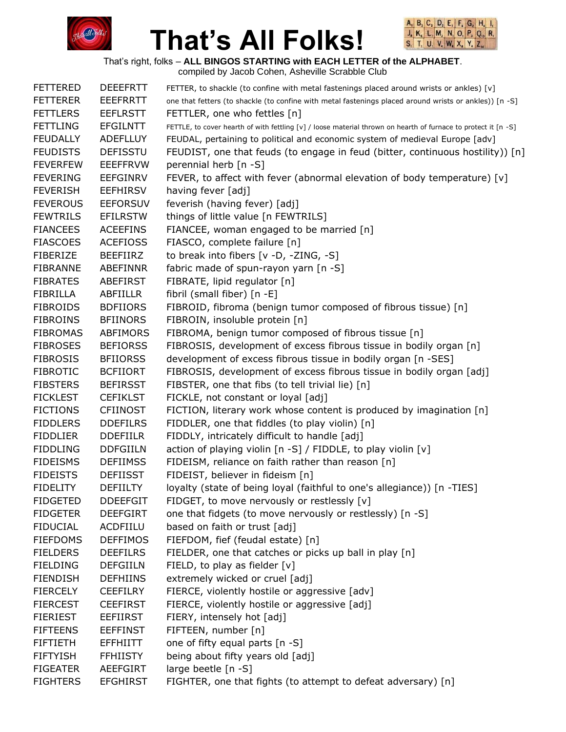



That's right, folks – **ALL BINGOS STARTING with EACH LETTER of the ALPHABET**.

| <b>FETTERED</b> | <b>DEEEFRTT</b> | FETTER, to shackle (to confine with metal fastenings placed around wrists or ankles) [v]                       |
|-----------------|-----------------|----------------------------------------------------------------------------------------------------------------|
| <b>FETTERER</b> | <b>EEEFRRTT</b> | one that fetters (to shackle (to confine with metal fastenings placed around wrists or ankles)) [n -S]         |
| <b>FETTLERS</b> | <b>EEFLRSTT</b> | FETTLER, one who fettles [n]                                                                                   |
| <b>FETTLING</b> | <b>EFGILNTT</b> | FETTLE, to cover hearth of with fettling [v] / loose material thrown on hearth of furnace to protect it [n -S] |
| <b>FEUDALLY</b> | <b>ADEFLLUY</b> | FEUDAL, pertaining to political and economic system of medieval Europe [adv]                                   |
| <b>FEUDISTS</b> | <b>DEFISSTU</b> | FEUDIST, one that feuds (to engage in feud (bitter, continuous hostility)) [n]                                 |
| <b>FEVERFEW</b> | <b>EEEFFRVW</b> | perennial herb [n -S]                                                                                          |
| <b>FEVERING</b> | <b>EEFGINRV</b> | FEVER, to affect with fever (abnormal elevation of body temperature) $[v]$                                     |
| <b>FEVERISH</b> | <b>EEFHIRSV</b> | having fever [adj]                                                                                             |
| <b>FEVEROUS</b> | <b>EEFORSUV</b> | feverish (having fever) [adj]                                                                                  |
| <b>FEWTRILS</b> | <b>EFILRSTW</b> | things of little value [n FEWTRILS]                                                                            |
| <b>FIANCEES</b> | <b>ACEEFINS</b> | FIANCEE, woman engaged to be married [n]                                                                       |
| <b>FIASCOES</b> | <b>ACEFIOSS</b> | FIASCO, complete failure [n]                                                                                   |
| <b>FIBERIZE</b> | <b>BEEFIIRZ</b> | to break into fibers [v -D, -ZING, -S]                                                                         |
| <b>FIBRANNE</b> | <b>ABEFINNR</b> | fabric made of spun-rayon yarn [n -S]                                                                          |
| <b>FIBRATES</b> | ABEFIRST        | FIBRATE, lipid regulator [n]                                                                                   |
| <b>FIBRILLA</b> | ABFIILLR        | fibril (small fiber) $[n -E]$                                                                                  |
| <b>FIBROIDS</b> | <b>BDFIIORS</b> | FIBROID, fibroma (benign tumor composed of fibrous tissue) [n]                                                 |
| <b>FIBROINS</b> | <b>BFIINORS</b> | FIBROIN, insoluble protein [n]                                                                                 |
| <b>FIBROMAS</b> | ABFIMORS        | FIBROMA, benign tumor composed of fibrous tissue [n]                                                           |
| <b>FIBROSES</b> | <b>BEFIORSS</b> | FIBROSIS, development of excess fibrous tissue in bodily organ [n]                                             |
| <b>FIBROSIS</b> | <b>BFIIORSS</b> | development of excess fibrous tissue in bodily organ [n -SES]                                                  |
| <b>FIBROTIC</b> | <b>BCFIIORT</b> | FIBROSIS, development of excess fibrous tissue in bodily organ [adj]                                           |
| <b>FIBSTERS</b> | <b>BEFIRSST</b> | FIBSTER, one that fibs (to tell trivial lie) [n]                                                               |
| <b>FICKLEST</b> | <b>CEFIKLST</b> | FICKLE, not constant or loyal [adj]                                                                            |
| <b>FICTIONS</b> | <b>CFIINOST</b> | FICTION, literary work whose content is produced by imagination [n]                                            |
| <b>FIDDLERS</b> | <b>DDEFILRS</b> | FIDDLER, one that fiddles (to play violin) [n]                                                                 |
| <b>FIDDLIER</b> | <b>DDEFIILR</b> | FIDDLY, intricately difficult to handle [adj]                                                                  |
| <b>FIDDLING</b> | <b>DDFGIILN</b> | action of playing violin [n -S] / FIDDLE, to play violin [v]                                                   |
| <b>FIDEISMS</b> | <b>DEFIIMSS</b> | FIDEISM, reliance on faith rather than reason [n]                                                              |
| <b>FIDEISTS</b> | <b>DEFIISST</b> | FIDEIST, believer in fideism [n]                                                                               |
| <b>FIDELITY</b> | <b>DEFIILTY</b> | loyalty (state of being loyal (faithful to one's allegiance)) [n -TIES]                                        |
| <b>FIDGETED</b> | <b>DDEEFGIT</b> | FIDGET, to move nervously or restlessly [v]                                                                    |
| <b>FIDGETER</b> | <b>DEEFGIRT</b> | one that fidgets (to move nervously or restlessly) [n -S]                                                      |
| <b>FIDUCIAL</b> | ACDFIILU        | based on faith or trust [adj]                                                                                  |
| <b>FIEFDOMS</b> | <b>DEFFIMOS</b> | FIEFDOM, fief (feudal estate) [n]                                                                              |
| <b>FIELDERS</b> | <b>DEEFILRS</b> | FIELDER, one that catches or picks up ball in play [n]                                                         |
| <b>FIELDING</b> | <b>DEFGIILN</b> | FIELD, to play as fielder $[v]$                                                                                |
| <b>FIENDISH</b> | <b>DEFHIINS</b> | extremely wicked or cruel [adj]                                                                                |
| <b>FIERCELY</b> | <b>CEEFILRY</b> | FIERCE, violently hostile or aggressive [adv]                                                                  |
| <b>FIERCEST</b> | <b>CEEFIRST</b> | FIERCE, violently hostile or aggressive [adj]                                                                  |
| <b>FIERIEST</b> | <b>EEFIIRST</b> | FIERY, intensely hot [adj]                                                                                     |
| <b>FIFTEENS</b> | <b>EEFFINST</b> | FIFTEEN, number [n]                                                                                            |
| <b>FIFTIETH</b> | <b>EFFHIITT</b> | one of fifty equal parts [n -S]                                                                                |
| <b>FIFTYISH</b> | <b>FFHIISTY</b> | being about fifty years old [adj]                                                                              |
| <b>FIGEATER</b> | <b>AEEFGIRT</b> | large beetle [n -S]                                                                                            |
| <b>FIGHTERS</b> | <b>EFGHIRST</b> | FIGHTER, one that fights (to attempt to defeat adversary) [n]                                                  |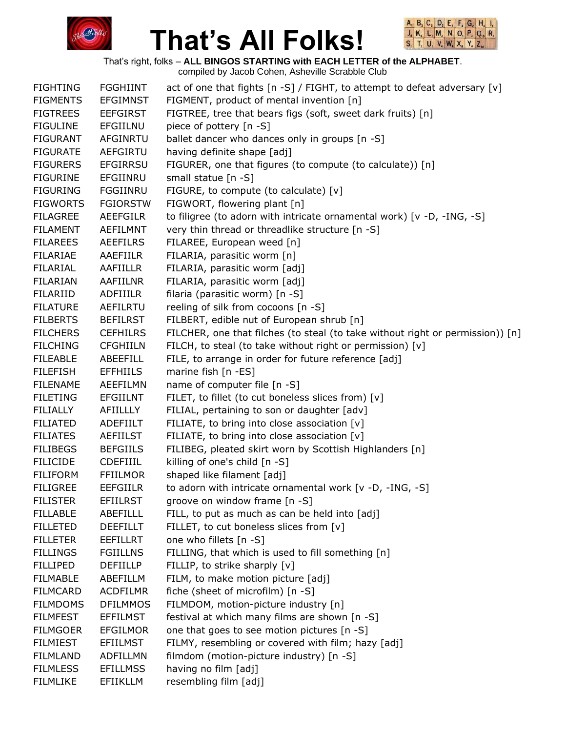



That's right, folks – **ALL BINGOS STARTING with EACH LETTER of the ALPHABET**.

| <b>FIGHTING</b> | <b>FGGHIINT</b> | act of one that fights [n -S] / FIGHT, to attempt to defeat adversary [v]      |
|-----------------|-----------------|--------------------------------------------------------------------------------|
| <b>FIGMENTS</b> | <b>EFGIMNST</b> | FIGMENT, product of mental invention [n]                                       |
| <b>FIGTREES</b> | <b>EEFGIRST</b> | FIGTREE, tree that bears figs (soft, sweet dark fruits) [n]                    |
| <b>FIGULINE</b> | EFGIILNU        | piece of pottery [n -S]                                                        |
| <b>FIGURANT</b> | <b>AFGINRTU</b> | ballet dancer who dances only in groups [n -S]                                 |
| <b>FIGURATE</b> | <b>AEFGIRTU</b> | having definite shape [adj]                                                    |
| <b>FIGURERS</b> | <b>EFGIRRSU</b> | FIGURER, one that figures (to compute (to calculate)) [n]                      |
| <b>FIGURINE</b> | EFGIINRU        | small statue [n -S]                                                            |
| <b>FIGURING</b> | FGGIINRU        | FIGURE, to compute (to calculate) [v]                                          |
| <b>FIGWORTS</b> | <b>FGIORSTW</b> | FIGWORT, flowering plant [n]                                                   |
| <b>FILAGREE</b> | <b>AEEFGILR</b> | to filigree (to adorn with intricate ornamental work) [v -D, -ING, -S]         |
| <b>FILAMENT</b> | <b>AEFILMNT</b> | very thin thread or threadlike structure [n -S]                                |
| <b>FILAREES</b> | <b>AEEFILRS</b> | FILAREE, European weed [n]                                                     |
| <b>FILARIAE</b> | AAEFIILR        | FILARIA, parasitic worm [n]                                                    |
| FILARIAL        | AAFIILLR        | FILARIA, parasitic worm [adj]                                                  |
| <b>FILARIAN</b> | AAFIILNR        | FILARIA, parasitic worm [adj]                                                  |
| FILARIID        | ADFIIILR        | filaria (parasitic worm) [n -S]                                                |
| <b>FILATURE</b> | <b>AEFILRTU</b> | reeling of silk from cocoons [n -S]                                            |
| <b>FILBERTS</b> | <b>BEFILRST</b> | FILBERT, edible nut of European shrub [n]                                      |
| <b>FILCHERS</b> | <b>CEFHILRS</b> | FILCHER, one that filches (to steal (to take without right or permission)) [n] |
| <b>FILCHING</b> | <b>CFGHIILN</b> | FILCH, to steal (to take without right or permission) [v]                      |
| <b>FILEABLE</b> | ABEEFILL        | FILE, to arrange in order for future reference [adj]                           |
| <b>FILEFISH</b> | <b>EFFHIILS</b> | marine fish [n -ES]                                                            |
| <b>FILENAME</b> | AEEFILMN        | name of computer file [n -S]                                                   |
| <b>FILETING</b> | <b>EFGIILNT</b> | FILET, to fillet (to cut boneless slices from) [v]                             |
| <b>FILIALLY</b> | AFIILLLY        | FILIAL, pertaining to son or daughter [adv]                                    |
| <b>FILIATED</b> | ADEFIILT        | FILIATE, to bring into close association [v]                                   |
| <b>FILIATES</b> | <b>AEFIILST</b> | FILIATE, to bring into close association [v]                                   |
| <b>FILIBEGS</b> | <b>BEFGIILS</b> | FILIBEG, pleated skirt worn by Scottish Highlanders [n]                        |
| <b>FILICIDE</b> | <b>CDEFIIIL</b> | killing of one's child [n -S]                                                  |
| <b>FILIFORM</b> | <b>FFIILMOR</b> | shaped like filament [adj]                                                     |
| <b>FILIGREE</b> | <b>EEFGIILR</b> | to adorn with intricate ornamental work [v -D, -ING, -S]                       |
| <b>FILISTER</b> | <b>EFIILRST</b> | groove on window frame [n -S]                                                  |
| <b>FILLABLE</b> | <b>ABEFILLL</b> | FILL, to put as much as can be held into [adj]                                 |
| <b>FILLETED</b> | <b>DEEFILLT</b> | FILLET, to cut boneless slices from [v]                                        |
| <b>FILLETER</b> | <b>EEFILLRT</b> | one who fillets [n -S]                                                         |
| <b>FILLINGS</b> | <b>FGIILLNS</b> | FILLING, that which is used to fill something [n]                              |
| <b>FILLIPED</b> | <b>DEFIILLP</b> | FILLIP, to strike sharply [v]                                                  |
| <b>FILMABLE</b> | ABEFILLM        | FILM, to make motion picture [adj]                                             |
| <b>FILMCARD</b> | <b>ACDFILMR</b> | fiche (sheet of microfilm) [n -S]                                              |
| <b>FILMDOMS</b> | <b>DFILMMOS</b> | FILMDOM, motion-picture industry [n]                                           |
| <b>FILMFEST</b> | <b>EFFILMST</b> | festival at which many films are shown [n -S]                                  |
| <b>FILMGOER</b> | <b>EFGILMOR</b> | one that goes to see motion pictures [n -S]                                    |
| <b>FILMIEST</b> | <b>EFIILMST</b> | FILMY, resembling or covered with film; hazy [adj]                             |
| <b>FILMLAND</b> | <b>ADFILLMN</b> | filmdom (motion-picture industry) [n -S]                                       |
| <b>FILMLESS</b> | <b>EFILLMSS</b> | having no film [adj]                                                           |
| <b>FILMLIKE</b> | EFIIKLLM        | resembling film [adj]                                                          |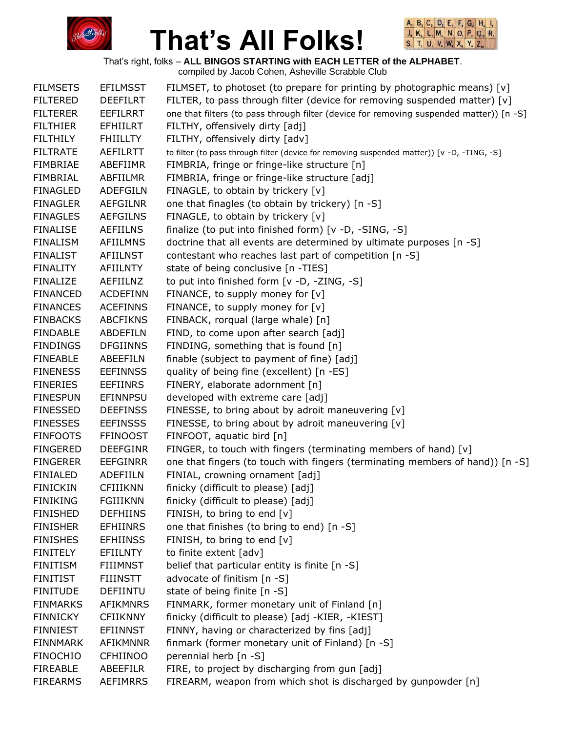



That's right, folks – **ALL BINGOS STARTING with EACH LETTER of the ALPHABET**.

| <b>FILMSETS</b> | <b>EFILMSST</b> | FILMSET, to photoset (to prepare for printing by photographic means) $[v]$                  |
|-----------------|-----------------|---------------------------------------------------------------------------------------------|
| <b>FILTERED</b> | <b>DEEFILRT</b> | FILTER, to pass through filter (device for removing suspended matter) $[v]$                 |
| <b>FILTERER</b> | <b>EEFILRRT</b> | one that filters (to pass through filter (device for removing suspended matter)) [n -S]     |
| <b>FILTHIER</b> | <b>EFHIILRT</b> | FILTHY, offensively dirty [adj]                                                             |
| <b>FILTHILY</b> | <b>FHIILLTY</b> | FILTHY, offensively dirty [adv]                                                             |
| <b>FILTRATE</b> | <b>AEFILRTT</b> | to filter (to pass through filter (device for removing suspended matter)) [v -D, -TING, -S] |
| <b>FIMBRIAE</b> | ABEFIIMR        | FIMBRIA, fringe or fringe-like structure [n]                                                |
| <b>FIMBRIAL</b> | ABFIILMR        | FIMBRIA, fringe or fringe-like structure [adj]                                              |
| <b>FINAGLED</b> | <b>ADEFGILN</b> | FINAGLE, to obtain by trickery [v]                                                          |
| <b>FINAGLER</b> | <b>AEFGILNR</b> | one that finagles (to obtain by trickery) [n -S]                                            |
| <b>FINAGLES</b> | <b>AEFGILNS</b> | FINAGLE, to obtain by trickery [v]                                                          |
| <b>FINALISE</b> | <b>AEFIILNS</b> | finalize (to put into finished form) [v -D, -SING, -S]                                      |
| <b>FINALISM</b> | <b>AFIILMNS</b> | doctrine that all events are determined by ultimate purposes [n -S]                         |
| <b>FINALIST</b> | <b>AFIILNST</b> | contestant who reaches last part of competition [n -S]                                      |
| <b>FINALITY</b> | <b>AFIILNTY</b> | state of being conclusive [n -TIES]                                                         |
| <b>FINALIZE</b> | AEFIILNZ        | to put into finished form [v -D, -ZING, -S]                                                 |
| <b>FINANCED</b> | <b>ACDEFINN</b> | FINANCE, to supply money for $[v]$                                                          |
| <b>FINANCES</b> | <b>ACEFINNS</b> | FINANCE, to supply money for $[v]$                                                          |
| <b>FINBACKS</b> | <b>ABCFIKNS</b> | FINBACK, rorqual (large whale) [n]                                                          |
| <b>FINDABLE</b> | <b>ABDEFILN</b> | FIND, to come upon after search [adj]                                                       |
| <b>FINDINGS</b> | <b>DFGIINNS</b> | FINDING, something that is found [n]                                                        |
| <b>FINEABLE</b> | ABEEFILN        | finable (subject to payment of fine) [adj]                                                  |
| <b>FINENESS</b> | <b>EEFINNSS</b> | quality of being fine (excellent) [n -ES]                                                   |
| <b>FINERIES</b> | <b>EEFIINRS</b> | FINERY, elaborate adornment [n]                                                             |
| <b>FINESPUN</b> | <b>EFINNPSU</b> | developed with extreme care [adj]                                                           |
| <b>FINESSED</b> | <b>DEEFINSS</b> | FINESSE, to bring about by adroit maneuvering [v]                                           |
| <b>FINESSES</b> | <b>EEFINSSS</b> | FINESSE, to bring about by adroit maneuvering [v]                                           |
| <b>FINFOOTS</b> | <b>FFINOOST</b> | FINFOOT, aquatic bird [n]                                                                   |
| <b>FINGERED</b> | <b>DEEFGINR</b> | FINGER, to touch with fingers (terminating members of hand) [v]                             |
| <b>FINGERER</b> | <b>EEFGINRR</b> | one that fingers (to touch with fingers (terminating members of hand)) [n -S]               |
| <b>FINIALED</b> | <b>ADEFIILN</b> | FINIAL, crowning ornament [adj]                                                             |
| <b>FINICKIN</b> | <b>CFIIIKNN</b> | finicky (difficult to please) [adj]                                                         |
| <b>FINIKING</b> | <b>FGIIIKNN</b> | finicky (difficult to please) [adj]                                                         |
| <b>FINISHED</b> | <b>DEFHIINS</b> | FINISH, to bring to end [v]                                                                 |
| <b>FINISHER</b> | <b>EFHIINRS</b> | one that finishes (to bring to end) [n -S]                                                  |
| <b>FINISHES</b> | <b>EFHIINSS</b> | FINISH, to bring to end [v]                                                                 |
| <b>FINITELY</b> | EFIILNTY        | to finite extent [adv]                                                                      |
| <b>FINITISM</b> | <b>FIIIMNST</b> | belief that particular entity is finite [n -S]                                              |
| <b>FINITIST</b> | <b>FIIINSTT</b> | advocate of finitism [n -S]                                                                 |
| <b>FINITUDE</b> | <b>DEFIINTU</b> | state of being finite [n -S]                                                                |
| <b>FINMARKS</b> | <b>AFIKMNRS</b> | FINMARK, former monetary unit of Finland [n]                                                |
| <b>FINNICKY</b> | <b>CFIIKNNY</b> | finicky (difficult to please) [adj -KIER, -KIEST]                                           |
| <b>FINNIEST</b> | <b>EFIINNST</b> | FINNY, having or characterized by fins [adj]                                                |
| <b>FINNMARK</b> | AFIKMNNR        | finmark (former monetary unit of Finland) [n -S]                                            |
| <b>FINOCHIO</b> | <b>CFHIINOO</b> | perennial herb [n -S]                                                                       |
| <b>FIREABLE</b> | <b>ABEEFILR</b> | FIRE, to project by discharging from gun [adj]                                              |
| <b>FIREARMS</b> | <b>AEFIMRRS</b> | FIREARM, weapon from which shot is discharged by gunpowder [n]                              |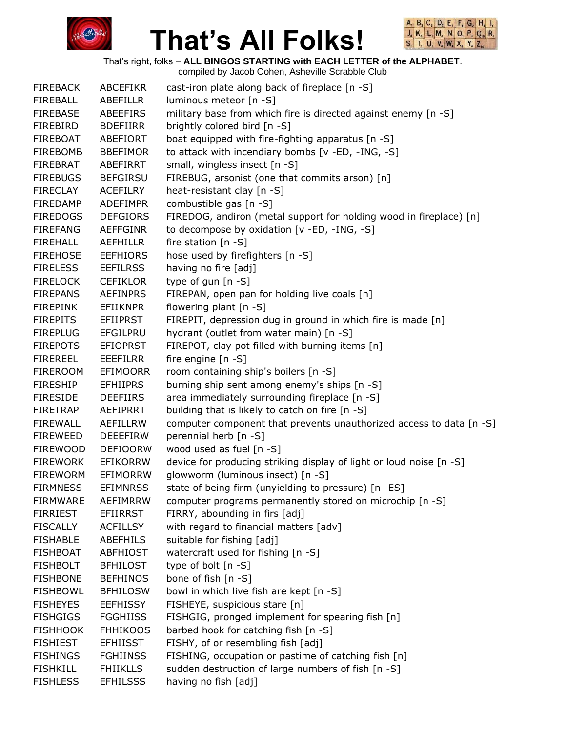



That's right, folks – **ALL BINGOS STARTING with EACH LETTER of the ALPHABET**.

| <b>FIREBACK</b> | ABCEFIKR        | cast-iron plate along back of fireplace [n -S]                      |
|-----------------|-----------------|---------------------------------------------------------------------|
| FIREBALL        | ABEFILLR        | luminous meteor [n -S]                                              |
| <b>FIREBASE</b> | ABEEFIRS        | military base from which fire is directed against enemy [n -S]      |
| <b>FIREBIRD</b> | <b>BDEFIIRR</b> | brightly colored bird [n -S]                                        |
| FIREBOAT        | ABEFIORT        | boat equipped with fire-fighting apparatus [n -S]                   |
| <b>FIREBOMB</b> | <b>BBEFIMOR</b> | to attack with incendiary bombs [v -ED, -ING, -S]                   |
| FIREBRAT        | ABEFIRRT        | small, wingless insect [n -S]                                       |
| <b>FIREBUGS</b> | <b>BEFGIRSU</b> | FIREBUG, arsonist (one that commits arson) [n]                      |
| <b>FIRECLAY</b> | <b>ACEFILRY</b> | heat-resistant clay [n -S]                                          |
| <b>FIREDAMP</b> | <b>ADEFIMPR</b> | combustible gas [n -S]                                              |
| <b>FIREDOGS</b> | <b>DEFGIORS</b> | FIREDOG, andiron (metal support for holding wood in fireplace) [n]  |
| <b>FIREFANG</b> | <b>AEFFGINR</b> | to decompose by oxidation [v -ED, -ING, -S]                         |
| <b>FIREHALL</b> | <b>AEFHILLR</b> | fire station $[n -S]$                                               |
| <b>FIREHOSE</b> | <b>EEFHIORS</b> | hose used by firefighters [n -S]                                    |
| <b>FIRELESS</b> | <b>EEFILRSS</b> | having no fire [adj]                                                |
| <b>FIRELOCK</b> | <b>CEFIKLOR</b> | type of gun $[n - S]$                                               |
| <b>FIREPANS</b> | <b>AEFINPRS</b> | FIREPAN, open pan for holding live coals [n]                        |
| <b>FIREPINK</b> | <b>EFIIKNPR</b> | flowering plant [n -S]                                              |
| <b>FIREPITS</b> | EFIIPRST        | FIREPIT, depression dug in ground in which fire is made [n]         |
| <b>FIREPLUG</b> | EFGILPRU        | hydrant (outlet from water main) [n -S]                             |
| <b>FIREPOTS</b> | <b>EFIOPRST</b> | FIREPOT, clay pot filled with burning items [n]                     |
| <b>FIREREEL</b> | <b>EEEFILRR</b> | fire engine [n -S]                                                  |
| FIREROOM        | <b>EFIMOORR</b> | room containing ship's boilers [n -S]                               |
| <b>FIRESHIP</b> | <b>EFHIIPRS</b> | burning ship sent among enemy's ships [n -S]                        |
| <b>FIRESIDE</b> | <b>DEEFIIRS</b> | area immediately surrounding fireplace [n -S]                       |
| <b>FIRETRAP</b> | AEFIPRRT        | building that is likely to catch on fire [n -S]                     |
| <b>FIREWALL</b> | AEFILLRW        | computer component that prevents unauthorized access to data [n -S] |
| <b>FIREWEED</b> | <b>DEEEFIRW</b> | perennial herb [n -S]                                               |
| <b>FIREWOOD</b> | <b>DEFIOORW</b> | wood used as fuel [n -S]                                            |
| <b>FIREWORK</b> | <b>EFIKORRW</b> | device for producing striking display of light or loud noise [n -S] |
| <b>FIREWORM</b> | EFIMORRW        | glowworm (luminous insect) [n -S]                                   |
| <b>FIRMNESS</b> | <b>EFIMNRSS</b> | state of being firm (unyielding to pressure) [n -ES]                |
| <b>FIRMWARE</b> | <b>AEFIMRRW</b> | computer programs permanently stored on microchip [n -S]            |
| <b>FIRRIEST</b> | <b>EFIIRRST</b> | FIRRY, abounding in firs [adj]                                      |
| <b>FISCALLY</b> | <b>ACFILLSY</b> | with regard to financial matters [adv]                              |
| <b>FISHABLE</b> | <b>ABEFHILS</b> | suitable for fishing [adj]                                          |
| <b>FISHBOAT</b> | <b>ABFHIOST</b> | watercraft used for fishing [n -S]                                  |
| <b>FISHBOLT</b> | <b>BFHILOST</b> | type of bolt $[n - S]$                                              |
| <b>FISHBONE</b> | <b>BEFHINOS</b> | bone of fish [n -S]                                                 |
| <b>FISHBOWL</b> | <b>BFHILOSW</b> | bowl in which live fish are kept [n -S]                             |
| <b>FISHEYES</b> | <b>EEFHISSY</b> | FISHEYE, suspicious stare [n]                                       |
| <b>FISHGIGS</b> | <b>FGGHIISS</b> | FISHGIG, pronged implement for spearing fish [n]                    |
| <b>FISHHOOK</b> | <b>FHHIKOOS</b> | barbed hook for catching fish [n -S]                                |
| <b>FISHIEST</b> | <b>EFHIISST</b> | FISHY, of or resembling fish [adj]                                  |
| <b>FISHINGS</b> | <b>FGHIINSS</b> | FISHING, occupation or pastime of catching fish [n]                 |
| <b>FISHKILL</b> | <b>FHIIKLLS</b> | sudden destruction of large numbers of fish [n -S]                  |
| <b>FISHLESS</b> | <b>EFHILSSS</b> | having no fish [adj]                                                |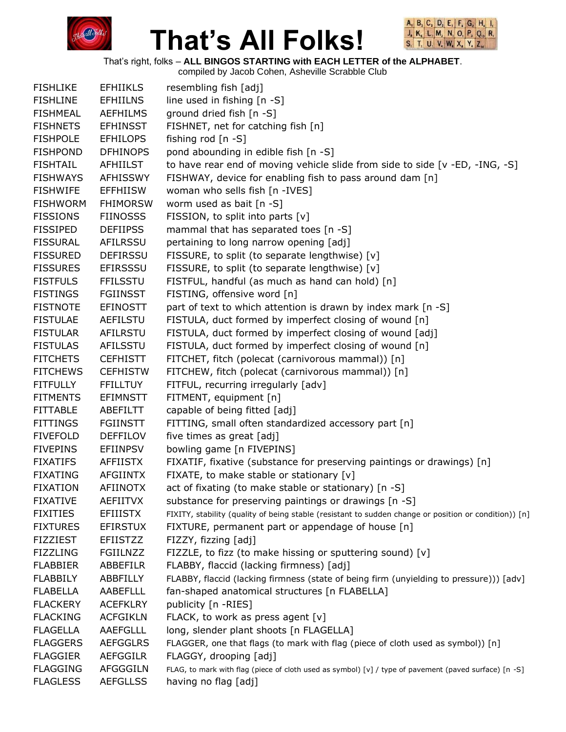



That's right, folks – **ALL BINGOS STARTING with EACH LETTER of the ALPHABET**.

| <b>FISHLIKE</b> | <b>EFHIIKLS</b> | resembling fish [adj]                                                                                 |
|-----------------|-----------------|-------------------------------------------------------------------------------------------------------|
| <b>FISHLINE</b> | <b>EFHIILNS</b> | line used in fishing [n -S]                                                                           |
| <b>FISHMEAL</b> | <b>AEFHILMS</b> | ground dried fish [n -S]                                                                              |
| <b>FISHNETS</b> | <b>EFHINSST</b> | FISHNET, net for catching fish [n]                                                                    |
| <b>FISHPOLE</b> | <b>EFHILOPS</b> | fishing rod $[n -S]$                                                                                  |
| <b>FISHPOND</b> | <b>DFHINOPS</b> | pond abounding in edible fish [n -S]                                                                  |
| <b>FISHTAIL</b> | <b>AFHIILST</b> | to have rear end of moving vehicle slide from side to side [v -ED, -ING, -S]                          |
| <b>FISHWAYS</b> | <b>AFHISSWY</b> | FISHWAY, device for enabling fish to pass around dam [n]                                              |
| <b>FISHWIFE</b> | <b>EFFHIISW</b> | woman who sells fish [n -IVES]                                                                        |
| <b>FISHWORM</b> | <b>FHIMORSW</b> | worm used as bait $[n - S]$                                                                           |
| <b>FISSIONS</b> | <b>FIINOSSS</b> | FISSION, to split into parts [v]                                                                      |
| <b>FISSIPED</b> | <b>DEFIIPSS</b> | mammal that has separated toes [n -S]                                                                 |
| <b>FISSURAL</b> | <b>AFILRSSU</b> | pertaining to long narrow opening [adj]                                                               |
| <b>FISSURED</b> | <b>DEFIRSSU</b> | FISSURE, to split (to separate lengthwise) [v]                                                        |
| <b>FISSURES</b> | <b>EFIRSSSU</b> | FISSURE, to split (to separate lengthwise) [v]                                                        |
| <b>FISTFULS</b> | <b>FFILSSTU</b> | FISTFUL, handful (as much as hand can hold) [n]                                                       |
| <b>FISTINGS</b> | <b>FGIINSST</b> | FISTING, offensive word [n]                                                                           |
| <b>FISTNOTE</b> | <b>EFINOSTT</b> | part of text to which attention is drawn by index mark [n -S]                                         |
| <b>FISTULAE</b> | <b>AEFILSTU</b> | FISTULA, duct formed by imperfect closing of wound [n]                                                |
| <b>FISTULAR</b> | AFILRSTU        | FISTULA, duct formed by imperfect closing of wound [adj]                                              |
| <b>FISTULAS</b> | AFILSSTU        | FISTULA, duct formed by imperfect closing of wound [n]                                                |
| <b>FITCHETS</b> | <b>CEFHISTT</b> | FITCHET, fitch (polecat (carnivorous mammal)) [n]                                                     |
| <b>FITCHEWS</b> | <b>CEFHISTW</b> | FITCHEW, fitch (polecat (carnivorous mammal)) [n]                                                     |
| <b>FITFULLY</b> | <b>FFILLTUY</b> | FITFUL, recurring irregularly [adv]                                                                   |
| <b>FITMENTS</b> | <b>EFIMNSTT</b> | FITMENT, equipment [n]                                                                                |
| <b>FITTABLE</b> | ABEFILTT        | capable of being fitted [adj]                                                                         |
| <b>FITTINGS</b> | <b>FGIINSTT</b> | FITTING, small often standardized accessory part [n]                                                  |
| <b>FIVEFOLD</b> | <b>DEFFILOV</b> | five times as great [adj]                                                                             |
| <b>FIVEPINS</b> | <b>EFIINPSV</b> | bowling game [n FIVEPINS]                                                                             |
| <b>FIXATIFS</b> | <b>AFFIISTX</b> | FIXATIF, fixative (substance for preserving paintings or drawings) [n]                                |
| <b>FIXATING</b> | <b>AFGIINTX</b> | FIXATE, to make stable or stationary [v]                                                              |
| <b>FIXATION</b> | <b>AFIINOTX</b> | act of fixating (to make stable or stationary) [n -S]                                                 |
| <b>FIXATIVE</b> | <b>AEFIITVX</b> | substance for preserving paintings or drawings [n -S]                                                 |
| <b>FIXITIES</b> | <b>EFIIISTX</b> | FIXITY, stability (quality of being stable (resistant to sudden change or position or condition)) [n] |
| <b>FIXTURES</b> | <b>EFIRSTUX</b> | FIXTURE, permanent part or appendage of house [n]                                                     |
| <b>FIZZIEST</b> | <b>EFIISTZZ</b> | FIZZY, fizzing [adj]                                                                                  |
| <b>FIZZLING</b> | <b>FGIILNZZ</b> | FIZZLE, to fizz (to make hissing or sputtering sound) [v]                                             |
| <b>FLABBIER</b> | ABBEFILR        | FLABBY, flaccid (lacking firmness) [adj]                                                              |
| <b>FLABBILY</b> | ABBFILLY        | FLABBY, flaccid (lacking firmness (state of being firm (unyielding to pressure))) [adv]               |
| <b>FLABELLA</b> | <b>AABEFLLL</b> | fan-shaped anatomical structures [n FLABELLA]                                                         |
| <b>FLACKERY</b> | <b>ACEFKLRY</b> | publicity [n -RIES]                                                                                   |
| <b>FLACKING</b> | <b>ACFGIKLN</b> | FLACK, to work as press agent [v]                                                                     |
| <b>FLAGELLA</b> | AAEFGLLL        | long, slender plant shoots [n FLAGELLA]                                                               |
| <b>FLAGGERS</b> | <b>AEFGGLRS</b> | FLAGGER, one that flags (to mark with flag (piece of cloth used as symbol)) [n]                       |
| <b>FLAGGIER</b> | <b>AEFGGILR</b> | FLAGGY, drooping [adj]                                                                                |
| <b>FLAGGING</b> | <b>AFGGGILN</b> | FLAG, to mark with flag (piece of cloth used as symbol) [v] / type of pavement (paved surface) [n -S] |
| <b>FLAGLESS</b> | <b>AEFGLLSS</b> | having no flag [adj]                                                                                  |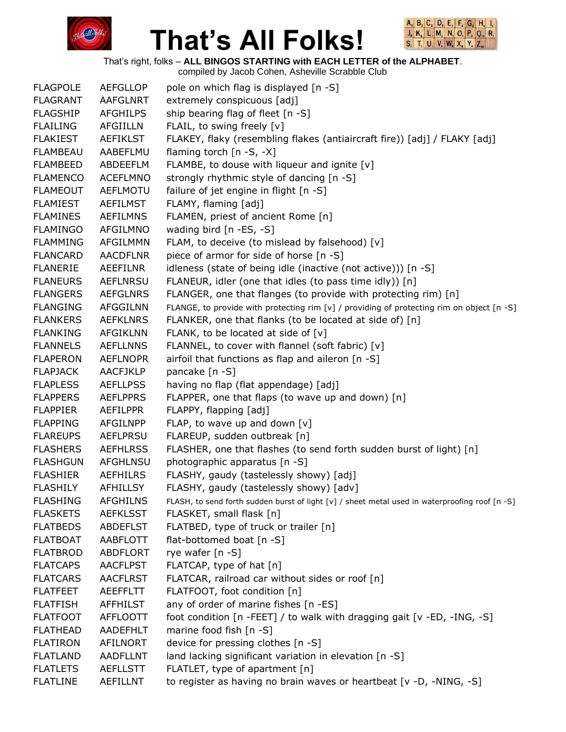



That's right, folks – **ALL BINGOS STARTING with EACH LETTER of the ALPHABET**.

| <b>FLAGPOLE</b> | <b>AEFGLLOP</b> | pole on which flag is displayed [n -S]                                                         |
|-----------------|-----------------|------------------------------------------------------------------------------------------------|
| <b>FLAGRANT</b> | AAFGLNRT        | extremely conspicuous [adj]                                                                    |
| <b>FLAGSHIP</b> | <b>AFGHILPS</b> | ship bearing flag of fleet [n -S]                                                              |
| <b>FLAILING</b> | <b>AFGIILLN</b> | FLAIL, to swing freely [v]                                                                     |
| <b>FLAKIEST</b> | <b>AEFIKLST</b> | FLAKEY, flaky (resembling flakes (antiaircraft fire)) [adj] / FLAKY [adj]                      |
| FLAMBEAU        | AABEFLMU        | flaming torch [n -S, -X]                                                                       |
| <b>FLAMBEED</b> | ABDEEFLM        | FLAMBE, to douse with liqueur and ignite [v]                                                   |
| <b>FLAMENCO</b> | <b>ACEFLMNO</b> | strongly rhythmic style of dancing [n -S]                                                      |
| <b>FLAMEOUT</b> | <b>AEFLMOTU</b> | failure of jet engine in flight [n -S]                                                         |
| <b>FLAMIEST</b> | <b>AEFILMST</b> | FLAMY, flaming [adj]                                                                           |
| <b>FLAMINES</b> | <b>AEFILMNS</b> | FLAMEN, priest of ancient Rome [n]                                                             |
| <b>FLAMINGO</b> | AFGILMNO        | wading bird [n -ES, -S]                                                                        |
| <b>FLAMMING</b> | AFGILMMN        | FLAM, to deceive (to mislead by falsehood) [v]                                                 |
| <b>FLANCARD</b> | <b>AACDFLNR</b> | piece of armor for side of horse [n -S]                                                        |
| <b>FLANERIE</b> | AEEFILNR        | idleness (state of being idle (inactive (not active))) [n -S]                                  |
| <b>FLANEURS</b> | <b>AEFLNRSU</b> | FLANEUR, idler (one that idles (to pass time idly)) [n]                                        |
| <b>FLANGERS</b> | <b>AEFGLNRS</b> | FLANGER, one that flanges (to provide with protecting rim) [n]                                 |
| <b>FLANGING</b> | <b>AFGGILNN</b> | FLANGE, to provide with protecting rim [v] / providing of protecting rim on object [n -S]      |
| <b>FLANKERS</b> | <b>AEFKLNRS</b> | FLANKER, one that flanks (to be located at side of) [n]                                        |
| <b>FLANKING</b> | AFGIKLNN        | FLANK, to be located at side of $[v]$                                                          |
| <b>FLANNELS</b> | <b>AEFLLNNS</b> | FLANNEL, to cover with flannel (soft fabric) [v]                                               |
| <b>FLAPERON</b> | <b>AEFLNOPR</b> | airfoil that functions as flap and aileron [n -S]                                              |
| <b>FLAPJACK</b> | <b>AACFJKLP</b> | pancake [n -S]                                                                                 |
| <b>FLAPLESS</b> | <b>AEFLLPSS</b> | having no flap (flat appendage) [adj]                                                          |
| <b>FLAPPERS</b> | <b>AEFLPPRS</b> | FLAPPER, one that flaps (to wave up and down) [n]                                              |
| <b>FLAPPIER</b> | <b>AEFILPPR</b> | FLAPPY, flapping [adj]                                                                         |
| <b>FLAPPING</b> | <b>AFGILNPP</b> | FLAP, to wave up and down $[v]$                                                                |
| <b>FLAREUPS</b> | <b>AEFLPRSU</b> | FLAREUP, sudden outbreak [n]                                                                   |
| <b>FLASHERS</b> | <b>AEFHLRSS</b> | FLASHER, one that flashes (to send forth sudden burst of light) [n]                            |
| <b>FLASHGUN</b> | AFGHLNSU        | photographic apparatus [n -S]                                                                  |
| <b>FLASHIER</b> | <b>AEFHILRS</b> | FLASHY, gaudy (tastelessly showy) [adj]                                                        |
| <b>FLASHILY</b> | <b>AFHILLSY</b> | FLASHY, gaudy (tastelessly showy) [adv]                                                        |
| <b>FLASHING</b> | <b>AFGHILNS</b> | FLASH, to send forth sudden burst of light [v] / sheet metal used in waterproofing roof [n -S] |
| <b>FLASKETS</b> | <b>AEFKLSST</b> | FLASKET, small flask [n]                                                                       |
| <b>FLATBEDS</b> | <b>ABDEFLST</b> | FLATBED, type of truck or trailer [n]                                                          |
| <b>FLATBOAT</b> | <b>AABFLOTT</b> | flat-bottomed boat [n -S]                                                                      |
| <b>FLATBROD</b> | <b>ABDFLORT</b> | rye wafer [n -S]                                                                               |
| <b>FLATCAPS</b> | <b>AACFLPST</b> | FLATCAP, type of hat [n]                                                                       |
| <b>FLATCARS</b> | <b>AACFLRST</b> | FLATCAR, railroad car without sides or roof [n]                                                |
| <b>FLATFEET</b> | <b>AEEFFLTT</b> | FLATFOOT, foot condition [n]                                                                   |
| <b>FLATFISH</b> | <b>AFFHILST</b> | any of order of marine fishes [n -ES]                                                          |
| <b>FLATFOOT</b> | <b>AFFLOOTT</b> | foot condition [n -FEET] / to walk with dragging gait [v -ED, -ING, -S]                        |
| <b>FLATHEAD</b> | <b>AADEFHLT</b> | marine food fish [n -S]                                                                        |
| <b>FLATIRON</b> | <b>AFILNORT</b> | device for pressing clothes [n -S]                                                             |
| <b>FLATLAND</b> | <b>AADFLLNT</b> | land lacking significant variation in elevation [n -S]                                         |
| <b>FLATLETS</b> | <b>AEFLLSTT</b> | FLATLET, type of apartment [n]                                                                 |
| <b>FLATLINE</b> | AEFILLNT        | to register as having no brain waves or heartbeat [v -D, -NING, -S]                            |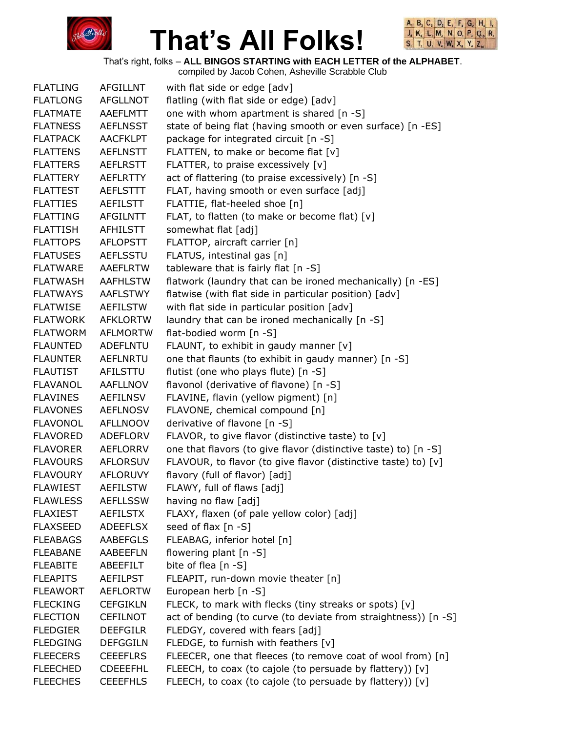



That's right, folks – **ALL BINGOS STARTING with EACH LETTER of the ALPHABET**.

| <b>FLATLING</b> | <b>AFGILLNT</b> | with flat side or edge [adv]                                    |
|-----------------|-----------------|-----------------------------------------------------------------|
| <b>FLATLONG</b> | <b>AFGLLNOT</b> | flatling (with flat side or edge) [adv]                         |
| <b>FLATMATE</b> | <b>AAEFLMTT</b> | one with whom apartment is shared [n -S]                        |
| <b>FLATNESS</b> | <b>AEFLNSST</b> | state of being flat (having smooth or even surface) [n -ES]     |
| <b>FLATPACK</b> | <b>AACFKLPT</b> | package for integrated circuit [n -S]                           |
| <b>FLATTENS</b> | <b>AEFLNSTT</b> | FLATTEN, to make or become flat [v]                             |
| <b>FLATTERS</b> | <b>AEFLRSTT</b> | FLATTER, to praise excessively [v]                              |
| <b>FLATTERY</b> | <b>AEFLRTTY</b> | act of flattering (to praise excessively) [n -S]                |
| <b>FLATTEST</b> | <b>AEFLSTTT</b> | FLAT, having smooth or even surface [adj]                       |
| <b>FLATTIES</b> | <b>AEFILSTT</b> | FLATTIE, flat-heeled shoe [n]                                   |
| <b>FLATTING</b> | <b>AFGILNTT</b> | FLAT, to flatten (to make or become flat) [v]                   |
| <b>FLATTISH</b> | AFHILSTT        | somewhat flat [adj]                                             |
| <b>FLATTOPS</b> | <b>AFLOPSTT</b> | FLATTOP, aircraft carrier [n]                                   |
| <b>FLATUSES</b> | <b>AEFLSSTU</b> | FLATUS, intestinal gas [n]                                      |
| <b>FLATWARE</b> | <b>AAEFLRTW</b> | tableware that is fairly flat [n -S]                            |
| <b>FLATWASH</b> | <b>AAFHLSTW</b> | flatwork (laundry that can be ironed mechanically) [n -ES]      |
| <b>FLATWAYS</b> | <b>AAFLSTWY</b> | flatwise (with flat side in particular position) [adv]          |
| <b>FLATWISE</b> | <b>AEFILSTW</b> | with flat side in particular position [adv]                     |
| <b>FLATWORK</b> | <b>AFKLORTW</b> | laundry that can be ironed mechanically [n -S]                  |
| <b>FLATWORM</b> | <b>AFLMORTW</b> | flat-bodied worm [n -S]                                         |
| <b>FLAUNTED</b> | <b>ADEFLNTU</b> | FLAUNT, to exhibit in gaudy manner [v]                          |
| <b>FLAUNTER</b> | <b>AEFLNRTU</b> | one that flaunts (to exhibit in gaudy manner) [n -S]            |
| <b>FLAUTIST</b> | AFILSTTU        | flutist (one who plays flute) [n -S]                            |
| <b>FLAVANOL</b> | <b>AAFLLNOV</b> | flavonol (derivative of flavone) [n -S]                         |
| <b>FLAVINES</b> | <b>AEFILNSV</b> | FLAVINE, flavin (yellow pigment) [n]                            |
| <b>FLAVONES</b> | <b>AEFLNOSV</b> | FLAVONE, chemical compound [n]                                  |
| <b>FLAVONOL</b> | <b>AFLLNOOV</b> | derivative of flavone [n -S]                                    |
| <b>FLAVORED</b> | ADEFLORV        | FLAVOR, to give flavor (distinctive taste) to [v]               |
| <b>FLAVORER</b> | <b>AEFLORRV</b> | one that flavors (to give flavor (distinctive taste) to) [n -S] |
| <b>FLAVOURS</b> | <b>AFLORSUV</b> | FLAVOUR, to flavor (to give flavor (distinctive taste) to) [v]  |
| <b>FLAVOURY</b> | <b>AFLORUVY</b> | flavory (full of flavor) [adj]                                  |
| <b>FLAWIEST</b> | <b>AEFILSTW</b> | FLAWY, full of flaws [adj]                                      |
| <b>FLAWLESS</b> | <b>AEFLLSSW</b> | having no flaw [adj]                                            |
| <b>FLAXIEST</b> | <b>AEFILSTX</b> | FLAXY, flaxen (of pale yellow color) [adj]                      |
| <b>FLAXSEED</b> | <b>ADEEFLSX</b> | seed of flax $[n - S]$                                          |
| <b>FLEABAGS</b> | <b>AABEFGLS</b> | FLEABAG, inferior hotel [n]                                     |
| <b>FLEABANE</b> | AABEEFLN        | flowering plant [n -S]                                          |
| <b>FLEABITE</b> | ABEEFILT        | bite of flea [n -S]                                             |
| <b>FLEAPITS</b> | <b>AEFILPST</b> | FLEAPIT, run-down movie theater [n]                             |
| <b>FLEAWORT</b> | <b>AEFLORTW</b> | European herb [n -S]                                            |
| <b>FLECKING</b> | <b>CEFGIKLN</b> | FLECK, to mark with flecks (tiny streaks or spots) [v]          |
| <b>FLECTION</b> | <b>CEFILNOT</b> | act of bending (to curve (to deviate from straightness)) [n -S] |
| <b>FLEDGIER</b> | <b>DEEFGILR</b> | FLEDGY, covered with fears [adj]                                |
| <b>FLEDGING</b> | <b>DEFGGILN</b> | FLEDGE, to furnish with feathers [v]                            |
| <b>FLEECERS</b> | <b>CEEEFLRS</b> | FLEECER, one that fleeces (to remove coat of wool from) [n]     |
| <b>FLEECHED</b> | <b>CDEEEFHL</b> | FLEECH, to coax (to cajole (to persuade by flattery)) [v]       |
| <b>FLEECHES</b> | <b>CEEEFHLS</b> | FLEECH, to coax (to cajole (to persuade by flattery)) [v]       |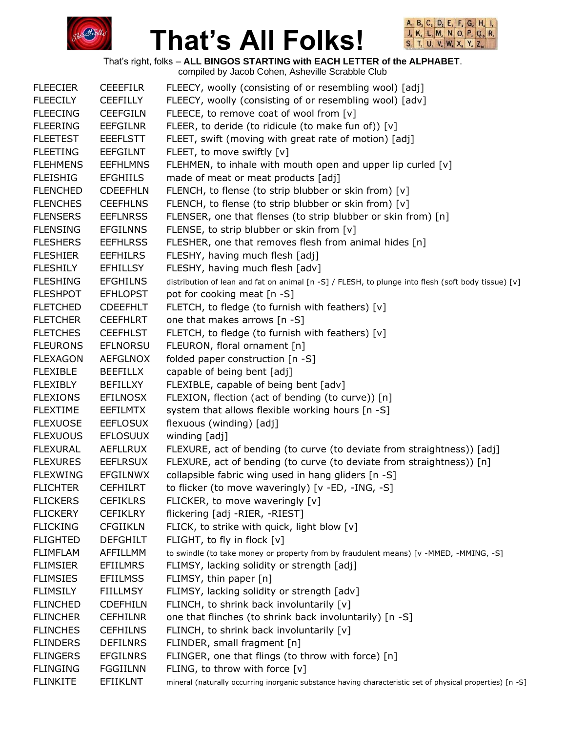



That's right, folks – **ALL BINGOS STARTING with EACH LETTER of the ALPHABET**.

| <b>FLEECIER</b> | <b>CEEEFILR</b> | FLEECY, woolly (consisting of or resembling wool) [adj]                                                   |
|-----------------|-----------------|-----------------------------------------------------------------------------------------------------------|
| <b>FLEECILY</b> | <b>CEEFILLY</b> | FLEECY, woolly (consisting of or resembling wool) [adv]                                                   |
| <b>FLEECING</b> | <b>CEEFGILN</b> | FLEECE, to remove coat of wool from [v]                                                                   |
| <b>FLEERING</b> | <b>EEFGILNR</b> | FLEER, to deride (to ridicule (to make fun of)) [v]                                                       |
| <b>FLEETEST</b> | <b>EEEFLSTT</b> | FLEET, swift (moving with great rate of motion) [adj]                                                     |
| <b>FLEETING</b> | <b>EEFGILNT</b> | FLEET, to move swiftly [v]                                                                                |
| <b>FLEHMENS</b> | <b>EEFHLMNS</b> | FLEHMEN, to inhale with mouth open and upper lip curled [v]                                               |
| <b>FLEISHIG</b> | <b>EFGHIILS</b> | made of meat or meat products [adj]                                                                       |
| <b>FLENCHED</b> | <b>CDEEFHLN</b> | FLENCH, to flense (to strip blubber or skin from) [v]                                                     |
| <b>FLENCHES</b> | <b>CEEFHLNS</b> | FLENCH, to flense (to strip blubber or skin from) [v]                                                     |
| <b>FLENSERS</b> | <b>EEFLNRSS</b> | FLENSER, one that flenses (to strip blubber or skin from) [n]                                             |
| <b>FLENSING</b> | <b>EFGILNNS</b> | FLENSE, to strip blubber or skin from [v]                                                                 |
| <b>FLESHERS</b> | <b>EEFHLRSS</b> | FLESHER, one that removes flesh from animal hides [n]                                                     |
| <b>FLESHIER</b> | <b>EEFHILRS</b> | FLESHY, having much flesh [adj]                                                                           |
| <b>FLESHILY</b> | <b>EFHILLSY</b> | FLESHY, having much flesh [adv]                                                                           |
| <b>FLESHING</b> | <b>EFGHILNS</b> | distribution of lean and fat on animal [n -S] / FLESH, to plunge into flesh (soft body tissue) [v]        |
| <b>FLESHPOT</b> | <b>EFHLOPST</b> | pot for cooking meat [n -S]                                                                               |
| <b>FLETCHED</b> | <b>CDEEFHLT</b> | FLETCH, to fledge (to furnish with feathers) [v]                                                          |
| <b>FLETCHER</b> | <b>CEEFHLRT</b> | one that makes arrows [n -S]                                                                              |
| <b>FLETCHES</b> | <b>CEEFHLST</b> | FLETCH, to fledge (to furnish with feathers) [v]                                                          |
| <b>FLEURONS</b> | <b>EFLNORSU</b> | FLEURON, floral ornament [n]                                                                              |
| <b>FLEXAGON</b> | AEFGLNOX        | folded paper construction [n -S]                                                                          |
| <b>FLEXIBLE</b> | <b>BEEFILLX</b> | capable of being bent [adj]                                                                               |
| <b>FLEXIBLY</b> | <b>BEFILLXY</b> | FLEXIBLE, capable of being bent [adv]                                                                     |
| <b>FLEXIONS</b> | <b>EFILNOSX</b> | FLEXION, flection (act of bending (to curve)) [n]                                                         |
| <b>FLEXTIME</b> | <b>EEFILMTX</b> | system that allows flexible working hours [n -S]                                                          |
| <b>FLEXUOSE</b> | <b>EEFLOSUX</b> | flexuous (winding) [adj]                                                                                  |
| <b>FLEXUOUS</b> | <b>EFLOSUUX</b> | winding [adj]                                                                                             |
| <b>FLEXURAL</b> | <b>AEFLLRUX</b> | FLEXURE, act of bending (to curve (to deviate from straightness)) [adj]                                   |
| <b>FLEXURES</b> | <b>EEFLRSUX</b> | FLEXURE, act of bending (to curve (to deviate from straightness)) [n]                                     |
| <b>FLEXWING</b> | <b>EFGILNWX</b> | collapsible fabric wing used in hang gliders [n -S]                                                       |
| <b>FLICHTER</b> | <b>CEFHILRT</b> | to flicker (to move waveringly) [v -ED, -ING, -S]                                                         |
| <b>FLICKERS</b> | <b>CEFIKLRS</b> | FLICKER, to move waveringly [v]                                                                           |
| <b>FLICKERY</b> | <b>CEFIKLRY</b> | flickering [adj -RIER, -RIEST]                                                                            |
| <b>FLICKING</b> | <b>CFGIIKLN</b> | FLICK, to strike with quick, light blow [v]                                                               |
| <b>FLIGHTED</b> | <b>DEFGHILT</b> | FLIGHT, to fly in flock [v]                                                                               |
| <b>FLIMFLAM</b> | AFFILLMM        | to swindle (to take money or property from by fraudulent means) [v - MMED, - MMING, -S]                   |
| <b>FLIMSIER</b> | <b>EFIILMRS</b> | FLIMSY, lacking solidity or strength [adj]                                                                |
| <b>FLIMSIES</b> | <b>EFIILMSS</b> | FLIMSY, thin paper [n]                                                                                    |
| <b>FLIMSILY</b> | <b>FIILLMSY</b> | FLIMSY, lacking solidity or strength [adv]                                                                |
| <b>FLINCHED</b> | <b>CDEFHILN</b> | FLINCH, to shrink back involuntarily [v]                                                                  |
| <b>FLINCHER</b> | <b>CEFHILNR</b> | one that flinches (to shrink back involuntarily) [n -S]                                                   |
| <b>FLINCHES</b> | <b>CEFHILNS</b> | FLINCH, to shrink back involuntarily [v]                                                                  |
| <b>FLINDERS</b> | <b>DEFILNRS</b> | FLINDER, small fragment [n]                                                                               |
| <b>FLINGERS</b> | <b>EFGILNRS</b> | FLINGER, one that flings (to throw with force) [n]                                                        |
| <b>FLINGING</b> | <b>FGGIILNN</b> | FLING, to throw with force [v]                                                                            |
| <b>FLINKITE</b> | <b>EFIIKLNT</b> | mineral (naturally occurring inorganic substance having characteristic set of physical properties) [n -S] |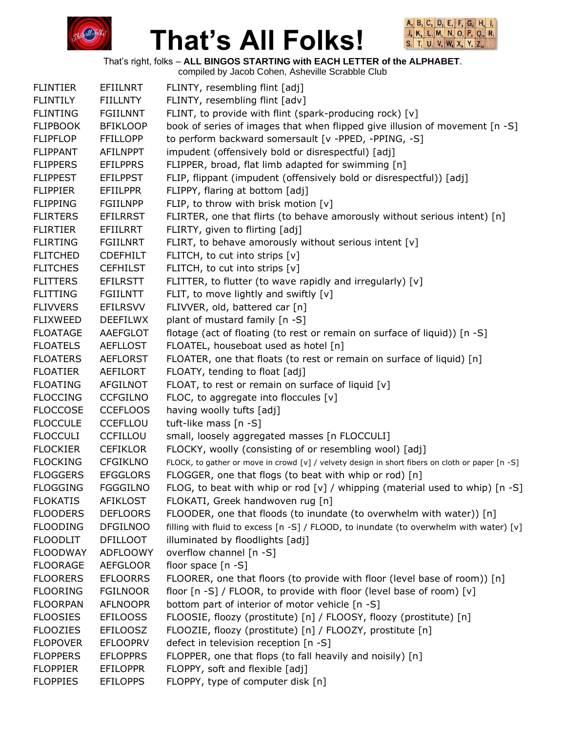



That's right, folks – **ALL BINGOS STARTING with EACH LETTER of the ALPHABET**.

| <b>FLINTIER</b> | <b>EFIILNRT</b> | FLINTY, resembling flint [adj]                                                                  |
|-----------------|-----------------|-------------------------------------------------------------------------------------------------|
| <b>FLINTILY</b> | <b>FIILLNTY</b> | FLINTY, resembling flint [adv]                                                                  |
| <b>FLINTING</b> | <b>FGIILNNT</b> | FLINT, to provide with flint (spark-producing rock) [v]                                         |
| <b>FLIPBOOK</b> | <b>BFIKLOOP</b> | book of series of images that when flipped give illusion of movement [n -S]                     |
| <b>FLIPFLOP</b> | <b>FFILLOPP</b> | to perform backward somersault [v -PPED, -PPING, -S]                                            |
| <b>FLIPPANT</b> | <b>AFILNPPT</b> | impudent (offensively bold or disrespectful) [adj]                                              |
| <b>FLIPPERS</b> | <b>EFILPPRS</b> | FLIPPER, broad, flat limb adapted for swimming [n]                                              |
| <b>FLIPPEST</b> | <b>EFILPPST</b> | FLIP, flippant (impudent (offensively bold or disrespectful)) [adj]                             |
| <b>FLIPPIER</b> | <b>EFIILPPR</b> | FLIPPY, flaring at bottom [adj]                                                                 |
| <b>FLIPPING</b> | <b>FGIILNPP</b> | FLIP, to throw with brisk motion [v]                                                            |
| <b>FLIRTERS</b> | <b>EFILRRST</b> | FLIRTER, one that flirts (to behave amorously without serious intent) [n]                       |
| <b>FLIRTIER</b> | EFIILRRT        | FLIRTY, given to flirting [adj]                                                                 |
| <b>FLIRTING</b> | <b>FGIILNRT</b> | FLIRT, to behave amorously without serious intent [v]                                           |
| <b>FLITCHED</b> | <b>CDEFHILT</b> | FLITCH, to cut into strips [v]                                                                  |
| <b>FLITCHES</b> | <b>CEFHILST</b> | FLITCH, to cut into strips [v]                                                                  |
| <b>FLITTERS</b> | <b>EFILRSTT</b> | FLITTER, to flutter (to wave rapidly and irregularly) [v]                                       |
| <b>FLITTING</b> | <b>FGIILNTT</b> | FLIT, to move lightly and swiftly [v]                                                           |
| <b>FLIVVERS</b> | <b>EFILRSVV</b> | FLIVVER, old, battered car [n]                                                                  |
| <b>FLIXWEED</b> | <b>DEEFILWX</b> | plant of mustard family [n -S]                                                                  |
| <b>FLOATAGE</b> | AAEFGLOT        | flotage (act of floating (to rest or remain on surface of liquid)) [n -S]                       |
| <b>FLOATELS</b> | <b>AEFLLOST</b> | FLOATEL, houseboat used as hotel [n]                                                            |
| <b>FLOATERS</b> | <b>AEFLORST</b> | FLOATER, one that floats (to rest or remain on surface of liquid) [n]                           |
| <b>FLOATIER</b> | AEFILORT        | FLOATY, tending to float [adj]                                                                  |
| <b>FLOATING</b> | <b>AFGILNOT</b> | FLOAT, to rest or remain on surface of liquid [v]                                               |
| <b>FLOCCING</b> | <b>CCFGILNO</b> | FLOC, to aggregate into floccules [v]                                                           |
| <b>FLOCCOSE</b> | <b>CCEFLOOS</b> | having woolly tufts [adj]                                                                       |
| <b>FLOCCULE</b> | <b>CCEFLLOU</b> | tuft-like mass [n -S]                                                                           |
| <b>FLOCCULI</b> | <b>CCFILLOU</b> | small, loosely aggregated masses [n FLOCCULI]                                                   |
| <b>FLOCKIER</b> | <b>CEFIKLOR</b> | FLOCKY, woolly (consisting of or resembling wool) [adj]                                         |
| <b>FLOCKING</b> | <b>CFGIKLNO</b> | FLOCK, to gather or move in crowd [v] / velvety design in short fibers on cloth or paper [n -S] |
| <b>FLOGGERS</b> | <b>EFGGLORS</b> | FLOGGER, one that flogs (to beat with whip or rod) [n]                                          |
| <b>FLOGGING</b> | <b>FGGGILNO</b> | FLOG, to beat with whip or rod [v] / whipping (material used to whip) $[n -S]$                  |
| <b>FLOKATIS</b> | <b>AFIKLOST</b> | FLOKATI, Greek handwoven rug [n]                                                                |
| <b>FLOODERS</b> | <b>DEFLOORS</b> | FLOODER, one that floods (to inundate (to overwhelm with water)) [n]                            |
| <b>FLOODING</b> | <b>DFGILNOO</b> | filling with fluid to excess [n -S] / FLOOD, to inundate (to overwhelm with water) [v]          |
| <b>FLOODLIT</b> | <b>DFILLOOT</b> | illuminated by floodlights [adj]                                                                |
| <b>FLOODWAY</b> | <b>ADFLOOWY</b> | overflow channel [n -S]                                                                         |
| <b>FLOORAGE</b> | <b>AEFGLOOR</b> | floor space $[n -S]$                                                                            |
| <b>FLOORERS</b> | <b>EFLOORRS</b> | FLOORER, one that floors (to provide with floor (level base of room)) [n]                       |
| <b>FLOORING</b> | <b>FGILNOOR</b> | floor [n -S] / FLOOR, to provide with floor (level base of room) [v]                            |
| <b>FLOORPAN</b> | <b>AFLNOOPR</b> | bottom part of interior of motor vehicle [n -S]                                                 |
| <b>FLOOSIES</b> | <b>EFILOOSS</b> | FLOOSIE, floozy (prostitute) [n] / FLOOSY, floozy (prostitute) [n]                              |
| <b>FLOOZIES</b> | <b>EFILOOSZ</b> | FLOOZIE, floozy (prostitute) [n] / FLOOZY, prostitute [n]                                       |
| <b>FLOPOVER</b> | <b>EFLOOPRV</b> | defect in television reception [n -S]                                                           |
| <b>FLOPPERS</b> | <b>EFLOPPRS</b> | FLOPPER, one that flops (to fall heavily and noisily) [n]                                       |
| <b>FLOPPIER</b> | <b>EFILOPPR</b> | FLOPPY, soft and flexible [adj]                                                                 |
| <b>FLOPPIES</b> | <b>EFILOPPS</b> | FLOPPY, type of computer disk [n]                                                               |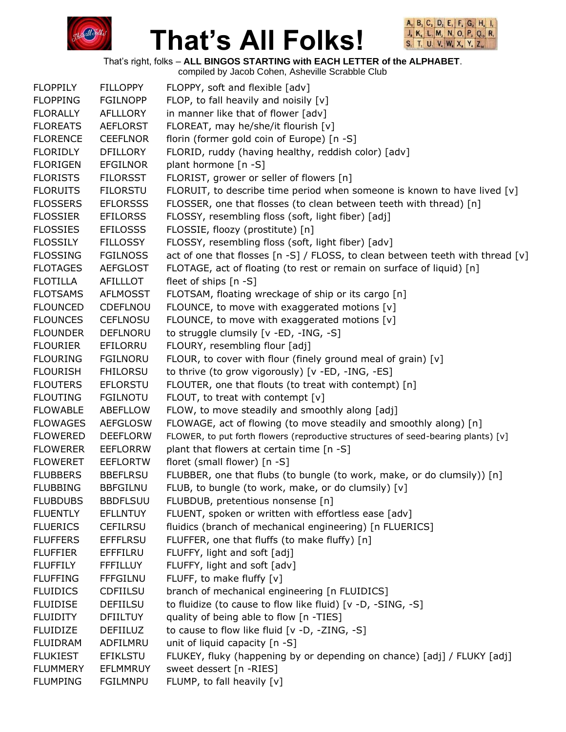



That's right, folks – **ALL BINGOS STARTING with EACH LETTER of the ALPHABET**.

| <b>FLOPPILY</b> | <b>FILLOPPY</b> | FLOPPY, soft and flexible [adv]                                                   |
|-----------------|-----------------|-----------------------------------------------------------------------------------|
| <b>FLOPPING</b> | <b>FGILNOPP</b> | FLOP, to fall heavily and noisily [v]                                             |
| <b>FLORALLY</b> | AFLLLORY        | in manner like that of flower [adv]                                               |
| <b>FLOREATS</b> | <b>AEFLORST</b> | FLOREAT, may he/she/it flourish [v]                                               |
| <b>FLORENCE</b> | <b>CEEFLNOR</b> | florin (former gold coin of Europe) [n -S]                                        |
| <b>FLORIDLY</b> | <b>DFILLORY</b> | FLORID, ruddy (having healthy, reddish color) [adv]                               |
| <b>FLORIGEN</b> | <b>EFGILNOR</b> | plant hormone [n -S]                                                              |
| <b>FLORISTS</b> | <b>FILORSST</b> | FLORIST, grower or seller of flowers [n]                                          |
| <b>FLORUITS</b> | <b>FILORSTU</b> | FLORUIT, to describe time period when someone is known to have lived $[v]$        |
| <b>FLOSSERS</b> | <b>EFLORSSS</b> | FLOSSER, one that flosses (to clean between teeth with thread) [n]                |
| <b>FLOSSIER</b> | <b>EFILORSS</b> | FLOSSY, resembling floss (soft, light fiber) [adj]                                |
| <b>FLOSSIES</b> | <b>EFILOSSS</b> | FLOSSIE, floozy (prostitute) [n]                                                  |
| <b>FLOSSILY</b> | <b>FILLOSSY</b> | FLOSSY, resembling floss (soft, light fiber) [adv]                                |
| <b>FLOSSING</b> | <b>FGILNOSS</b> | act of one that flosses [n -S] / FLOSS, to clean between teeth with thread [v]    |
| <b>FLOTAGES</b> | <b>AEFGLOST</b> | FLOTAGE, act of floating (to rest or remain on surface of liquid) [n]             |
| <b>FLOTILLA</b> | AFILLLOT        | fleet of ships $[n -S]$                                                           |
| <b>FLOTSAMS</b> | <b>AFLMOSST</b> | FLOTSAM, floating wreckage of ship or its cargo [n]                               |
| <b>FLOUNCED</b> | CDEFLNOU        | FLOUNCE, to move with exaggerated motions [v]                                     |
| <b>FLOUNCES</b> | <b>CEFLNOSU</b> | FLOUNCE, to move with exaggerated motions [v]                                     |
| <b>FLOUNDER</b> | DEFLNORU        | to struggle clumsily [v -ED, -ING, -S]                                            |
| <b>FLOURIER</b> | EFILORRU        | FLOURY, resembling flour [adj]                                                    |
| <b>FLOURING</b> | <b>FGILNORU</b> | FLOUR, to cover with flour (finely ground meal of grain) [v]                      |
| <b>FLOURISH</b> | <b>FHILORSU</b> | to thrive (to grow vigorously) [v -ED, -ING, -ES]                                 |
| <b>FLOUTERS</b> | <b>EFLORSTU</b> | FLOUTER, one that flouts (to treat with contempt) [n]                             |
| <b>FLOUTING</b> | <b>FGILNOTU</b> | FLOUT, to treat with contempt [v]                                                 |
| <b>FLOWABLE</b> | ABEFLLOW        | FLOW, to move steadily and smoothly along [adj]                                   |
| <b>FLOWAGES</b> | <b>AEFGLOSW</b> | FLOWAGE, act of flowing (to move steadily and smoothly along) [n]                 |
| <b>FLOWERED</b> | <b>DEEFLORW</b> | FLOWER, to put forth flowers (reproductive structures of seed-bearing plants) [v] |
| <b>FLOWERER</b> | <b>EEFLORRW</b> | plant that flowers at certain time [n -S]                                         |
| <b>FLOWERET</b> | <b>EEFLORTW</b> | floret (small flower) [n -S]                                                      |
| <b>FLUBBERS</b> | <b>BBEFLRSU</b> | FLUBBER, one that flubs (to bungle (to work, make, or do clumsily)) [n]           |
| <b>FLUBBING</b> | <b>BBFGILNU</b> | FLUB, to bungle (to work, make, or do clumsily) [v]                               |
| <b>FLUBDUBS</b> | <b>BBDFLSUU</b> | FLUBDUB, pretentious nonsense [n]                                                 |
| <b>FLUENTLY</b> | <b>EFLLNTUY</b> | FLUENT, spoken or written with effortless ease [adv]                              |
| <b>FLUERICS</b> | <b>CEFILRSU</b> | fluidics (branch of mechanical engineering) [n FLUERICS]                          |
| <b>FLUFFERS</b> | <b>EFFFLRSU</b> | FLUFFER, one that fluffs (to make fluffy) [n]                                     |
| <b>FLUFFIER</b> | EFFFILRU        | FLUFFY, light and soft [adj]                                                      |
| <b>FLUFFILY</b> | <b>FFFILLUY</b> | FLUFFY, light and soft [adv]                                                      |
| <b>FLUFFING</b> | <b>FFFGILNU</b> | FLUFF, to make fluffy [v]                                                         |
| <b>FLUIDICS</b> | <b>CDFIILSU</b> | branch of mechanical engineering [n FLUIDICS]                                     |
| <b>FLUIDISE</b> | <b>DEFIILSU</b> | to fluidize (to cause to flow like fluid) [v -D, -SING, -S]                       |
| <b>FLUIDITY</b> | <b>DFIILTUY</b> | quality of being able to flow [n -TIES]                                           |
| <b>FLUIDIZE</b> | <b>DEFIILUZ</b> | to cause to flow like fluid [v -D, -ZING, -S]                                     |
| <b>FLUIDRAM</b> | ADFILMRU        | unit of liquid capacity [n -S]                                                    |
| <b>FLUKIEST</b> | <b>EFIKLSTU</b> | FLUKEY, fluky (happening by or depending on chance) [adj] / FLUKY [adj]           |
| <b>FLUMMERY</b> | <b>EFLMMRUY</b> | sweet dessert [n -RIES]                                                           |
| <b>FLUMPING</b> | <b>FGILMNPU</b> | FLUMP, to fall heavily [v]                                                        |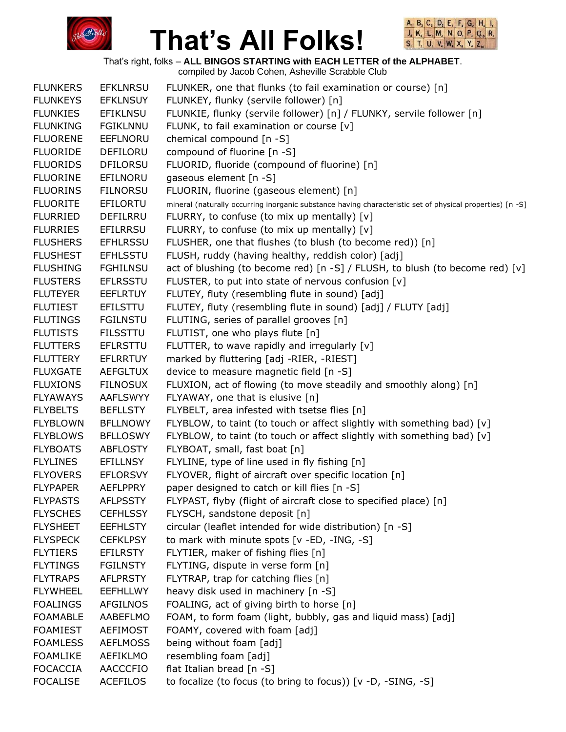



That's right, folks – **ALL BINGOS STARTING with EACH LETTER of the ALPHABET**.

| <b>FLUNKERS</b> | <b>EFKLNRSU</b> | FLUNKER, one that flunks (to fail examination or course) [n]                                              |
|-----------------|-----------------|-----------------------------------------------------------------------------------------------------------|
| <b>FLUNKEYS</b> | <b>EFKLNSUY</b> | FLUNKEY, flunky (servile follower) [n]                                                                    |
| <b>FLUNKIES</b> | <b>EFIKLNSU</b> | FLUNKIE, flunky (servile follower) [n] / FLUNKY, servile follower [n]                                     |
| <b>FLUNKING</b> | <b>FGIKLNNU</b> | FLUNK, to fail examination or course [v]                                                                  |
| <b>FLUORENE</b> | EEFLNORU        | chemical compound [n -S]                                                                                  |
| <b>FLUORIDE</b> | DEFILORU        | compound of fluorine [n -S]                                                                               |
| <b>FLUORIDS</b> | <b>DFILORSU</b> | FLUORID, fluoride (compound of fluorine) [n]                                                              |
| <b>FLUORINE</b> | EFILNORU        | gaseous element [n -S]                                                                                    |
| <b>FLUORINS</b> | <b>FILNORSU</b> | FLUORIN, fluorine (gaseous element) [n]                                                                   |
| <b>FLUORITE</b> | EFILORTU        | mineral (naturally occurring inorganic substance having characteristic set of physical properties) [n -S] |
| <b>FLURRIED</b> | DEFILRRU        | FLURRY, to confuse (to mix up mentally) [v]                                                               |
| <b>FLURRIES</b> | <b>EFILRRSU</b> | FLURRY, to confuse (to mix up mentally) $[v]$                                                             |
| <b>FLUSHERS</b> | <b>EFHLRSSU</b> | FLUSHER, one that flushes (to blush (to become red)) [n]                                                  |
| <b>FLUSHEST</b> | <b>EFHLSSTU</b> | FLUSH, ruddy (having healthy, reddish color) [adj]                                                        |
| <b>FLUSHING</b> | <b>FGHILNSU</b> | act of blushing (to become red) $\lceil n - S \rceil$ / FLUSH, to blush (to become red) $\lceil v \rceil$ |
| <b>FLUSTERS</b> | <b>EFLRSSTU</b> | FLUSTER, to put into state of nervous confusion [v]                                                       |
| <b>FLUTEYER</b> | <b>EEFLRTUY</b> | FLUTEY, fluty (resembling flute in sound) [adj]                                                           |
| <b>FLUTIEST</b> | EFILSTTU        | FLUTEY, fluty (resembling flute in sound) [adj] / FLUTY [adj]                                             |
| <b>FLUTINGS</b> | <b>FGILNSTU</b> | FLUTING, series of parallel grooves [n]                                                                   |
| <b>FLUTISTS</b> | <b>FILSSTTU</b> | FLUTIST, one who plays flute [n]                                                                          |
| <b>FLUTTERS</b> | <b>EFLRSTTU</b> | FLUTTER, to wave rapidly and irregularly [v]                                                              |
| <b>FLUTTERY</b> | <b>EFLRRTUY</b> | marked by fluttering [adj -RIER, -RIEST]                                                                  |
| <b>FLUXGATE</b> | <b>AEFGLTUX</b> | device to measure magnetic field [n -S]                                                                   |
| <b>FLUXIONS</b> | <b>FILNOSUX</b> | FLUXION, act of flowing (to move steadily and smoothly along) [n]                                         |
| <b>FLYAWAYS</b> | <b>AAFLSWYY</b> | FLYAWAY, one that is elusive [n]                                                                          |
| <b>FLYBELTS</b> | <b>BEFLLSTY</b> | FLYBELT, area infested with tsetse flies [n]                                                              |
| <b>FLYBLOWN</b> | <b>BFLLNOWY</b> | FLYBLOW, to taint (to touch or affect slightly with something bad) [v]                                    |
| <b>FLYBLOWS</b> | <b>BFLLOSWY</b> | FLYBLOW, to taint (to touch or affect slightly with something bad) [v]                                    |
| <b>FLYBOATS</b> | <b>ABFLOSTY</b> | FLYBOAT, small, fast boat [n]                                                                             |
| <b>FLYLINES</b> | <b>EFILLNSY</b> | FLYLINE, type of line used in fly fishing [n]                                                             |
| <b>FLYOVERS</b> | <b>EFLORSVY</b> | FLYOVER, flight of aircraft over specific location [n]                                                    |
| <b>FLYPAPER</b> | <b>AEFLPPRY</b> | paper designed to catch or kill flies [n -S]                                                              |
| <b>FLYPASTS</b> | <b>AFLPSSTY</b> | FLYPAST, flyby (flight of aircraft close to specified place) [n]                                          |
| <b>FLYSCHES</b> | <b>CEFHLSSY</b> | FLYSCH, sandstone deposit [n]                                                                             |
| <b>FLYSHEET</b> | <b>EEFHLSTY</b> | circular (leaflet intended for wide distribution) [n -S]                                                  |
| <b>FLYSPECK</b> | <b>CEFKLPSY</b> | to mark with minute spots [v -ED, -ING, -S]                                                               |
| <b>FLYTIERS</b> | <b>EFILRSTY</b> | FLYTIER, maker of fishing flies [n]                                                                       |
| <b>FLYTINGS</b> | <b>FGILNSTY</b> | FLYTING, dispute in verse form [n]                                                                        |
| <b>FLYTRAPS</b> | <b>AFLPRSTY</b> | FLYTRAP, trap for catching flies [n]                                                                      |
| <b>FLYWHEEL</b> | <b>EEFHLLWY</b> | heavy disk used in machinery [n -S]                                                                       |
| <b>FOALINGS</b> | <b>AFGILNOS</b> | FOALING, act of giving birth to horse [n]                                                                 |
| <b>FOAMABLE</b> | AABEFLMO        | FOAM, to form foam (light, bubbly, gas and liquid mass) [adj]                                             |
| <b>FOAMIEST</b> | <b>AEFIMOST</b> | FOAMY, covered with foam [adj]                                                                            |
| <b>FOAMLESS</b> | <b>AEFLMOSS</b> | being without foam [adj]                                                                                  |
| <b>FOAMLIKE</b> | AEFIKLMO        | resembling foam [adj]                                                                                     |
| <b>FOCACCIA</b> | <b>AACCCFIO</b> | flat Italian bread [n -S]                                                                                 |
| <b>FOCALISE</b> | <b>ACEFILOS</b> | to focalize (to focus (to bring to focus)) [v -D, -SING, -S]                                              |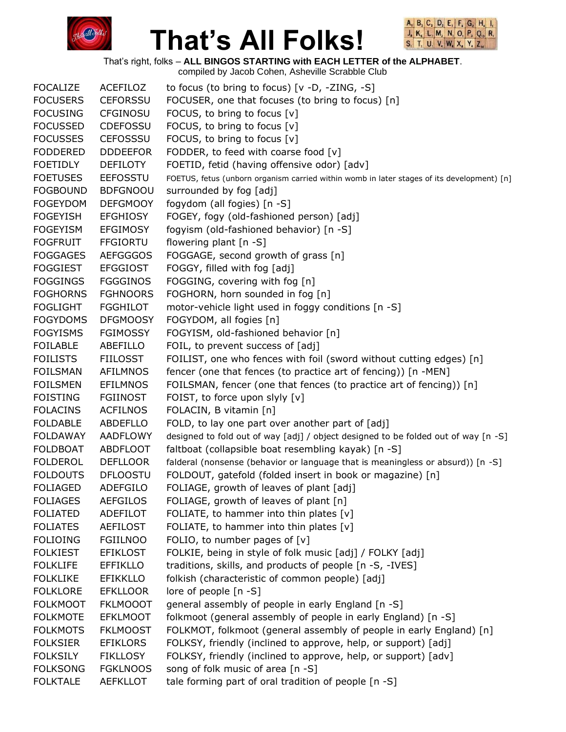



That's right, folks – **ALL BINGOS STARTING with EACH LETTER of the ALPHABET**.

| <b>FOCALIZE</b> | <b>ACEFILOZ</b> | to focus (to bring to focus) $[v -D, -ZING, -S]$                                           |
|-----------------|-----------------|--------------------------------------------------------------------------------------------|
| <b>FOCUSERS</b> | <b>CEFORSSU</b> | FOCUSER, one that focuses (to bring to focus) [n]                                          |
| <b>FOCUSING</b> | <b>CFGINOSU</b> | FOCUS, to bring to focus [v]                                                               |
| <b>FOCUSSED</b> | <b>CDEFOSSU</b> | FOCUS, to bring to focus [v]                                                               |
| <b>FOCUSSES</b> | <b>CEFOSSSU</b> | FOCUS, to bring to focus [v]                                                               |
| <b>FODDERED</b> | <b>DDDEEFOR</b> | FODDER, to feed with coarse food [v]                                                       |
| <b>FOETIDLY</b> | <b>DEFILOTY</b> | FOETID, fetid (having offensive odor) [adv]                                                |
| <b>FOETUSES</b> | <b>EEFOSSTU</b> | FOETUS, fetus (unborn organism carried within womb in later stages of its development) [n] |
| <b>FOGBOUND</b> | <b>BDFGNOOU</b> | surrounded by fog [adj]                                                                    |
| <b>FOGEYDOM</b> | <b>DEFGMOOY</b> | fogydom (all fogies) [n -S]                                                                |
| <b>FOGEYISH</b> | <b>EFGHIOSY</b> | FOGEY, fogy (old-fashioned person) [adj]                                                   |
| <b>FOGEYISM</b> | <b>EFGIMOSY</b> | fogyism (old-fashioned behavior) [n -S]                                                    |
| <b>FOGFRUIT</b> | <b>FFGIORTU</b> | flowering plant [n -S]                                                                     |
| <b>FOGGAGES</b> | <b>AEFGGGOS</b> | FOGGAGE, second growth of grass [n]                                                        |
| <b>FOGGIEST</b> | <b>EFGGIOST</b> | FOGGY, filled with fog [adj]                                                               |
| <b>FOGGINGS</b> | <b>FGGGINOS</b> | FOGGING, covering with fog [n]                                                             |
| <b>FOGHORNS</b> | <b>FGHNOORS</b> | FOGHORN, horn sounded in fog [n]                                                           |
| <b>FOGLIGHT</b> | <b>FGGHILOT</b> | motor-vehicle light used in foggy conditions [n -S]                                        |
| <b>FOGYDOMS</b> | <b>DFGMOOSY</b> | FOGYDOM, all fogies [n]                                                                    |
| <b>FOGYISMS</b> | <b>FGIMOSSY</b> | FOGYISM, old-fashioned behavior [n]                                                        |
| <b>FOILABLE</b> | ABEFILLO        | FOIL, to prevent success of [adj]                                                          |
| <b>FOILISTS</b> | <b>FIILOSST</b> | FOILIST, one who fences with foil (sword without cutting edges) [n]                        |
| <b>FOILSMAN</b> | AFILMNOS        | fencer (one that fences (to practice art of fencing)) [n -MEN]                             |
| <b>FOILSMEN</b> | <b>EFILMNOS</b> | FOILSMAN, fencer (one that fences (to practice art of fencing)) [n]                        |
| <b>FOISTING</b> | <b>FGIINOST</b> | FOIST, to force upon slyly [v]                                                             |
| <b>FOLACINS</b> | <b>ACFILNOS</b> | FOLACIN, B vitamin [n]                                                                     |
| <b>FOLDABLE</b> | ABDEFLLO        | FOLD, to lay one part over another part of [adj]                                           |
| <b>FOLDAWAY</b> | <b>AADFLOWY</b> | designed to fold out of way [adj] / object designed to be folded out of way [n -S]         |
| <b>FOLDBOAT</b> | <b>ABDFLOOT</b> | faltboat (collapsible boat resembling kayak) [n -S]                                        |
| <b>FOLDEROL</b> | <b>DEFLLOOR</b> | falderal (nonsense (behavior or language that is meaningless or absurd)) [n -S]            |
| <b>FOLDOUTS</b> | <b>DFLOOSTU</b> | FOLDOUT, gatefold (folded insert in book or magazine) [n]                                  |
| <b>FOLIAGED</b> | <b>ADEFGILO</b> | FOLIAGE, growth of leaves of plant [adj]                                                   |
| <b>FOLIAGES</b> | <b>AEFGILOS</b> | FOLIAGE, growth of leaves of plant [n]                                                     |
| <b>FOLIATED</b> | <b>ADEFILOT</b> | FOLIATE, to hammer into thin plates $[v]$                                                  |
| <b>FOLIATES</b> | <b>AEFILOST</b> | FOLIATE, to hammer into thin plates [v]                                                    |
| <b>FOLIOING</b> | <b>FGIILNOO</b> | FOLIO, to number pages of $[v]$                                                            |
| <b>FOLKIEST</b> | <b>EFIKLOST</b> | FOLKIE, being in style of folk music [adj] / FOLKY [adj]                                   |
| <b>FOLKLIFE</b> | <b>EFFIKLLO</b> | traditions, skills, and products of people [n -S, -IVES]                                   |
| <b>FOLKLIKE</b> | <b>EFIKKLLO</b> | folkish (characteristic of common people) [adj]                                            |
| <b>FOLKLORE</b> | <b>EFKLLOOR</b> | lore of people [n -S]                                                                      |
| <b>FOLKMOOT</b> | <b>FKLMOOOT</b> | general assembly of people in early England [n -S]                                         |
| <b>FOLKMOTE</b> | <b>EFKLMOOT</b> | folkmoot (general assembly of people in early England) [n -S]                              |
| <b>FOLKMOTS</b> | <b>FKLMOOST</b> | FOLKMOT, folkmoot (general assembly of people in early England) [n]                        |
| <b>FOLKSIER</b> | <b>EFIKLORS</b> | FOLKSY, friendly (inclined to approve, help, or support) [adj]                             |
| <b>FOLKSILY</b> | <b>FIKLLOSY</b> | FOLKSY, friendly (inclined to approve, help, or support) [adv]                             |
| <b>FOLKSONG</b> | <b>FGKLNOOS</b> | song of folk music of area [n -S]                                                          |
| <b>FOLKTALE</b> | AEFKLLOT        | tale forming part of oral tradition of people [n -S]                                       |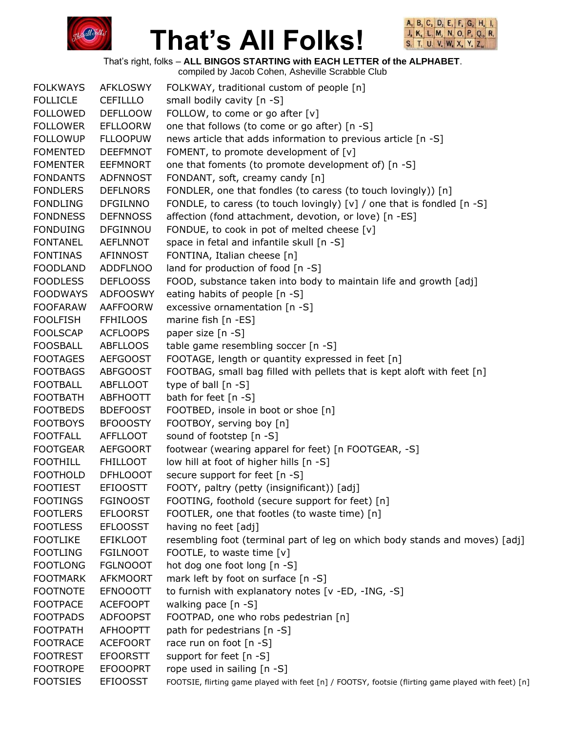



That's right, folks – **ALL BINGOS STARTING with EACH LETTER of the ALPHABET**.

compiled by Jacob Cohen, Asheville Scrabble Club FOLKWAYS AFKLOSWY FOLKWAY, traditional custom of people [n] FOLLICLE CEFILLLO small bodily cavity [n -S] FOLLOWED DEFLLOOW FOLLOW, to come or go after [v] FOLLOWER EFLLOORW one that follows (to come or go after) [n -S] FOLLOWUP FLLOOPUW news article that adds information to previous article [n -S] FOMENTED DEEFMNOT FOMENT, to promote development of [v] FOMENTER EEFMNORT one that foments (to promote development of) [n -S] FONDANTS ADFNNOST FONDANT, soft, creamy candy [n] FONDLERS DEFLNORS FONDLER, one that fondles (to caress (to touch lovingly)) [n] FONDLING DFGILNNO FONDLE, to caress (to touch lovingly) [v] / one that is fondled [n -S] FONDNESS DEFNNOSS affection (fond attachment, devotion, or love) [n -ES] FONDUING DFGINNOU FONDUE, to cook in pot of melted cheese [v] FONTANEL AEFLNNOT space in fetal and infantile skull [n -S] FONTINAS AFINNOST FONTINA, Italian cheese [n] FOODLAND ADDFLNOO land for production of food [n -S] FOODLESS DEFLOOSS FOOD, substance taken into body to maintain life and growth [adj] FOODWAYS ADFOOSWY eating habits of people [n -S] FOOFARAW AAFFOORW excessive ornamentation [n -S] FOOLFISH FFHILOOS marine fish [n -ES] FOOLSCAP ACFLOOPS paper size [n -S] FOOSBALL ABFLLOOS table game resembling soccer [n -S] FOOTAGES AEFGOOST FOOTAGE, length or quantity expressed in feet [n] FOOTBAGS ABFGOOST FOOTBAG, small bag filled with pellets that is kept aloft with feet [n] FOOTBALL ABFLLOOT type of ball [n -S] FOOTBATH ABFHOOTT bath for feet [n -S] FOOTBEDS BDEFOOST FOOTBED, insole in boot or shoe [n] FOOTBOYS BFOOOSTY FOOTBOY, serving boy [n] FOOTFALL AFFLLOOT sound of footstep [n -S] FOOTGEAR AEFGOORT footwear (wearing apparel for feet) [n FOOTGEAR, -S] FOOTHILL FHILLOOT low hill at foot of higher hills [n -S] FOOTHOLD DFHLOOOT secure support for feet [n -S] FOOTIEST EFIOOSTT FOOTY, paltry (petty (insignificant)) [adj] FOOTINGS FGINOOST FOOTING, foothold (secure support for feet) [n] FOOTLERS EFLOORST FOOTLER, one that footles (to waste time) [n] FOOTLESS EFLOOSST having no feet [adj] FOOTLIKE EFIKLOOT resembling foot (terminal part of leg on which body stands and moves) [adj] FOOTLING FGILNOOT FOOTLE, to waste time [v] FOOTLONG FGLNOOOT hot dog one foot long [n -S] FOOTMARK AFKMOORT mark left by foot on surface [n -S] FOOTNOTE EFNOOOTT to furnish with explanatory notes [v -ED, -ING, -S] FOOTPACE ACEFOOPT walking pace [n -S] FOOTPADS ADFOOPST FOOTPAD, one who robs pedestrian [n] FOOTPATH AFHOOPTT path for pedestrians [n -S] FOOTRACE ACEFOORT race run on foot [n -S] FOOTREST EFOORSTT support for feet [n -S] FOOTROPE EFOOOPRT rope used in sailing [n -S] FOOTSIES EFIOOSST FOOTSIE, flirting game played with feet [n] / FOOTSY, footsie (flirting game played with feet) [n]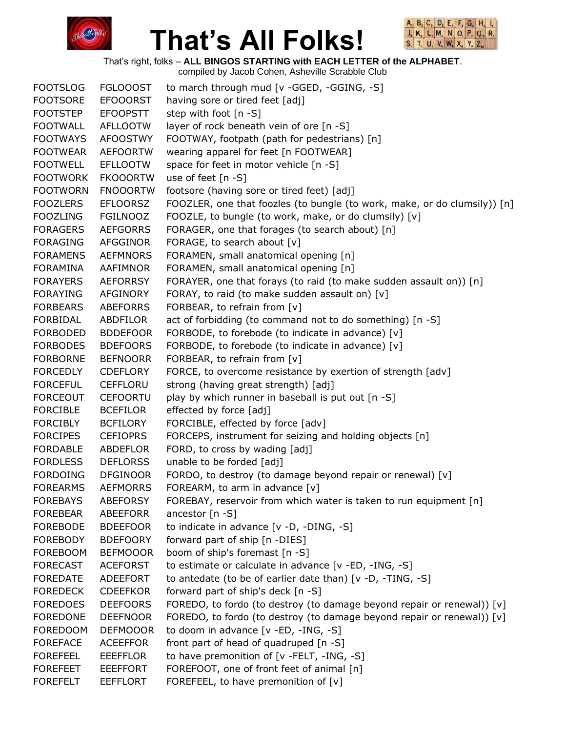



That's right, folks – **ALL BINGOS STARTING with EACH LETTER of the ALPHABET**.

| <b>FOOTSLOG</b> | <b>FGLOOOST</b> | to march through mud [v -GGED, -GGING, -S]                                |
|-----------------|-----------------|---------------------------------------------------------------------------|
| <b>FOOTSORE</b> | <b>EFOOORST</b> | having sore or tired feet [adj]                                           |
| <b>FOOTSTEP</b> | <b>EFOOPSTT</b> | step with foot [n -S]                                                     |
| <b>FOOTWALL</b> | <b>AFLLOOTW</b> | layer of rock beneath vein of ore [n -S]                                  |
| <b>FOOTWAYS</b> | <b>AFOOSTWY</b> | FOOTWAY, footpath (path for pedestrians) [n]                              |
| <b>FOOTWEAR</b> | <b>AEFOORTW</b> | wearing apparel for feet [n FOOTWEAR]                                     |
| <b>FOOTWELL</b> | <b>EFLLOOTW</b> | space for feet in motor vehicle [n -S]                                    |
| <b>FOOTWORK</b> | <b>FKOOORTW</b> | use of feet [n -S]                                                        |
| <b>FOOTWORN</b> | <b>FNOOORTW</b> | footsore (having sore or tired feet) [adj]                                |
| <b>FOOZLERS</b> | <b>EFLOORSZ</b> | FOOZLER, one that foozles (to bungle (to work, make, or do clumsily)) [n] |
| <b>FOOZLING</b> | <b>FGILNOOZ</b> | FOOZLE, to bungle (to work, make, or do clumsily) [v]                     |
| <b>FORAGERS</b> | <b>AEFGORRS</b> | FORAGER, one that forages (to search about) [n]                           |
| <b>FORAGING</b> | AFGGINOR        | FORAGE, to search about [v]                                               |
| <b>FORAMENS</b> | <b>AEFMNORS</b> | FORAMEN, small anatomical opening [n]                                     |
| FORAMINA        | AAFIMNOR        | FORAMEN, small anatomical opening [n]                                     |
| <b>FORAYERS</b> | <b>AEFORRSY</b> | FORAYER, one that forays (to raid (to make sudden assault on)) [n]        |
| <b>FORAYING</b> | AFGINORY        | FORAY, to raid (to make sudden assault on) [v]                            |
| <b>FORBEARS</b> | <b>ABEFORRS</b> | FORBEAR, to refrain from [v]                                              |
| FORBIDAL        | ABDFILOR        | act of forbidding (to command not to do something) [n -S]                 |
| <b>FORBODED</b> | <b>BDDEFOOR</b> | FORBODE, to forebode (to indicate in advance) [v]                         |
| <b>FORBODES</b> | <b>BDEFOORS</b> | FORBODE, to forebode (to indicate in advance) [v]                         |
| <b>FORBORNE</b> | <b>BEFNOORR</b> | FORBEAR, to refrain from [v]                                              |
| <b>FORCEDLY</b> | <b>CDEFLORY</b> | FORCE, to overcome resistance by exertion of strength [adv]               |
| <b>FORCEFUL</b> | <b>CEFFLORU</b> | strong (having great strength) [adj]                                      |
| <b>FORCEOUT</b> | <b>CEFOORTU</b> | play by which runner in baseball is put out [n -S]                        |
| <b>FORCIBLE</b> | <b>BCEFILOR</b> | effected by force [adj]                                                   |
| <b>FORCIBLY</b> | <b>BCFILORY</b> | FORCIBLE, effected by force [adv]                                         |
| <b>FORCIPES</b> | <b>CEFIOPRS</b> | FORCEPS, instrument for seizing and holding objects [n]                   |
| <b>FORDABLE</b> | ABDEFLOR        | FORD, to cross by wading [adj]                                            |
| <b>FORDLESS</b> | <b>DEFLORSS</b> | unable to be forded [adj]                                                 |
| <b>FORDOING</b> | <b>DFGINOOR</b> | FORDO, to destroy (to damage beyond repair or renewal) [v]                |
| <b>FOREARMS</b> | <b>AEFMORRS</b> | FOREARM, to arm in advance [v]                                            |
| <b>FOREBAYS</b> | <b>ABEFORSY</b> | FOREBAY, reservoir from which water is taken to run equipment [n]         |
| <b>FOREBEAR</b> | ABEEFORR        | ancestor [n -S]                                                           |
| <b>FOREBODE</b> | <b>BDEEFOOR</b> | to indicate in advance [v -D, -DING, -S]                                  |
| <b>FOREBODY</b> | <b>BDEFOORY</b> | forward part of ship [n -DIES]                                            |
| <b>FOREBOOM</b> | <b>BEFMOOOR</b> | boom of ship's foremast [n -S]                                            |
| <b>FORECAST</b> | <b>ACEFORST</b> | to estimate or calculate in advance [v -ED, -ING, -S]                     |
| <b>FOREDATE</b> | <b>ADEEFORT</b> | to antedate (to be of earlier date than) [v -D, -TING, -S]                |
| <b>FOREDECK</b> | <b>CDEEFKOR</b> | forward part of ship's deck [n -S]                                        |
| <b>FOREDOES</b> | <b>DEEFOORS</b> | FOREDO, to fordo (to destroy (to damage beyond repair or renewal)) [v]    |
| <b>FOREDONE</b> | <b>DEEFNOOR</b> | FOREDO, to fordo (to destroy (to damage beyond repair or renewal)) $[v]$  |
| <b>FOREDOOM</b> | <b>DEFMOOOR</b> | to doom in advance [v -ED, -ING, -S]                                      |
| <b>FOREFACE</b> | <b>ACEEFFOR</b> | front part of head of quadruped [n -S]                                    |
| <b>FOREFEEL</b> | <b>EEEFFLOR</b> | to have premonition of [v -FELT, -ING, -S]                                |
| <b>FOREFEET</b> | <b>EEEFFORT</b> | FOREFOOT, one of front feet of animal [n]                                 |
| <b>FOREFELT</b> | <b>EEFFLORT</b> | FOREFEEL, to have premonition of [v]                                      |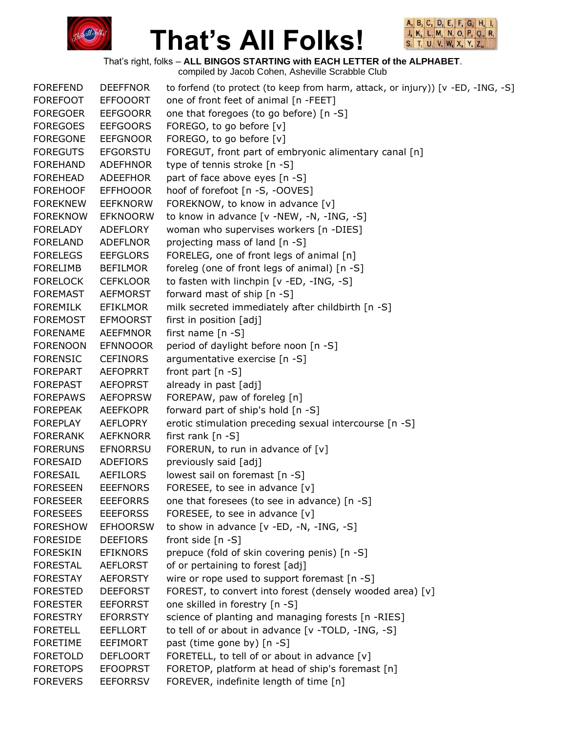



That's right, folks – **ALL BINGOS STARTING with EACH LETTER of the ALPHABET**.

| one of front feet of animal [n -FEET]<br><b>FOREFOOT</b><br><b>EFFOOORT</b><br>one that foregoes (to go before) [n -S]<br><b>FOREGOER</b><br><b>EEFGOORR</b><br>FOREGO, to go before [v]<br><b>FOREGOES</b><br><b>EEFGOORS</b><br><b>FOREGONE</b><br><b>EEFGNOOR</b><br>FOREGO, to go before [v]<br><b>FOREGUTS</b><br><b>EFGORSTU</b><br>FOREGUT, front part of embryonic alimentary canal [n]<br>type of tennis stroke [n -S]<br><b>FOREHAND</b><br><b>ADEFHNOR</b><br>part of face above eyes [n -S]<br><b>FOREHEAD</b><br><b>ADEEFHOR</b><br>hoof of forefoot [n -S, -OOVES]<br><b>FOREHOOF</b><br><b>EFFHOOOR</b><br><b>FOREKNEW</b><br><b>EEFKNORW</b><br>FOREKNOW, to know in advance [v]<br><b>FOREKNOW</b><br>to know in advance [v -NEW, -N, -ING, -S]<br><b>EFKNOORW</b><br>ADEFLORY<br>woman who supervises workers [n -DIES]<br>FORELADY<br>projecting mass of land [n -S]<br><b>FORELAND</b><br><b>ADEFLNOR</b><br>FORELEG, one of front legs of animal [n]<br><b>FORELEGS</b><br><b>EEFGLORS</b><br>foreleg (one of front legs of animal) [n -S]<br><b>FORELIMB</b><br><b>BEFILMOR</b><br>to fasten with linchpin [v -ED, -ING, -S]<br><b>FORELOCK</b><br><b>CEFKLOOR</b><br>forward mast of ship [n -S]<br><b>FOREMAST</b><br><b>AEFMORST</b><br>milk secreted immediately after childbirth [n -S]<br><b>FOREMILK</b><br><b>EFIKLMOR</b><br><b>EFMOORST</b><br>first in position [adj]<br><b>FOREMOST</b><br>first name $[n -S]$<br><b>FORENAME</b><br><b>AEEFMNOR</b><br><b>FORENOON</b><br><b>EFNNOOOR</b><br>period of daylight before noon [n -S]<br>argumentative exercise [n -S]<br><b>FORENSIC</b><br><b>CEFINORS</b><br><b>FOREPART</b><br>front part $[n -S]$<br><b>AEFOPRRT</b><br>already in past [adj]<br><b>FOREPAST</b><br><b>AEFOPRST</b><br>FOREPAW, paw of foreleg [n]<br><b>FOREPAWS</b><br><b>AEFOPRSW</b><br>forward part of ship's hold [n -S]<br><b>FOREPEAK</b><br><b>AEEFKOPR</b><br>erotic stimulation preceding sexual intercourse [n -S]<br><b>FOREPLAY</b><br><b>AEFLOPRY</b><br>first rank $[n -S]$<br><b>FORERANK</b><br><b>AEFKNORR</b><br><b>FORERUNS</b><br><b>EFNORRSU</b><br>FORERUN, to run in advance of $[v]$<br><b>FORESAID</b><br>ADEFIORS<br>previously said [adj]<br>lowest sail on foremast [n -S]<br><b>FORESAIL</b><br>AEFILORS<br><b>FORESEEN</b><br><b>EEEFNORS</b><br>FORESEE, to see in advance [v]<br><b>FORESEER</b><br><b>EEEFORRS</b><br>one that foresees (to see in advance) [n -S]<br><b>FORESEES</b><br><b>EEEFORSS</b><br>FORESEE, to see in advance [v]<br>to show in advance [v -ED, -N, -ING, -S]<br><b>FORESHOW</b><br><b>EFHOORSW</b><br>front side [n -S]<br><b>FORESIDE</b><br><b>DEEFIORS</b><br>prepuce (fold of skin covering penis) [n -S]<br><b>FORESKIN</b><br><b>EFIKNORS</b><br>of or pertaining to forest [adj]<br><b>FORESTAL</b><br><b>AEFLORST</b><br><b>FORESTAY</b><br><b>AEFORSTY</b><br>wire or rope used to support foremast [n -S]<br>FOREST, to convert into forest (densely wooded area) [v]<br><b>FORESTED</b><br><b>DEEFORST</b><br>one skilled in forestry [n -S]<br><b>FORESTER</b><br><b>EEFORRST</b><br>science of planting and managing forests [n -RIES]<br><b>FORESTRY</b><br><b>EFORRSTY</b><br>to tell of or about in advance [v -TOLD, -ING, -S]<br><b>FORETELL</b><br><b>EEFLLORT</b><br>past (time gone by) [n -S]<br><b>FORETIME</b><br><b>EEFIMORT</b><br><b>FORETOLD</b><br><b>DEFLOORT</b><br>FORETELL, to tell of or about in advance [v]<br>FORETOP, platform at head of ship's foremast [n]<br><b>FORETOPS</b><br><b>EFOOPRST</b><br>FOREVER, indefinite length of time [n]<br><b>FOREVERS</b><br><b>EEFORRSV</b> | <b>FOREFEND</b> | <b>DEEFFNOR</b> | to forfend (to protect (to keep from harm, attack, or injury)) [v -ED, -ING, -S] |
|---------------------------------------------------------------------------------------------------------------------------------------------------------------------------------------------------------------------------------------------------------------------------------------------------------------------------------------------------------------------------------------------------------------------------------------------------------------------------------------------------------------------------------------------------------------------------------------------------------------------------------------------------------------------------------------------------------------------------------------------------------------------------------------------------------------------------------------------------------------------------------------------------------------------------------------------------------------------------------------------------------------------------------------------------------------------------------------------------------------------------------------------------------------------------------------------------------------------------------------------------------------------------------------------------------------------------------------------------------------------------------------------------------------------------------------------------------------------------------------------------------------------------------------------------------------------------------------------------------------------------------------------------------------------------------------------------------------------------------------------------------------------------------------------------------------------------------------------------------------------------------------------------------------------------------------------------------------------------------------------------------------------------------------------------------------------------------------------------------------------------------------------------------------------------------------------------------------------------------------------------------------------------------------------------------------------------------------------------------------------------------------------------------------------------------------------------------------------------------------------------------------------------------------------------------------------------------------------------------------------------------------------------------------------------------------------------------------------------------------------------------------------------------------------------------------------------------------------------------------------------------------------------------------------------------------------------------------------------------------------------------------------------------------------------------------------------------------------------------------------------------------------------------------------------------------------------------------------------------------------------------------------------------------------------------------------------------------------------------------------------------------------------------------------------------------------------------------------------------------------------------------------------------------------------------------------------------------------------------------------------------------------|-----------------|-----------------|----------------------------------------------------------------------------------|
|                                                                                                                                                                                                                                                                                                                                                                                                                                                                                                                                                                                                                                                                                                                                                                                                                                                                                                                                                                                                                                                                                                                                                                                                                                                                                                                                                                                                                                                                                                                                                                                                                                                                                                                                                                                                                                                                                                                                                                                                                                                                                                                                                                                                                                                                                                                                                                                                                                                                                                                                                                                                                                                                                                                                                                                                                                                                                                                                                                                                                                                                                                                                                                                                                                                                                                                                                                                                                                                                                                                                                                                                                                             |                 |                 |                                                                                  |
|                                                                                                                                                                                                                                                                                                                                                                                                                                                                                                                                                                                                                                                                                                                                                                                                                                                                                                                                                                                                                                                                                                                                                                                                                                                                                                                                                                                                                                                                                                                                                                                                                                                                                                                                                                                                                                                                                                                                                                                                                                                                                                                                                                                                                                                                                                                                                                                                                                                                                                                                                                                                                                                                                                                                                                                                                                                                                                                                                                                                                                                                                                                                                                                                                                                                                                                                                                                                                                                                                                                                                                                                                                             |                 |                 |                                                                                  |
|                                                                                                                                                                                                                                                                                                                                                                                                                                                                                                                                                                                                                                                                                                                                                                                                                                                                                                                                                                                                                                                                                                                                                                                                                                                                                                                                                                                                                                                                                                                                                                                                                                                                                                                                                                                                                                                                                                                                                                                                                                                                                                                                                                                                                                                                                                                                                                                                                                                                                                                                                                                                                                                                                                                                                                                                                                                                                                                                                                                                                                                                                                                                                                                                                                                                                                                                                                                                                                                                                                                                                                                                                                             |                 |                 |                                                                                  |
|                                                                                                                                                                                                                                                                                                                                                                                                                                                                                                                                                                                                                                                                                                                                                                                                                                                                                                                                                                                                                                                                                                                                                                                                                                                                                                                                                                                                                                                                                                                                                                                                                                                                                                                                                                                                                                                                                                                                                                                                                                                                                                                                                                                                                                                                                                                                                                                                                                                                                                                                                                                                                                                                                                                                                                                                                                                                                                                                                                                                                                                                                                                                                                                                                                                                                                                                                                                                                                                                                                                                                                                                                                             |                 |                 |                                                                                  |
|                                                                                                                                                                                                                                                                                                                                                                                                                                                                                                                                                                                                                                                                                                                                                                                                                                                                                                                                                                                                                                                                                                                                                                                                                                                                                                                                                                                                                                                                                                                                                                                                                                                                                                                                                                                                                                                                                                                                                                                                                                                                                                                                                                                                                                                                                                                                                                                                                                                                                                                                                                                                                                                                                                                                                                                                                                                                                                                                                                                                                                                                                                                                                                                                                                                                                                                                                                                                                                                                                                                                                                                                                                             |                 |                 |                                                                                  |
|                                                                                                                                                                                                                                                                                                                                                                                                                                                                                                                                                                                                                                                                                                                                                                                                                                                                                                                                                                                                                                                                                                                                                                                                                                                                                                                                                                                                                                                                                                                                                                                                                                                                                                                                                                                                                                                                                                                                                                                                                                                                                                                                                                                                                                                                                                                                                                                                                                                                                                                                                                                                                                                                                                                                                                                                                                                                                                                                                                                                                                                                                                                                                                                                                                                                                                                                                                                                                                                                                                                                                                                                                                             |                 |                 |                                                                                  |
|                                                                                                                                                                                                                                                                                                                                                                                                                                                                                                                                                                                                                                                                                                                                                                                                                                                                                                                                                                                                                                                                                                                                                                                                                                                                                                                                                                                                                                                                                                                                                                                                                                                                                                                                                                                                                                                                                                                                                                                                                                                                                                                                                                                                                                                                                                                                                                                                                                                                                                                                                                                                                                                                                                                                                                                                                                                                                                                                                                                                                                                                                                                                                                                                                                                                                                                                                                                                                                                                                                                                                                                                                                             |                 |                 |                                                                                  |
|                                                                                                                                                                                                                                                                                                                                                                                                                                                                                                                                                                                                                                                                                                                                                                                                                                                                                                                                                                                                                                                                                                                                                                                                                                                                                                                                                                                                                                                                                                                                                                                                                                                                                                                                                                                                                                                                                                                                                                                                                                                                                                                                                                                                                                                                                                                                                                                                                                                                                                                                                                                                                                                                                                                                                                                                                                                                                                                                                                                                                                                                                                                                                                                                                                                                                                                                                                                                                                                                                                                                                                                                                                             |                 |                 |                                                                                  |
|                                                                                                                                                                                                                                                                                                                                                                                                                                                                                                                                                                                                                                                                                                                                                                                                                                                                                                                                                                                                                                                                                                                                                                                                                                                                                                                                                                                                                                                                                                                                                                                                                                                                                                                                                                                                                                                                                                                                                                                                                                                                                                                                                                                                                                                                                                                                                                                                                                                                                                                                                                                                                                                                                                                                                                                                                                                                                                                                                                                                                                                                                                                                                                                                                                                                                                                                                                                                                                                                                                                                                                                                                                             |                 |                 |                                                                                  |
|                                                                                                                                                                                                                                                                                                                                                                                                                                                                                                                                                                                                                                                                                                                                                                                                                                                                                                                                                                                                                                                                                                                                                                                                                                                                                                                                                                                                                                                                                                                                                                                                                                                                                                                                                                                                                                                                                                                                                                                                                                                                                                                                                                                                                                                                                                                                                                                                                                                                                                                                                                                                                                                                                                                                                                                                                                                                                                                                                                                                                                                                                                                                                                                                                                                                                                                                                                                                                                                                                                                                                                                                                                             |                 |                 |                                                                                  |
|                                                                                                                                                                                                                                                                                                                                                                                                                                                                                                                                                                                                                                                                                                                                                                                                                                                                                                                                                                                                                                                                                                                                                                                                                                                                                                                                                                                                                                                                                                                                                                                                                                                                                                                                                                                                                                                                                                                                                                                                                                                                                                                                                                                                                                                                                                                                                                                                                                                                                                                                                                                                                                                                                                                                                                                                                                                                                                                                                                                                                                                                                                                                                                                                                                                                                                                                                                                                                                                                                                                                                                                                                                             |                 |                 |                                                                                  |
|                                                                                                                                                                                                                                                                                                                                                                                                                                                                                                                                                                                                                                                                                                                                                                                                                                                                                                                                                                                                                                                                                                                                                                                                                                                                                                                                                                                                                                                                                                                                                                                                                                                                                                                                                                                                                                                                                                                                                                                                                                                                                                                                                                                                                                                                                                                                                                                                                                                                                                                                                                                                                                                                                                                                                                                                                                                                                                                                                                                                                                                                                                                                                                                                                                                                                                                                                                                                                                                                                                                                                                                                                                             |                 |                 |                                                                                  |
|                                                                                                                                                                                                                                                                                                                                                                                                                                                                                                                                                                                                                                                                                                                                                                                                                                                                                                                                                                                                                                                                                                                                                                                                                                                                                                                                                                                                                                                                                                                                                                                                                                                                                                                                                                                                                                                                                                                                                                                                                                                                                                                                                                                                                                                                                                                                                                                                                                                                                                                                                                                                                                                                                                                                                                                                                                                                                                                                                                                                                                                                                                                                                                                                                                                                                                                                                                                                                                                                                                                                                                                                                                             |                 |                 |                                                                                  |
|                                                                                                                                                                                                                                                                                                                                                                                                                                                                                                                                                                                                                                                                                                                                                                                                                                                                                                                                                                                                                                                                                                                                                                                                                                                                                                                                                                                                                                                                                                                                                                                                                                                                                                                                                                                                                                                                                                                                                                                                                                                                                                                                                                                                                                                                                                                                                                                                                                                                                                                                                                                                                                                                                                                                                                                                                                                                                                                                                                                                                                                                                                                                                                                                                                                                                                                                                                                                                                                                                                                                                                                                                                             |                 |                 |                                                                                  |
|                                                                                                                                                                                                                                                                                                                                                                                                                                                                                                                                                                                                                                                                                                                                                                                                                                                                                                                                                                                                                                                                                                                                                                                                                                                                                                                                                                                                                                                                                                                                                                                                                                                                                                                                                                                                                                                                                                                                                                                                                                                                                                                                                                                                                                                                                                                                                                                                                                                                                                                                                                                                                                                                                                                                                                                                                                                                                                                                                                                                                                                                                                                                                                                                                                                                                                                                                                                                                                                                                                                                                                                                                                             |                 |                 |                                                                                  |
|                                                                                                                                                                                                                                                                                                                                                                                                                                                                                                                                                                                                                                                                                                                                                                                                                                                                                                                                                                                                                                                                                                                                                                                                                                                                                                                                                                                                                                                                                                                                                                                                                                                                                                                                                                                                                                                                                                                                                                                                                                                                                                                                                                                                                                                                                                                                                                                                                                                                                                                                                                                                                                                                                                                                                                                                                                                                                                                                                                                                                                                                                                                                                                                                                                                                                                                                                                                                                                                                                                                                                                                                                                             |                 |                 |                                                                                  |
|                                                                                                                                                                                                                                                                                                                                                                                                                                                                                                                                                                                                                                                                                                                                                                                                                                                                                                                                                                                                                                                                                                                                                                                                                                                                                                                                                                                                                                                                                                                                                                                                                                                                                                                                                                                                                                                                                                                                                                                                                                                                                                                                                                                                                                                                                                                                                                                                                                                                                                                                                                                                                                                                                                                                                                                                                                                                                                                                                                                                                                                                                                                                                                                                                                                                                                                                                                                                                                                                                                                                                                                                                                             |                 |                 |                                                                                  |
|                                                                                                                                                                                                                                                                                                                                                                                                                                                                                                                                                                                                                                                                                                                                                                                                                                                                                                                                                                                                                                                                                                                                                                                                                                                                                                                                                                                                                                                                                                                                                                                                                                                                                                                                                                                                                                                                                                                                                                                                                                                                                                                                                                                                                                                                                                                                                                                                                                                                                                                                                                                                                                                                                                                                                                                                                                                                                                                                                                                                                                                                                                                                                                                                                                                                                                                                                                                                                                                                                                                                                                                                                                             |                 |                 |                                                                                  |
|                                                                                                                                                                                                                                                                                                                                                                                                                                                                                                                                                                                                                                                                                                                                                                                                                                                                                                                                                                                                                                                                                                                                                                                                                                                                                                                                                                                                                                                                                                                                                                                                                                                                                                                                                                                                                                                                                                                                                                                                                                                                                                                                                                                                                                                                                                                                                                                                                                                                                                                                                                                                                                                                                                                                                                                                                                                                                                                                                                                                                                                                                                                                                                                                                                                                                                                                                                                                                                                                                                                                                                                                                                             |                 |                 |                                                                                  |
|                                                                                                                                                                                                                                                                                                                                                                                                                                                                                                                                                                                                                                                                                                                                                                                                                                                                                                                                                                                                                                                                                                                                                                                                                                                                                                                                                                                                                                                                                                                                                                                                                                                                                                                                                                                                                                                                                                                                                                                                                                                                                                                                                                                                                                                                                                                                                                                                                                                                                                                                                                                                                                                                                                                                                                                                                                                                                                                                                                                                                                                                                                                                                                                                                                                                                                                                                                                                                                                                                                                                                                                                                                             |                 |                 |                                                                                  |
|                                                                                                                                                                                                                                                                                                                                                                                                                                                                                                                                                                                                                                                                                                                                                                                                                                                                                                                                                                                                                                                                                                                                                                                                                                                                                                                                                                                                                                                                                                                                                                                                                                                                                                                                                                                                                                                                                                                                                                                                                                                                                                                                                                                                                                                                                                                                                                                                                                                                                                                                                                                                                                                                                                                                                                                                                                                                                                                                                                                                                                                                                                                                                                                                                                                                                                                                                                                                                                                                                                                                                                                                                                             |                 |                 |                                                                                  |
|                                                                                                                                                                                                                                                                                                                                                                                                                                                                                                                                                                                                                                                                                                                                                                                                                                                                                                                                                                                                                                                                                                                                                                                                                                                                                                                                                                                                                                                                                                                                                                                                                                                                                                                                                                                                                                                                                                                                                                                                                                                                                                                                                                                                                                                                                                                                                                                                                                                                                                                                                                                                                                                                                                                                                                                                                                                                                                                                                                                                                                                                                                                                                                                                                                                                                                                                                                                                                                                                                                                                                                                                                                             |                 |                 |                                                                                  |
|                                                                                                                                                                                                                                                                                                                                                                                                                                                                                                                                                                                                                                                                                                                                                                                                                                                                                                                                                                                                                                                                                                                                                                                                                                                                                                                                                                                                                                                                                                                                                                                                                                                                                                                                                                                                                                                                                                                                                                                                                                                                                                                                                                                                                                                                                                                                                                                                                                                                                                                                                                                                                                                                                                                                                                                                                                                                                                                                                                                                                                                                                                                                                                                                                                                                                                                                                                                                                                                                                                                                                                                                                                             |                 |                 |                                                                                  |
|                                                                                                                                                                                                                                                                                                                                                                                                                                                                                                                                                                                                                                                                                                                                                                                                                                                                                                                                                                                                                                                                                                                                                                                                                                                                                                                                                                                                                                                                                                                                                                                                                                                                                                                                                                                                                                                                                                                                                                                                                                                                                                                                                                                                                                                                                                                                                                                                                                                                                                                                                                                                                                                                                                                                                                                                                                                                                                                                                                                                                                                                                                                                                                                                                                                                                                                                                                                                                                                                                                                                                                                                                                             |                 |                 |                                                                                  |
|                                                                                                                                                                                                                                                                                                                                                                                                                                                                                                                                                                                                                                                                                                                                                                                                                                                                                                                                                                                                                                                                                                                                                                                                                                                                                                                                                                                                                                                                                                                                                                                                                                                                                                                                                                                                                                                                                                                                                                                                                                                                                                                                                                                                                                                                                                                                                                                                                                                                                                                                                                                                                                                                                                                                                                                                                                                                                                                                                                                                                                                                                                                                                                                                                                                                                                                                                                                                                                                                                                                                                                                                                                             |                 |                 |                                                                                  |
|                                                                                                                                                                                                                                                                                                                                                                                                                                                                                                                                                                                                                                                                                                                                                                                                                                                                                                                                                                                                                                                                                                                                                                                                                                                                                                                                                                                                                                                                                                                                                                                                                                                                                                                                                                                                                                                                                                                                                                                                                                                                                                                                                                                                                                                                                                                                                                                                                                                                                                                                                                                                                                                                                                                                                                                                                                                                                                                                                                                                                                                                                                                                                                                                                                                                                                                                                                                                                                                                                                                                                                                                                                             |                 |                 |                                                                                  |
|                                                                                                                                                                                                                                                                                                                                                                                                                                                                                                                                                                                                                                                                                                                                                                                                                                                                                                                                                                                                                                                                                                                                                                                                                                                                                                                                                                                                                                                                                                                                                                                                                                                                                                                                                                                                                                                                                                                                                                                                                                                                                                                                                                                                                                                                                                                                                                                                                                                                                                                                                                                                                                                                                                                                                                                                                                                                                                                                                                                                                                                                                                                                                                                                                                                                                                                                                                                                                                                                                                                                                                                                                                             |                 |                 |                                                                                  |
|                                                                                                                                                                                                                                                                                                                                                                                                                                                                                                                                                                                                                                                                                                                                                                                                                                                                                                                                                                                                                                                                                                                                                                                                                                                                                                                                                                                                                                                                                                                                                                                                                                                                                                                                                                                                                                                                                                                                                                                                                                                                                                                                                                                                                                                                                                                                                                                                                                                                                                                                                                                                                                                                                                                                                                                                                                                                                                                                                                                                                                                                                                                                                                                                                                                                                                                                                                                                                                                                                                                                                                                                                                             |                 |                 |                                                                                  |
|                                                                                                                                                                                                                                                                                                                                                                                                                                                                                                                                                                                                                                                                                                                                                                                                                                                                                                                                                                                                                                                                                                                                                                                                                                                                                                                                                                                                                                                                                                                                                                                                                                                                                                                                                                                                                                                                                                                                                                                                                                                                                                                                                                                                                                                                                                                                                                                                                                                                                                                                                                                                                                                                                                                                                                                                                                                                                                                                                                                                                                                                                                                                                                                                                                                                                                                                                                                                                                                                                                                                                                                                                                             |                 |                 |                                                                                  |
|                                                                                                                                                                                                                                                                                                                                                                                                                                                                                                                                                                                                                                                                                                                                                                                                                                                                                                                                                                                                                                                                                                                                                                                                                                                                                                                                                                                                                                                                                                                                                                                                                                                                                                                                                                                                                                                                                                                                                                                                                                                                                                                                                                                                                                                                                                                                                                                                                                                                                                                                                                                                                                                                                                                                                                                                                                                                                                                                                                                                                                                                                                                                                                                                                                                                                                                                                                                                                                                                                                                                                                                                                                             |                 |                 |                                                                                  |
|                                                                                                                                                                                                                                                                                                                                                                                                                                                                                                                                                                                                                                                                                                                                                                                                                                                                                                                                                                                                                                                                                                                                                                                                                                                                                                                                                                                                                                                                                                                                                                                                                                                                                                                                                                                                                                                                                                                                                                                                                                                                                                                                                                                                                                                                                                                                                                                                                                                                                                                                                                                                                                                                                                                                                                                                                                                                                                                                                                                                                                                                                                                                                                                                                                                                                                                                                                                                                                                                                                                                                                                                                                             |                 |                 |                                                                                  |
|                                                                                                                                                                                                                                                                                                                                                                                                                                                                                                                                                                                                                                                                                                                                                                                                                                                                                                                                                                                                                                                                                                                                                                                                                                                                                                                                                                                                                                                                                                                                                                                                                                                                                                                                                                                                                                                                                                                                                                                                                                                                                                                                                                                                                                                                                                                                                                                                                                                                                                                                                                                                                                                                                                                                                                                                                                                                                                                                                                                                                                                                                                                                                                                                                                                                                                                                                                                                                                                                                                                                                                                                                                             |                 |                 |                                                                                  |
|                                                                                                                                                                                                                                                                                                                                                                                                                                                                                                                                                                                                                                                                                                                                                                                                                                                                                                                                                                                                                                                                                                                                                                                                                                                                                                                                                                                                                                                                                                                                                                                                                                                                                                                                                                                                                                                                                                                                                                                                                                                                                                                                                                                                                                                                                                                                                                                                                                                                                                                                                                                                                                                                                                                                                                                                                                                                                                                                                                                                                                                                                                                                                                                                                                                                                                                                                                                                                                                                                                                                                                                                                                             |                 |                 |                                                                                  |
|                                                                                                                                                                                                                                                                                                                                                                                                                                                                                                                                                                                                                                                                                                                                                                                                                                                                                                                                                                                                                                                                                                                                                                                                                                                                                                                                                                                                                                                                                                                                                                                                                                                                                                                                                                                                                                                                                                                                                                                                                                                                                                                                                                                                                                                                                                                                                                                                                                                                                                                                                                                                                                                                                                                                                                                                                                                                                                                                                                                                                                                                                                                                                                                                                                                                                                                                                                                                                                                                                                                                                                                                                                             |                 |                 |                                                                                  |
|                                                                                                                                                                                                                                                                                                                                                                                                                                                                                                                                                                                                                                                                                                                                                                                                                                                                                                                                                                                                                                                                                                                                                                                                                                                                                                                                                                                                                                                                                                                                                                                                                                                                                                                                                                                                                                                                                                                                                                                                                                                                                                                                                                                                                                                                                                                                                                                                                                                                                                                                                                                                                                                                                                                                                                                                                                                                                                                                                                                                                                                                                                                                                                                                                                                                                                                                                                                                                                                                                                                                                                                                                                             |                 |                 |                                                                                  |
|                                                                                                                                                                                                                                                                                                                                                                                                                                                                                                                                                                                                                                                                                                                                                                                                                                                                                                                                                                                                                                                                                                                                                                                                                                                                                                                                                                                                                                                                                                                                                                                                                                                                                                                                                                                                                                                                                                                                                                                                                                                                                                                                                                                                                                                                                                                                                                                                                                                                                                                                                                                                                                                                                                                                                                                                                                                                                                                                                                                                                                                                                                                                                                                                                                                                                                                                                                                                                                                                                                                                                                                                                                             |                 |                 |                                                                                  |
|                                                                                                                                                                                                                                                                                                                                                                                                                                                                                                                                                                                                                                                                                                                                                                                                                                                                                                                                                                                                                                                                                                                                                                                                                                                                                                                                                                                                                                                                                                                                                                                                                                                                                                                                                                                                                                                                                                                                                                                                                                                                                                                                                                                                                                                                                                                                                                                                                                                                                                                                                                                                                                                                                                                                                                                                                                                                                                                                                                                                                                                                                                                                                                                                                                                                                                                                                                                                                                                                                                                                                                                                                                             |                 |                 |                                                                                  |
|                                                                                                                                                                                                                                                                                                                                                                                                                                                                                                                                                                                                                                                                                                                                                                                                                                                                                                                                                                                                                                                                                                                                                                                                                                                                                                                                                                                                                                                                                                                                                                                                                                                                                                                                                                                                                                                                                                                                                                                                                                                                                                                                                                                                                                                                                                                                                                                                                                                                                                                                                                                                                                                                                                                                                                                                                                                                                                                                                                                                                                                                                                                                                                                                                                                                                                                                                                                                                                                                                                                                                                                                                                             |                 |                 |                                                                                  |
|                                                                                                                                                                                                                                                                                                                                                                                                                                                                                                                                                                                                                                                                                                                                                                                                                                                                                                                                                                                                                                                                                                                                                                                                                                                                                                                                                                                                                                                                                                                                                                                                                                                                                                                                                                                                                                                                                                                                                                                                                                                                                                                                                                                                                                                                                                                                                                                                                                                                                                                                                                                                                                                                                                                                                                                                                                                                                                                                                                                                                                                                                                                                                                                                                                                                                                                                                                                                                                                                                                                                                                                                                                             |                 |                 |                                                                                  |
|                                                                                                                                                                                                                                                                                                                                                                                                                                                                                                                                                                                                                                                                                                                                                                                                                                                                                                                                                                                                                                                                                                                                                                                                                                                                                                                                                                                                                                                                                                                                                                                                                                                                                                                                                                                                                                                                                                                                                                                                                                                                                                                                                                                                                                                                                                                                                                                                                                                                                                                                                                                                                                                                                                                                                                                                                                                                                                                                                                                                                                                                                                                                                                                                                                                                                                                                                                                                                                                                                                                                                                                                                                             |                 |                 |                                                                                  |
|                                                                                                                                                                                                                                                                                                                                                                                                                                                                                                                                                                                                                                                                                                                                                                                                                                                                                                                                                                                                                                                                                                                                                                                                                                                                                                                                                                                                                                                                                                                                                                                                                                                                                                                                                                                                                                                                                                                                                                                                                                                                                                                                                                                                                                                                                                                                                                                                                                                                                                                                                                                                                                                                                                                                                                                                                                                                                                                                                                                                                                                                                                                                                                                                                                                                                                                                                                                                                                                                                                                                                                                                                                             |                 |                 |                                                                                  |
|                                                                                                                                                                                                                                                                                                                                                                                                                                                                                                                                                                                                                                                                                                                                                                                                                                                                                                                                                                                                                                                                                                                                                                                                                                                                                                                                                                                                                                                                                                                                                                                                                                                                                                                                                                                                                                                                                                                                                                                                                                                                                                                                                                                                                                                                                                                                                                                                                                                                                                                                                                                                                                                                                                                                                                                                                                                                                                                                                                                                                                                                                                                                                                                                                                                                                                                                                                                                                                                                                                                                                                                                                                             |                 |                 |                                                                                  |
|                                                                                                                                                                                                                                                                                                                                                                                                                                                                                                                                                                                                                                                                                                                                                                                                                                                                                                                                                                                                                                                                                                                                                                                                                                                                                                                                                                                                                                                                                                                                                                                                                                                                                                                                                                                                                                                                                                                                                                                                                                                                                                                                                                                                                                                                                                                                                                                                                                                                                                                                                                                                                                                                                                                                                                                                                                                                                                                                                                                                                                                                                                                                                                                                                                                                                                                                                                                                                                                                                                                                                                                                                                             |                 |                 |                                                                                  |
|                                                                                                                                                                                                                                                                                                                                                                                                                                                                                                                                                                                                                                                                                                                                                                                                                                                                                                                                                                                                                                                                                                                                                                                                                                                                                                                                                                                                                                                                                                                                                                                                                                                                                                                                                                                                                                                                                                                                                                                                                                                                                                                                                                                                                                                                                                                                                                                                                                                                                                                                                                                                                                                                                                                                                                                                                                                                                                                                                                                                                                                                                                                                                                                                                                                                                                                                                                                                                                                                                                                                                                                                                                             |                 |                 |                                                                                  |
|                                                                                                                                                                                                                                                                                                                                                                                                                                                                                                                                                                                                                                                                                                                                                                                                                                                                                                                                                                                                                                                                                                                                                                                                                                                                                                                                                                                                                                                                                                                                                                                                                                                                                                                                                                                                                                                                                                                                                                                                                                                                                                                                                                                                                                                                                                                                                                                                                                                                                                                                                                                                                                                                                                                                                                                                                                                                                                                                                                                                                                                                                                                                                                                                                                                                                                                                                                                                                                                                                                                                                                                                                                             |                 |                 |                                                                                  |
|                                                                                                                                                                                                                                                                                                                                                                                                                                                                                                                                                                                                                                                                                                                                                                                                                                                                                                                                                                                                                                                                                                                                                                                                                                                                                                                                                                                                                                                                                                                                                                                                                                                                                                                                                                                                                                                                                                                                                                                                                                                                                                                                                                                                                                                                                                                                                                                                                                                                                                                                                                                                                                                                                                                                                                                                                                                                                                                                                                                                                                                                                                                                                                                                                                                                                                                                                                                                                                                                                                                                                                                                                                             |                 |                 |                                                                                  |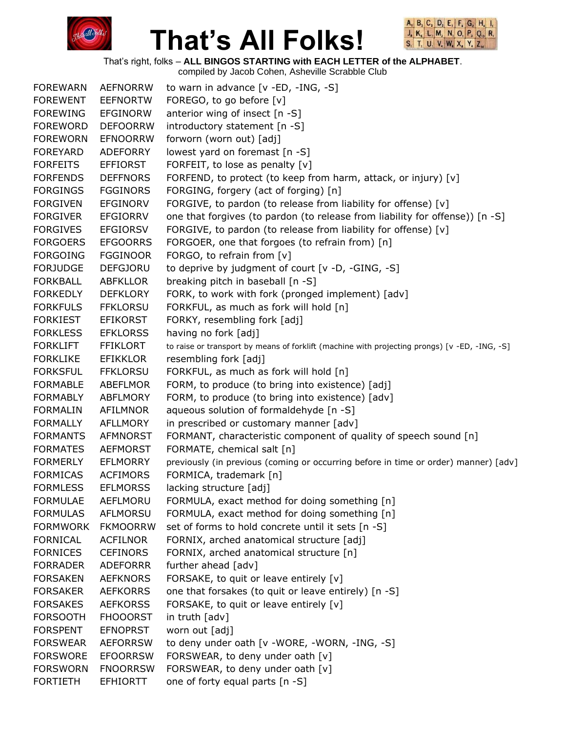



That's right, folks – **ALL BINGOS STARTING with EACH LETTER of the ALPHABET**.

| <b>FOREWARN</b> | <b>AEFNORRW</b> | to warn in advance $[v - ED, -ING, -S]$                                                       |
|-----------------|-----------------|-----------------------------------------------------------------------------------------------|
| <b>FOREWENT</b> | <b>EEFNORTW</b> | FOREGO, to go before [v]                                                                      |
| <b>FOREWING</b> | <b>EFGINORW</b> | anterior wing of insect [n -S]                                                                |
| <b>FOREWORD</b> | <b>DEFOORRW</b> | introductory statement [n -S]                                                                 |
| <b>FOREWORN</b> | <b>EFNOORRW</b> | forworn (worn out) [adj]                                                                      |
| <b>FOREYARD</b> | ADEFORRY        | lowest yard on foremast [n -S]                                                                |
| <b>FORFEITS</b> | <b>EFFIORST</b> | FORFEIT, to lose as penalty $[v]$                                                             |
| <b>FORFENDS</b> | <b>DEFFNORS</b> | FORFEND, to protect (to keep from harm, attack, or injury) [v]                                |
| <b>FORGINGS</b> | <b>FGGINORS</b> | FORGING, forgery (act of forging) [n]                                                         |
| <b>FORGIVEN</b> | <b>EFGINORV</b> | FORGIVE, to pardon (to release from liability for offense) [v]                                |
| <b>FORGIVER</b> | <b>EFGIORRV</b> | one that forgives (to pardon (to release from liability for offense)) [n -S]                  |
| <b>FORGIVES</b> | <b>EFGIORSV</b> | FORGIVE, to pardon (to release from liability for offense) [v]                                |
| <b>FORGOERS</b> | <b>EFGOORRS</b> | FORGOER, one that forgoes (to refrain from) [n]                                               |
| <b>FORGOING</b> | <b>FGGINOOR</b> | FORGO, to refrain from [v]                                                                    |
| <b>FORJUDGE</b> | <b>DEFGJORU</b> | to deprive by judgment of court [v -D, -GING, -S]                                             |
| <b>FORKBALL</b> | <b>ABFKLLOR</b> | breaking pitch in baseball [n -S]                                                             |
| <b>FORKEDLY</b> | <b>DEFKLORY</b> | FORK, to work with fork (pronged implement) [adv]                                             |
| <b>FORKFULS</b> | <b>FFKLORSU</b> | FORKFUL, as much as fork will hold [n]                                                        |
| <b>FORKIEST</b> | <b>EFIKORST</b> | FORKY, resembling fork [adj]                                                                  |
| <b>FORKLESS</b> | <b>EFKLORSS</b> | having no fork [adj]                                                                          |
| <b>FORKLIFT</b> | <b>FFIKLORT</b> | to raise or transport by means of forklift (machine with projecting prongs) [v -ED, -ING, -S] |
| <b>FORKLIKE</b> | <b>EFIKKLOR</b> | resembling fork [adj]                                                                         |
| <b>FORKSFUL</b> | <b>FFKLORSU</b> | FORKFUL, as much as fork will hold [n]                                                        |
| <b>FORMABLE</b> | <b>ABEFLMOR</b> | FORM, to produce (to bring into existence) [adj]                                              |
| <b>FORMABLY</b> | ABFLMORY        | FORM, to produce (to bring into existence) [adv]                                              |
| <b>FORMALIN</b> | AFILMNOR        | aqueous solution of formaldehyde [n -S]                                                       |
| <b>FORMALLY</b> | AFLLMORY        | in prescribed or customary manner [adv]                                                       |
| <b>FORMANTS</b> | <b>AFMNORST</b> | FORMANT, characteristic component of quality of speech sound [n]                              |
| <b>FORMATES</b> | <b>AEFMORST</b> | FORMATE, chemical salt [n]                                                                    |
| <b>FORMERLY</b> | <b>EFLMORRY</b> | previously (in previous (coming or occurring before in time or order) manner) [adv]           |
| <b>FORMICAS</b> | <b>ACFIMORS</b> | FORMICA, trademark [n]                                                                        |
| <b>FORMLESS</b> | <b>EFLMORSS</b> | lacking structure [adj]                                                                       |
| <b>FORMULAE</b> | AEFLMORU        | FORMULA, exact method for doing something [n]                                                 |
| <b>FORMULAS</b> | AFLMORSU        | FORMULA, exact method for doing something [n]                                                 |
| <b>FORMWORK</b> | <b>FKMOORRW</b> | set of forms to hold concrete until it sets [n -S]                                            |
| <b>FORNICAL</b> | <b>ACFILNOR</b> | FORNIX, arched anatomical structure [adj]                                                     |
| <b>FORNICES</b> | <b>CEFINORS</b> | FORNIX, arched anatomical structure [n]                                                       |
| <b>FORRADER</b> | <b>ADEFORRR</b> | further ahead [adv]                                                                           |
| <b>FORSAKEN</b> | <b>AEFKNORS</b> | FORSAKE, to quit or leave entirely [v]                                                        |
| <b>FORSAKER</b> | <b>AEFKORRS</b> | one that forsakes (to quit or leave entirely) [n -S]                                          |
| <b>FORSAKES</b> | <b>AEFKORSS</b> | FORSAKE, to quit or leave entirely [v]                                                        |
| <b>FORSOOTH</b> | <b>FHOOORST</b> | in truth $\lceil$ adv $\rceil$                                                                |
| <b>FORSPENT</b> | <b>EFNOPRST</b> | worn out [adj]                                                                                |
| <b>FORSWEAR</b> | <b>AEFORRSW</b> | to deny under oath [v -WORE, -WORN, -ING, -S]                                                 |
| <b>FORSWORE</b> | <b>EFOORRSW</b> | FORSWEAR, to deny under oath [v]                                                              |
| <b>FORSWORN</b> | <b>FNOORRSW</b> | FORSWEAR, to deny under oath [v]                                                              |
| <b>FORTIETH</b> | <b>EFHIORTT</b> | one of forty equal parts [n -S]                                                               |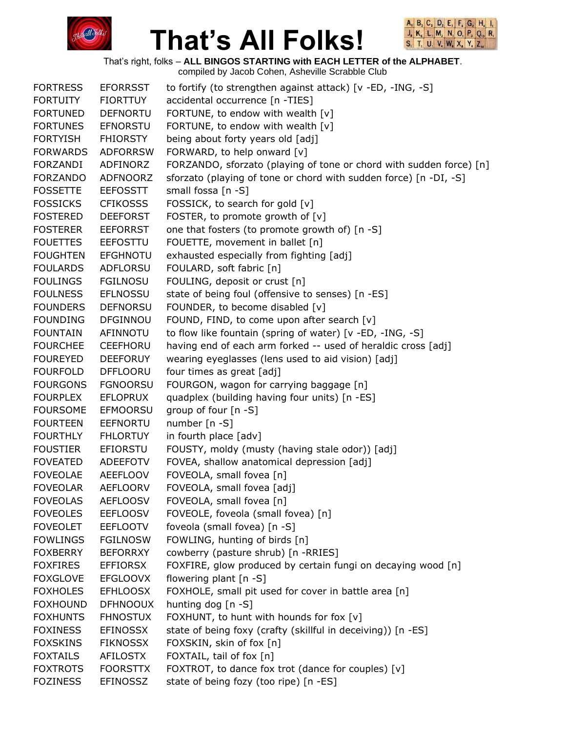



That's right, folks – **ALL BINGOS STARTING with EACH LETTER of the ALPHABET**.

| <b>FORTRESS</b> | <b>EFORRSST</b> | to fortify (to strengthen against attack) [v -ED, -ING, -S]         |
|-----------------|-----------------|---------------------------------------------------------------------|
| <b>FORTUITY</b> | <b>FIORTTUY</b> | accidental occurrence [n -TIES]                                     |
| <b>FORTUNED</b> | <b>DEFNORTU</b> | FORTUNE, to endow with wealth [v]                                   |
| <b>FORTUNES</b> | <b>EFNORSTU</b> | FORTUNE, to endow with wealth [v]                                   |
| <b>FORTYISH</b> | <b>FHIORSTY</b> | being about forty years old [adj]                                   |
| <b>FORWARDS</b> | <b>ADFORRSW</b> | FORWARD, to help onward [v]                                         |
| FORZANDI        | ADFINORZ        | FORZANDO, sforzato (playing of tone or chord with sudden force) [n] |
| <b>FORZANDO</b> | <b>ADFNOORZ</b> | sforzato (playing of tone or chord with sudden force) [n -DI, -S]   |
| <b>FOSSETTE</b> | <b>EEFOSSTT</b> | small fossa [n -S]                                                  |
| <b>FOSSICKS</b> | <b>CFIKOSSS</b> | FOSSICK, to search for gold [v]                                     |
| <b>FOSTERED</b> | <b>DEEFORST</b> | FOSTER, to promote growth of [v]                                    |
| <b>FOSTERER</b> | <b>EEFORRST</b> | one that fosters (to promote growth of) [n -S]                      |
| <b>FOUETTES</b> | <b>EEFOSTTU</b> | FOUETTE, movement in ballet [n]                                     |
| <b>FOUGHTEN</b> | <b>EFGHNOTU</b> | exhausted especially from fighting [adj]                            |
| <b>FOULARDS</b> | ADFLORSU        | FOULARD, soft fabric [n]                                            |
| <b>FOULINGS</b> | <b>FGILNOSU</b> | FOULING, deposit or crust [n]                                       |
| <b>FOULNESS</b> | <b>EFLNOSSU</b> | state of being foul (offensive to senses) [n -ES]                   |
| <b>FOUNDERS</b> | <b>DEFNORSU</b> | FOUNDER, to become disabled [v]                                     |
| <b>FOUNDING</b> | <b>DFGINNOU</b> | FOUND, FIND, to come upon after search [v]                          |
| <b>FOUNTAIN</b> | AFINNOTU        | to flow like fountain (spring of water) [v -ED, -ING, -S]           |
| <b>FOURCHEE</b> | CEEFHORU        | having end of each arm forked -- used of heraldic cross [adj]       |
| <b>FOUREYED</b> | <b>DEEFORUY</b> | wearing eyeglasses (lens used to aid vision) [adj]                  |
| <b>FOURFOLD</b> | <b>DFFLOORU</b> | four times as great [adj]                                           |
| <b>FOURGONS</b> | <b>FGNOORSU</b> | FOURGON, wagon for carrying baggage [n]                             |
| <b>FOURPLEX</b> | <b>EFLOPRUX</b> | quadplex (building having four units) [n -ES]                       |
| <b>FOURSOME</b> | <b>EFMOORSU</b> | group of four [n -S]                                                |
| <b>FOURTEEN</b> | <b>EEFNORTU</b> | number $[n - S]$                                                    |
| <b>FOURTHLY</b> | <b>FHLORTUY</b> | in fourth place [adv]                                               |
| <b>FOUSTIER</b> | EFIORSTU        | FOUSTY, moldy (musty (having stale odor)) [adj]                     |
| <b>FOVEATED</b> | <b>ADEEFOTV</b> | FOVEA, shallow anatomical depression [adj]                          |
| <b>FOVEOLAE</b> | <b>AEEFLOOV</b> | FOVEOLA, small fovea [n]                                            |
| <b>FOVEOLAR</b> | <b>AEFLOORV</b> | FOVEOLA, small fovea [adj]                                          |
| <b>FOVEOLAS</b> | <b>AEFLOOSV</b> | FOVEOLA, small fovea [n]                                            |
| <b>FOVEOLES</b> | <b>EEFLOOSV</b> | FOVEOLE, foveola (small fovea) [n]                                  |
| <b>FOVEOLET</b> | <b>EEFLOOTV</b> | foveola (small fovea) [n -S]                                        |
| <b>FOWLINGS</b> | <b>FGILNOSW</b> | FOWLING, hunting of birds [n]                                       |
| <b>FOXBERRY</b> | <b>BEFORRXY</b> | cowberry (pasture shrub) [n -RRIES]                                 |
| <b>FOXFIRES</b> | <b>EFFIORSX</b> | FOXFIRE, glow produced by certain fungi on decaying wood [n]        |
| <b>FOXGLOVE</b> | <b>EFGLOOVX</b> | flowering plant [n -S]                                              |
| <b>FOXHOLES</b> | <b>EFHLOOSX</b> | FOXHOLE, small pit used for cover in battle area [n]                |
| <b>FOXHOUND</b> | <b>DFHNOOUX</b> | hunting dog [n -S]                                                  |
| <b>FOXHUNTS</b> | <b>FHNOSTUX</b> | FOXHUNT, to hunt with hounds for fox [v]                            |
| <b>FOXINESS</b> | <b>EFINOSSX</b> | state of being foxy (crafty (skillful in deceiving)) [n -ES]        |
| <b>FOXSKINS</b> | <b>FIKNOSSX</b> | FOXSKIN, skin of fox [n]                                            |
| <b>FOXTAILS</b> | <b>AFILOSTX</b> | FOXTAIL, tail of fox [n]                                            |
| <b>FOXTROTS</b> | <b>FOORSTTX</b> | FOXTROT, to dance fox trot (dance for couples) [v]                  |
| <b>FOZINESS</b> | <b>EFINOSSZ</b> | state of being fozy (too ripe) [n -ES]                              |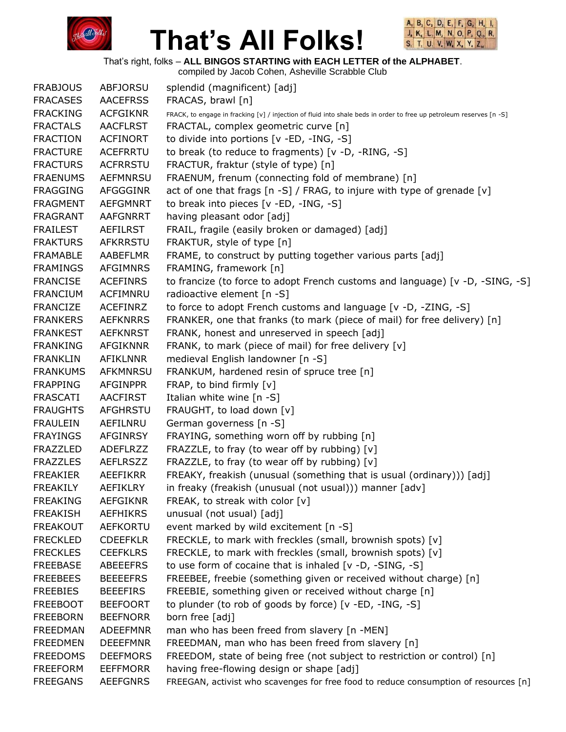



That's right, folks – **ALL BINGOS STARTING with EACH LETTER of the ALPHABET**.

| <b>FRABJOUS</b> | <b>ABFJORSU</b> | splendid (magnificent) [adj]                                                                                        |
|-----------------|-----------------|---------------------------------------------------------------------------------------------------------------------|
| <b>FRACASES</b> | <b>AACEFRSS</b> | FRACAS, brawl [n]                                                                                                   |
| <b>FRACKING</b> | <b>ACFGIKNR</b> | FRACK, to engage in fracking [v] / injection of fluid into shale beds in order to free up petroleum reserves [n -S] |
| <b>FRACTALS</b> | <b>AACFLRST</b> | FRACTAL, complex geometric curve [n]                                                                                |
| <b>FRACTION</b> | <b>ACFINORT</b> | to divide into portions [v -ED, -ING, -S]                                                                           |
| <b>FRACTURE</b> | <b>ACEFRRTU</b> | to break (to reduce to fragments) [v -D, -RING, -S]                                                                 |
| <b>FRACTURS</b> | <b>ACFRRSTU</b> | FRACTUR, fraktur (style of type) [n]                                                                                |
| <b>FRAENUMS</b> | <b>AEFMNRSU</b> | FRAENUM, frenum (connecting fold of membrane) [n]                                                                   |
| <b>FRAGGING</b> | AFGGGINR        | act of one that frags [n -S] / FRAG, to injure with type of grenade [v]                                             |
| <b>FRAGMENT</b> | <b>AEFGMNRT</b> | to break into pieces [v -ED, -ING, -S]                                                                              |
| <b>FRAGRANT</b> | <b>AAFGNRRT</b> | having pleasant odor [adj]                                                                                          |
| <b>FRAILEST</b> | <b>AEFILRST</b> | FRAIL, fragile (easily broken or damaged) [adj]                                                                     |
| <b>FRAKTURS</b> | <b>AFKRRSTU</b> | FRAKTUR, style of type [n]                                                                                          |
| <b>FRAMABLE</b> | <b>AABEFLMR</b> | FRAME, to construct by putting together various parts [adj]                                                         |
| <b>FRAMINGS</b> | <b>AFGIMNRS</b> | FRAMING, framework [n]                                                                                              |
| <b>FRANCISE</b> | <b>ACEFINRS</b> | to francize (to force to adopt French customs and language) [v -D, -SING, -S]                                       |
| <b>FRANCIUM</b> | ACFIMNRU        | radioactive element [n -S]                                                                                          |
| <b>FRANCIZE</b> | <b>ACEFINRZ</b> | to force to adopt French customs and language [v -D, -ZING, -S]                                                     |
| <b>FRANKERS</b> | <b>AEFKNRRS</b> | FRANKER, one that franks (to mark (piece of mail) for free delivery) [n]                                            |
| <b>FRANKEST</b> | <b>AEFKNRST</b> | FRANK, honest and unreserved in speech [adj]                                                                        |
| <b>FRANKING</b> | <b>AFGIKNNR</b> | FRANK, to mark (piece of mail) for free delivery [v]                                                                |
| <b>FRANKLIN</b> | <b>AFIKLNNR</b> | medieval English landowner [n -S]                                                                                   |
| <b>FRANKUMS</b> | <b>AFKMNRSU</b> | FRANKUM, hardened resin of spruce tree [n]                                                                          |
| <b>FRAPPING</b> | <b>AFGINPPR</b> | FRAP, to bind firmly [v]                                                                                            |
| <b>FRASCATI</b> | <b>AACFIRST</b> | Italian white wine $[n - S]$                                                                                        |
| <b>FRAUGHTS</b> | AFGHRSTU        | FRAUGHT, to load down [v]                                                                                           |
| <b>FRAULEIN</b> | AEFILNRU        | German governess [n -S]                                                                                             |
| <b>FRAYINGS</b> | <b>AFGINRSY</b> | FRAYING, something worn off by rubbing [n]                                                                          |
| <b>FRAZZLED</b> | <b>ADEFLRZZ</b> | FRAZZLE, to fray (to wear off by rubbing) [v]                                                                       |
| <b>FRAZZLES</b> | <b>AEFLRSZZ</b> | FRAZZLE, to fray (to wear off by rubbing) [v]                                                                       |
| <b>FREAKIER</b> | AEEFIKRR        | FREAKY, freakish (unusual (something that is usual (ordinary))) [adj]                                               |
| <b>FREAKILY</b> | <b>AEFIKLRY</b> | in freaky (freakish (unusual (not usual))) manner [adv]                                                             |
| <b>FREAKING</b> | <b>AEFGIKNR</b> | FREAK, to streak with color [v]                                                                                     |
| <b>FREAKISH</b> | <b>AEFHIKRS</b> | unusual (not usual) [adj]                                                                                           |
| <b>FREAKOUT</b> | <b>AEFKORTU</b> | event marked by wild excitement [n -S]                                                                              |
| <b>FRECKLED</b> | <b>CDEEFKLR</b> | FRECKLE, to mark with freckles (small, brownish spots) [v]                                                          |
| <b>FRECKLES</b> | <b>CEEFKLRS</b> | FRECKLE, to mark with freckles (small, brownish spots) [v]                                                          |
| <b>FREEBASE</b> | <b>ABEEEFRS</b> | to use form of cocaine that is inhaled [v -D, -SING, -S]                                                            |
| <b>FREEBEES</b> | <b>BEEEEFRS</b> | FREEBEE, freebie (something given or received without charge) [n]                                                   |
| <b>FREEBIES</b> | <b>BEEEFIRS</b> | FREEBIE, something given or received without charge [n]                                                             |
| <b>FREEBOOT</b> | <b>BEEFOORT</b> | to plunder (to rob of goods by force) [v -ED, -ING, -S]                                                             |
| <b>FREEBORN</b> | <b>BEEFNORR</b> | born free [adj]                                                                                                     |
| <b>FREEDMAN</b> | <b>ADEEFMNR</b> | man who has been freed from slavery [n -MEN]                                                                        |
| <b>FREEDMEN</b> | <b>DEEEFMNR</b> | FREEDMAN, man who has been freed from slavery [n]                                                                   |
| <b>FREEDOMS</b> | <b>DEEFMORS</b> | FREEDOM, state of being free (not subject to restriction or control) [n]                                            |
| <b>FREEFORM</b> | <b>EEFFMORR</b> | having free-flowing design or shape [adj]                                                                           |
| <b>FREEGANS</b> | <b>AEEFGNRS</b> | FREEGAN, activist who scavenges for free food to reduce consumption of resources [n]                                |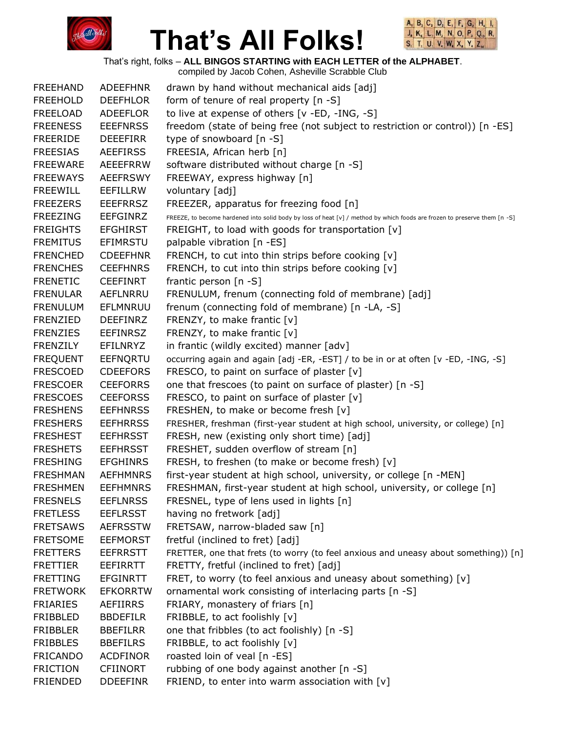



That's right, folks – **ALL BINGOS STARTING with EACH LETTER of the ALPHABET**.

| <b>FREEHAND</b> | <b>ADEEFHNR</b> | drawn by hand without mechanical aids [adj]                                                                               |
|-----------------|-----------------|---------------------------------------------------------------------------------------------------------------------------|
| <b>FREEHOLD</b> | <b>DEEFHLOR</b> | form of tenure of real property [n -S]                                                                                    |
| FREELOAD        | ADEEFLOR        | to live at expense of others [v -ED, -ING, -S]                                                                            |
| <b>FREENESS</b> | <b>EEEFNRSS</b> | freedom (state of being free (not subject to restriction or control)) [n -ES]                                             |
| <b>FREERIDE</b> | <b>DEEEFIRR</b> | type of snowboard [n -S]                                                                                                  |
| <b>FREESIAS</b> | <b>AEEFIRSS</b> | FREESIA, African herb [n]                                                                                                 |
| <b>FREEWARE</b> | <b>AEEEFRRW</b> | software distributed without charge [n -S]                                                                                |
| <b>FREEWAYS</b> | <b>AEEFRSWY</b> | FREEWAY, express highway [n]                                                                                              |
| <b>FREEWILL</b> | EEFILLRW        | voluntary [adj]                                                                                                           |
| <b>FREEZERS</b> | <b>EEEFRRSZ</b> | FREEZER, apparatus for freezing food [n]                                                                                  |
| <b>FREEZING</b> | <b>EEFGINRZ</b> | FREEZE, to become hardened into solid body by loss of heat [v] / method by which foods are frozen to preserve them [n -S] |
| <b>FREIGHTS</b> | <b>EFGHIRST</b> | FREIGHT, to load with goods for transportation [v]                                                                        |
| <b>FREMITUS</b> | <b>EFIMRSTU</b> | palpable vibration [n -ES]                                                                                                |
| <b>FRENCHED</b> | <b>CDEEFHNR</b> | FRENCH, to cut into thin strips before cooking [v]                                                                        |
| <b>FRENCHES</b> | <b>CEEFHNRS</b> | FRENCH, to cut into thin strips before cooking [v]                                                                        |
| <b>FRENETIC</b> | <b>CEEFINRT</b> | frantic person [n -S]                                                                                                     |
| <b>FRENULAR</b> | <b>AEFLNRRU</b> | FRENULUM, frenum (connecting fold of membrane) [adj]                                                                      |
| <b>FRENULUM</b> | EFLMNRUU        | frenum (connecting fold of membrane) [n -LA, -S]                                                                          |
| <b>FRENZIED</b> | <b>DEEFINRZ</b> | FRENZY, to make frantic [v]                                                                                               |
| <b>FRENZIES</b> | <b>EEFINRSZ</b> | FRENZY, to make frantic [v]                                                                                               |
| FRENZILY        | EFILNRYZ        | in frantic (wildly excited) manner [adv]                                                                                  |
| <b>FREQUENT</b> | EEFNQRTU        | occurring again and again [adj -ER, -EST] / to be in or at often [v -ED, -ING, -S]                                        |
| <b>FRESCOED</b> | <b>CDEEFORS</b> | FRESCO, to paint on surface of plaster $[v]$                                                                              |
| <b>FRESCOER</b> | <b>CEEFORRS</b> | one that frescoes (to paint on surface of plaster) [n -S]                                                                 |
| <b>FRESCOES</b> | <b>CEEFORSS</b> | FRESCO, to paint on surface of plaster [v]                                                                                |
| <b>FRESHENS</b> | <b>EEFHNRSS</b> | FRESHEN, to make or become fresh [v]                                                                                      |
| <b>FRESHERS</b> | <b>EEFHRRSS</b> | FRESHER, freshman (first-year student at high school, university, or college) [n]                                         |
| <b>FRESHEST</b> | <b>EEFHRSST</b> | FRESH, new (existing only short time) [adj]                                                                               |
| <b>FRESHETS</b> | <b>EEFHRSST</b> | FRESHET, sudden overflow of stream [n]                                                                                    |
| <b>FRESHING</b> | <b>EFGHINRS</b> | FRESH, to freshen (to make or become fresh) [v]                                                                           |
| <b>FRESHMAN</b> | <b>AEFHMNRS</b> | first-year student at high school, university, or college [n -MEN]                                                        |
| <b>FRESHMEN</b> | <b>EEFHMNRS</b> | FRESHMAN, first-year student at high school, university, or college [n]                                                   |
| <b>FRESNELS</b> | <b>EEFLNRSS</b> | FRESNEL, type of lens used in lights [n]                                                                                  |
| <b>FRETLESS</b> | <b>EEFLRSST</b> | having no fretwork [adj]                                                                                                  |
| <b>FRETSAWS</b> | <b>AEFRSSTW</b> | FRETSAW, narrow-bladed saw [n]                                                                                            |
| <b>FRETSOME</b> | <b>EEFMORST</b> | fretful (inclined to fret) [adj]                                                                                          |
| <b>FRETTERS</b> | <b>EEFRRSTT</b> | FRETTER, one that frets (to worry (to feel anxious and uneasy about something)) [n]                                       |
| <b>FRETTIER</b> | <b>EEFIRRTT</b> | FRETTY, fretful (inclined to fret) [adj]                                                                                  |
| <b>FRETTING</b> | <b>EFGINRTT</b> | FRET, to worry (to feel anxious and uneasy about something) [v]                                                           |
| <b>FRETWORK</b> | <b>EFKORRTW</b> | ornamental work consisting of interlacing parts [n -S]                                                                    |
| <b>FRIARIES</b> | AEFIIRRS        | FRIARY, monastery of friars [n]                                                                                           |
| FRIBBLED        | <b>BBDEFILR</b> | FRIBBLE, to act foolishly [v]                                                                                             |
| <b>FRIBBLER</b> | <b>BBEFILRR</b> | one that fribbles (to act foolishly) [n -S]                                                                               |
| <b>FRIBBLES</b> | <b>BBEFILRS</b> | FRIBBLE, to act foolishly [v]                                                                                             |
| <b>FRICANDO</b> | <b>ACDFINOR</b> | roasted loin of veal [n -ES]                                                                                              |
| <b>FRICTION</b> | <b>CFIINORT</b> | rubbing of one body against another [n -S]                                                                                |
| <b>FRIENDED</b> | <b>DDEEFINR</b> | FRIEND, to enter into warm association with [v]                                                                           |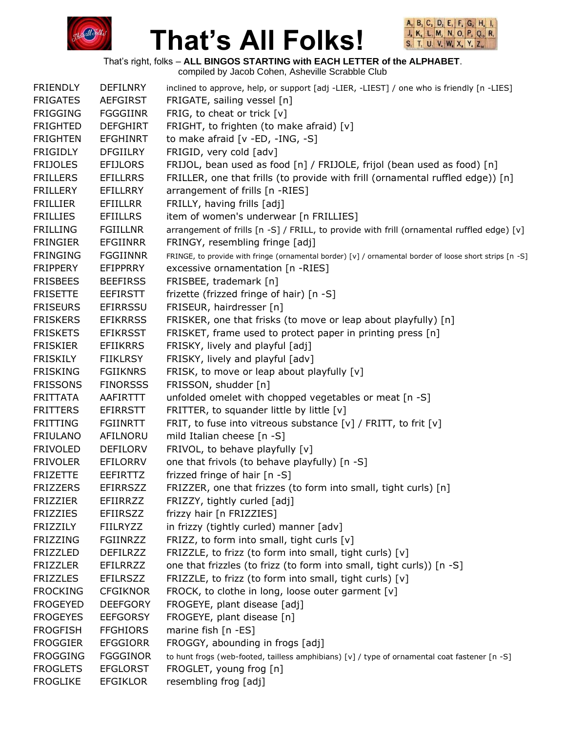



That's right, folks – **ALL BINGOS STARTING with EACH LETTER of the ALPHABET**.

| <b>FRIENDLY</b> | <b>DEFILNRY</b> | inclined to approve, help, or support [adj -LIER, -LIEST] / one who is friendly [n -LIES]               |
|-----------------|-----------------|---------------------------------------------------------------------------------------------------------|
| <b>FRIGATES</b> | <b>AEFGIRST</b> | FRIGATE, sailing vessel [n]                                                                             |
| <b>FRIGGING</b> | <b>FGGGIINR</b> | FRIG, to cheat or trick [v]                                                                             |
| <b>FRIGHTED</b> | <b>DEFGHIRT</b> | FRIGHT, to frighten (to make afraid) [v]                                                                |
| <b>FRIGHTEN</b> | <b>EFGHINRT</b> | to make afraid [v -ED, -ING, -S]                                                                        |
| <b>FRIGIDLY</b> | <b>DFGIILRY</b> | FRIGID, very cold [adv]                                                                                 |
| <b>FRIJOLES</b> | <b>EFIJLORS</b> | FRIJOL, bean used as food [n] / FRIJOLE, frijol (bean used as food) [n]                                 |
| <b>FRILLERS</b> | <b>EFILLRRS</b> | FRILLER, one that frills (to provide with frill (ornamental ruffled edge)) [n]                          |
| <b>FRILLERY</b> | <b>EFILLRRY</b> | arrangement of frills [n -RIES]                                                                         |
| <b>FRILLIER</b> | <b>EFIILLRR</b> | FRILLY, having frills [adj]                                                                             |
| <b>FRILLIES</b> | <b>EFIILLRS</b> | item of women's underwear [n FRILLIES]                                                                  |
| <b>FRILLING</b> | <b>FGIILLNR</b> | arrangement of frills [n -S] / FRILL, to provide with frill (ornamental ruffled edge) [v]               |
| <b>FRINGIER</b> | <b>EFGIINRR</b> | FRINGY, resembling fringe [adj]                                                                         |
| <b>FRINGING</b> | <b>FGGIINNR</b> | FRINGE, to provide with fringe (ornamental border) [v] / ornamental border of loose short strips [n -S] |
| <b>FRIPPERY</b> | EFIPPRRY        | excessive ornamentation [n -RIES]                                                                       |
| <b>FRISBEES</b> | <b>BEEFIRSS</b> | FRISBEE, trademark [n]                                                                                  |
| <b>FRISETTE</b> | <b>EEFIRSTT</b> | frizette (frizzed fringe of hair) [n -S]                                                                |
| <b>FRISEURS</b> | <b>EFIRRSSU</b> | FRISEUR, hairdresser [n]                                                                                |
| <b>FRISKERS</b> | <b>EFIKRRSS</b> | FRISKER, one that frisks (to move or leap about playfully) [n]                                          |
| <b>FRISKETS</b> | <b>EFIKRSST</b> | FRISKET, frame used to protect paper in printing press [n]                                              |
| <b>FRISKIER</b> | <b>EFIIKRRS</b> | FRISKY, lively and playful [adj]                                                                        |
| <b>FRISKILY</b> | <b>FIIKLRSY</b> | FRISKY, lively and playful [adv]                                                                        |
| <b>FRISKING</b> | <b>FGIIKNRS</b> | FRISK, to move or leap about playfully [v]                                                              |
| <b>FRISSONS</b> | <b>FINORSSS</b> | FRISSON, shudder [n]                                                                                    |
| <b>FRITTATA</b> | AAFIRTTT        | unfolded omelet with chopped vegetables or meat [n -S]                                                  |
| <b>FRITTERS</b> | <b>EFIRRSTT</b> | FRITTER, to squander little by little [v]                                                               |
| <b>FRITTING</b> | <b>FGIINRTT</b> | FRIT, to fuse into vitreous substance [v] / FRITT, to frit [v]                                          |
| <b>FRIULANO</b> | AFILNORU        | mild Italian cheese [n -S]                                                                              |
| <b>FRIVOLED</b> | <b>DEFILORV</b> | FRIVOL, to behave playfully [v]                                                                         |
| <b>FRIVOLER</b> | EFILORRV        | one that frivols (to behave playfully) [n -S]                                                           |
| <b>FRIZETTE</b> | EEFIRTTZ        | frizzed fringe of hair [n -S]                                                                           |
| <b>FRIZZERS</b> | <b>EFIRRSZZ</b> | FRIZZER, one that frizzes (to form into small, tight curls) [n]                                         |
| <b>FRIZZIER</b> | <b>EFIIRRZZ</b> | FRIZZY, tightly curled [adj]                                                                            |
| <b>FRIZZIES</b> | <b>EFIIRSZZ</b> | frizzy hair [n FRIZZIES]                                                                                |
| <b>FRIZZILY</b> | <b>FIILRYZZ</b> | in frizzy (tightly curled) manner [adv]                                                                 |
| <b>FRIZZING</b> | <b>FGIINRZZ</b> | FRIZZ, to form into small, tight curls [v]                                                              |
| <b>FRIZZLED</b> | <b>DEFILRZZ</b> | FRIZZLE, to frizz (to form into small, tight curls) [v]                                                 |
| <b>FRIZZLER</b> | <b>EFILRRZZ</b> | one that frizzles (to frizz (to form into small, tight curls)) [n -S]                                   |
| <b>FRIZZLES</b> | <b>EFILRSZZ</b> | FRIZZLE, to frizz (to form into small, tight curls) [v]                                                 |
| <b>FROCKING</b> | <b>CFGIKNOR</b> | FROCK, to clothe in long, loose outer garment [v]                                                       |
| <b>FROGEYED</b> | <b>DEEFGORY</b> | FROGEYE, plant disease [adj]                                                                            |
| <b>FROGEYES</b> | <b>EEFGORSY</b> | FROGEYE, plant disease [n]                                                                              |
| <b>FROGFISH</b> | <b>FFGHIORS</b> | marine fish [n -ES]                                                                                     |
| <b>FROGGIER</b> | <b>EFGGIORR</b> | FROGGY, abounding in frogs [adj]                                                                        |
| <b>FROGGING</b> | <b>FGGGINOR</b> | to hunt frogs (web-footed, tailless amphibians) [v] / type of ornamental coat fastener [n -S]           |
| <b>FROGLETS</b> | <b>EFGLORST</b> | FROGLET, young frog [n]                                                                                 |
| <b>FROGLIKE</b> | <b>EFGIKLOR</b> | resembling frog [adj]                                                                                   |
|                 |                 |                                                                                                         |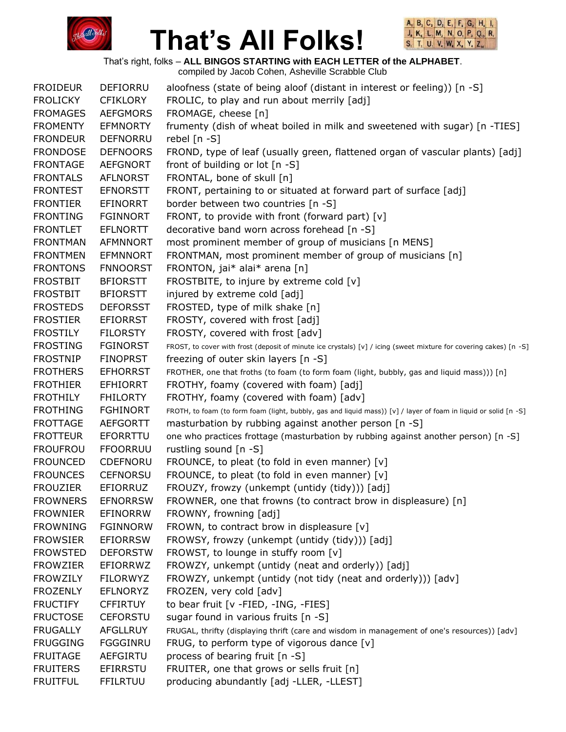



That's right, folks – **ALL BINGOS STARTING with EACH LETTER of the ALPHABET**.

| <b>FROIDEUR</b> | <b>DEFIORRU</b> | aloofness (state of being aloof (distant in interest or feeling)) [n -S]                                          |
|-----------------|-----------------|-------------------------------------------------------------------------------------------------------------------|
| <b>FROLICKY</b> | <b>CFIKLORY</b> | FROLIC, to play and run about merrily [adj]                                                                       |
| <b>FROMAGES</b> | <b>AEFGMORS</b> | FROMAGE, cheese [n]                                                                                               |
| <b>FROMENTY</b> | <b>EFMNORTY</b> | frumenty (dish of wheat boiled in milk and sweetened with sugar) [n -TIES]                                        |
| <b>FRONDEUR</b> | <b>DEFNORRU</b> | rebel $[n - S]$                                                                                                   |
| <b>FRONDOSE</b> | <b>DEFNOORS</b> | FROND, type of leaf (usually green, flattened organ of vascular plants) [adj]                                     |
| <b>FRONTAGE</b> | <b>AEFGNORT</b> | front of building or lot [n -S]                                                                                   |
| <b>FRONTALS</b> | <b>AFLNORST</b> | FRONTAL, bone of skull [n]                                                                                        |
| <b>FRONTEST</b> | <b>EFNORSTT</b> | FRONT, pertaining to or situated at forward part of surface [adj]                                                 |
| <b>FRONTIER</b> | <b>EFINORRT</b> | border between two countries [n -S]                                                                               |
| <b>FRONTING</b> | <b>FGINNORT</b> | FRONT, to provide with front (forward part) [v]                                                                   |
| <b>FRONTLET</b> | <b>EFLNORTT</b> | decorative band worn across forehead [n -S]                                                                       |
| <b>FRONTMAN</b> | <b>AFMNNORT</b> | most prominent member of group of musicians [n MENS]                                                              |
| <b>FRONTMEN</b> | <b>EFMNNORT</b> | FRONTMAN, most prominent member of group of musicians [n]                                                         |
| <b>FRONTONS</b> | <b>FNNOORST</b> | FRONTON, jai* alai* arena [n]                                                                                     |
| <b>FROSTBIT</b> | <b>BFIORSTT</b> | FROSTBITE, to injure by extreme cold [v]                                                                          |
| <b>FROSTBIT</b> | <b>BFIORSTT</b> | injured by extreme cold [adj]                                                                                     |
| <b>FROSTEDS</b> | <b>DEFORSST</b> | FROSTED, type of milk shake [n]                                                                                   |
| <b>FROSTIER</b> | <b>EFIORRST</b> | FROSTY, covered with frost [adj]                                                                                  |
| <b>FROSTILY</b> | <b>FILORSTY</b> | FROSTY, covered with frost [adv]                                                                                  |
| <b>FROSTING</b> | <b>FGINORST</b> | FROST, to cover with frost (deposit of minute ice crystals) [v] / icing (sweet mixture for covering cakes) [n -S] |
| <b>FROSTNIP</b> | <b>FINOPRST</b> | freezing of outer skin layers [n -S]                                                                              |
| <b>FROTHERS</b> | <b>EFHORRST</b> | FROTHER, one that froths (to foam (to form foam (light, bubbly, gas and liquid mass))) [n]                        |
| <b>FROTHIER</b> | <b>EFHIORRT</b> | FROTHY, foamy (covered with foam) [adj]                                                                           |
| <b>FROTHILY</b> | <b>FHILORTY</b> | FROTHY, foamy (covered with foam) [adv]                                                                           |
| <b>FROTHING</b> | <b>FGHINORT</b> | FROTH, to foam (to form foam (light, bubbly, gas and liquid mass)) [v] / layer of foam in liquid or solid [n -S]  |
| <b>FROTTAGE</b> | AEFGORTT        | masturbation by rubbing against another person [n -S]                                                             |
| <b>FROTTEUR</b> | EFORRTTU        | one who practices frottage (masturbation by rubbing against another person) [n -S]                                |
| <b>FROUFROU</b> | <b>FFOORRUU</b> | rustling sound [n -S]                                                                                             |
| <b>FROUNCED</b> | CDEFNORU        | FROUNCE, to pleat (to fold in even manner) [v]                                                                    |
| <b>FROUNCES</b> | <b>CEFNORSU</b> | FROUNCE, to pleat (to fold in even manner) [v]                                                                    |
| <b>FROUZIER</b> | EFIORRUZ        | FROUZY, frowzy (unkempt (untidy (tidy))) [adj]                                                                    |
| <b>FROWNERS</b> | <b>EFNORRSW</b> | FROWNER, one that frowns (to contract brow in displeasure) [n]                                                    |
| <b>FROWNIER</b> | <b>EFINORRW</b> | FROWNY, frowning [adj]                                                                                            |
| <b>FROWNING</b> | <b>FGINNORW</b> | FROWN, to contract brow in displeasure [v]                                                                        |
| <b>FROWSIER</b> | <b>EFIORRSW</b> | FROWSY, frowzy (unkempt (untidy (tidy))) [adj]                                                                    |
| <b>FROWSTED</b> | <b>DEFORSTW</b> | FROWST, to lounge in stuffy room [v]                                                                              |
| <b>FROWZIER</b> | EFIORRWZ        | FROWZY, unkempt (untidy (neat and orderly)) [adj]                                                                 |
| <b>FROWZILY</b> | <b>FILORWYZ</b> | FROWZY, unkempt (untidy (not tidy (neat and orderly))) [adv]                                                      |
| <b>FROZENLY</b> | <b>EFLNORYZ</b> | FROZEN, very cold [adv]                                                                                           |
| <b>FRUCTIFY</b> | <b>CFFIRTUY</b> | to bear fruit [v -FIED, -ING, -FIES]                                                                              |
| <b>FRUCTOSE</b> | <b>CEFORSTU</b> | sugar found in various fruits [n -S]                                                                              |
| <b>FRUGALLY</b> | <b>AFGLLRUY</b> | FRUGAL, thrifty (displaying thrift (care and wisdom in management of one's resources)) [adv]                      |
| <b>FRUGGING</b> | FGGGINRU        | FRUG, to perform type of vigorous dance [v]                                                                       |
| <b>FRUITAGE</b> | <b>AEFGIRTU</b> | process of bearing fruit [n -S]                                                                                   |
| <b>FRUITERS</b> | <b>EFIRRSTU</b> | FRUITER, one that grows or sells fruit [n]                                                                        |
| <b>FRUITFUL</b> | <b>FFILRTUU</b> | producing abundantly [adj -LLER, -LLEST]                                                                          |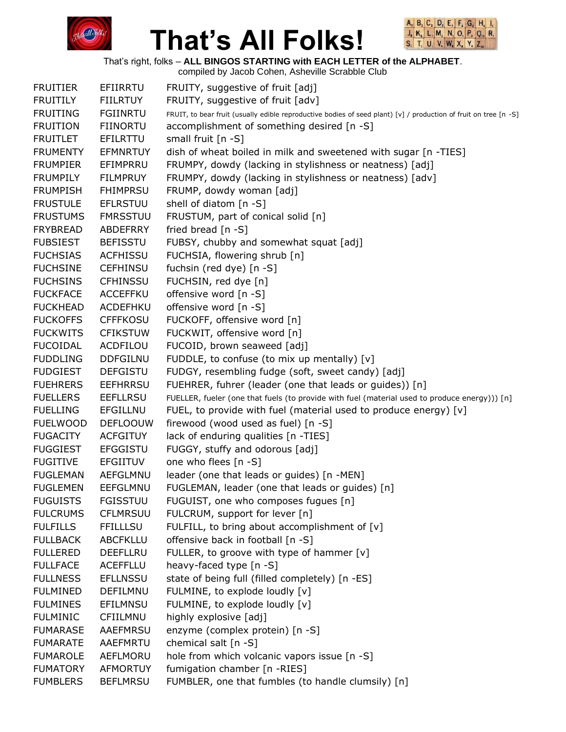



That's right, folks – **ALL BINGOS STARTING with EACH LETTER of the ALPHABET**.

compiled by Jacob Cohen, Asheville Scrabble Club FRUITIER EFIIRRTU FRUITY, suggestive of fruit [adj] FRUITILY FIILRTUY FRUITY, suggestive of fruit [adv] FRUITING FGIINRTU FRUIT, to bear fruit (usually edible reproductive bodies of seed plant) [v] / production of fruit on tree [n -S] FRUITION FIINORTU accomplishment of something desired [n -S] FRUITLET EFILRTTU small fruit [n -S] FRUMENTY EFMNRTUY dish of wheat boiled in milk and sweetened with sugar [n -TIES] FRUMPIER EFIMPRRU FRUMPY, dowdy (lacking in stylishness or neatness) [adj] FRUMPILY FILMPRUY FRUMPY, dowdy (lacking in stylishness or neatness) [adv] FRUMPISH FHIMPRSU FRUMP, dowdy woman [adj] FRUSTULE EFLRSTUU shell of diatom [n -S] FRUSTUMS FMRSSTUU FRUSTUM, part of conical solid [n] FRYBREAD ABDEFRRY fried bread [n -S] FUBSIEST BEFISSTU FUBSY, chubby and somewhat squat [adj] FUCHSIAS ACFHISSU FUCHSIA, flowering shrub [n] FUCHSINE CEFHINSU fuchsin (red dye) [n -S] FUCHSINS CFHINSSU FUCHSIN, red dye [n] FUCKFACE ACCEFFKU offensive word [n -S] FUCKHEAD ACDEFHKU offensive word [n -S] FUCKOFFS CFFFKOSU FUCKOFF, offensive word [n] FUCKWITS CFIKSTUW FUCKWIT, offensive word [n] FUCOIDAL ACDFILOU FUCOID, brown seaweed [adj] FUDDLING DDFGILNU FUDDLE, to confuse (to mix up mentally) [v] FUDGIEST DEFGISTU FUDGY, resembling fudge (soft, sweet candy) [adj] FUEHRERS EEFHRRSU FUEHRER, fuhrer (leader (one that leads or guides)) [n] FUELLERS EEFLLRSU FUELLER, fueler (one that fuels (to provide with fuel (material used to produce energy))) [n] FUELLING EFGILLNU FUEL, to provide with fuel (material used to produce energy) [v] FUELWOOD DEFLOOUW firewood (wood used as fuel) [n -S] FUGACITY ACFGITUY lack of enduring qualities [n -TIES] FUGGIEST EFGGISTU FUGGY, stuffy and odorous [adj] FUGITIVE EFGIITUV one who flees [n -S] FUGLEMAN AEFGLMNU leader (one that leads or guides) [n -MEN] FUGLEMEN EEFGLMNU FUGLEMAN, leader (one that leads or guides) [n] FUGUISTS FGISSTUU FUGUIST, one who composes fugues [n] FULCRUMS CFLMRSUU FULCRUM, support for lever [n] FULFILLS FFILLLSU FULFILL, to bring about accomplishment of [v] FULLBACK ABCFKLLU offensive back in football [n -S] FULLERED DEEFLLRU FULLER, to groove with type of hammer [v] FULLFACE ACEFFLLU heavy-faced type [n -S] FULLNESS EFLLNSSU state of being full (filled completely) [n -ES] FULMINED DEFILMNU FULMINE, to explode loudly [v] FULMINES EFILMNSU FULMINE, to explode loudly [v] FULMINIC CFIILMNU highly explosive [adj] FUMARASE AAEFMRSU enzyme (complex protein) [n -S] FUMARATE AAEFMRTU chemical salt [n -S] FUMAROLE AEFLMORU hole from which volcanic vapors issue [n -S] FUMATORY AFMORTUY fumigation chamber [n -RIES] FUMBLERS BEFLMRSU FUMBLER, one that fumbles (to handle clumsily) [n]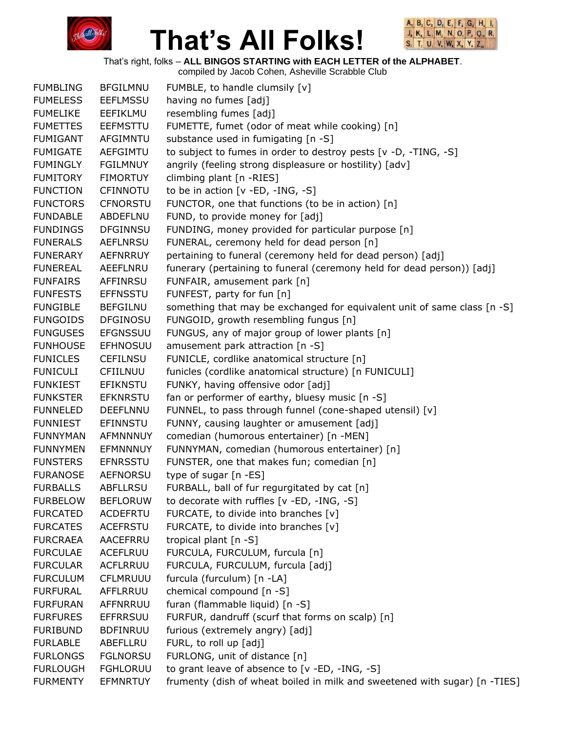



That's right, folks – **ALL BINGOS STARTING with EACH LETTER of the ALPHABET**. compiled by Jacob Cohen, Asheville Scrabble Club

|                 |                 | complied by Jacob Corien, Asheville Scrabble Club                          |
|-----------------|-----------------|----------------------------------------------------------------------------|
| <b>FUMBLING</b> | <b>BFGILMNU</b> | FUMBLE, to handle clumsily [v]                                             |
| <b>FUMELESS</b> | <b>EEFLMSSU</b> | having no fumes [adj]                                                      |
| <b>FUMELIKE</b> | EEFIKLMU        | resembling fumes [adj]                                                     |
| <b>FUMETTES</b> | <b>EEFMSTTU</b> | FUMETTE, fumet (odor of meat while cooking) [n]                            |
| <b>FUMIGANT</b> | AFGIMNTU        | substance used in fumigating [n -S]                                        |
| <b>FUMIGATE</b> | AEFGIMTU        | to subject to fumes in order to destroy pests [v -D, -TING, -S]            |
| <b>FUMINGLY</b> | <b>FGILMNUY</b> | angrily (feeling strong displeasure or hostility) [adv]                    |
| <b>FUMITORY</b> | <b>FIMORTUY</b> | climbing plant [n -RIES]                                                   |
| <b>FUNCTION</b> | CFINNOTU        | to be in action [v -ED, -ING, -S]                                          |
| <b>FUNCTORS</b> | <b>CFNORSTU</b> | FUNCTOR, one that functions (to be in action) [n]                          |
| <b>FUNDABLE</b> | ABDEFLNU        | FUND, to provide money for [adj]                                           |
| <b>FUNDINGS</b> | <b>DFGINNSU</b> | FUNDING, money provided for particular purpose [n]                         |
| <b>FUNERALS</b> | <b>AEFLNRSU</b> | FUNERAL, ceremony held for dead person [n]                                 |
| <b>FUNERARY</b> | <b>AEFNRRUY</b> | pertaining to funeral (ceremony held for dead person) [adj]                |
| <b>FUNEREAL</b> | AEEFLNRU        | funerary (pertaining to funeral (ceremony held for dead person)) [adj]     |
| <b>FUNFAIRS</b> | AFFINRSU        | FUNFAIR, amusement park [n]                                                |
| <b>FUNFESTS</b> | <b>EFFNSSTU</b> | FUNFEST, party for fun [n]                                                 |
| <b>FUNGIBLE</b> | <b>BEFGILNU</b> | something that may be exchanged for equivalent unit of same class [n -S]   |
| <b>FUNGOIDS</b> | <b>DFGINOSU</b> | FUNGOID, growth resembling fungus [n]                                      |
| <b>FUNGUSES</b> | <b>EFGNSSUU</b> | FUNGUS, any of major group of lower plants [n]                             |
| <b>FUNHOUSE</b> | <b>EFHNOSUU</b> | amusement park attraction [n -S]                                           |
| <b>FUNICLES</b> | <b>CEFILNSU</b> | FUNICLE, cordlike anatomical structure [n]                                 |
| <b>FUNICULI</b> | <b>CFIILNUU</b> | funicles (cordlike anatomical structure) [n FUNICULI]                      |
| <b>FUNKIEST</b> | <b>EFIKNSTU</b> | FUNKY, having offensive odor [adj]                                         |
| <b>FUNKSTER</b> | <b>EFKNRSTU</b> | fan or performer of earthy, bluesy music [n -S]                            |
| <b>FUNNELED</b> | DEEFLNNU        | FUNNEL, to pass through funnel (cone-shaped utensil) [v]                   |
| <b>FUNNIEST</b> | <b>EFINNSTU</b> | FUNNY, causing laughter or amusement [adj]                                 |
| <b>FUNNYMAN</b> | AFMNNNUY        | comedian (humorous entertainer) [n -MEN]                                   |
| <b>FUNNYMEN</b> | <b>EFMNNNUY</b> | FUNNYMAN, comedian (humorous entertainer) [n]                              |
| <b>FUNSTERS</b> | <b>EFNRSSTU</b> | FUNSTER, one that makes fun; comedian [n]                                  |
| <b>FURANOSE</b> | <b>AEFNORSU</b> | type of sugar [n -ES]                                                      |
| <b>FURBALLS</b> | <b>ABFLLRSU</b> | FURBALL, ball of fur regurgitated by cat [n]                               |
| <b>FURBELOW</b> | <b>BEFLORUW</b> | to decorate with ruffles [v -ED, -ING, -S]                                 |
| <b>FURCATED</b> | ACDEFRTU        | FURCATE, to divide into branches [v]                                       |
| <b>FURCATES</b> | <b>ACEFRSTU</b> | FURCATE, to divide into branches [v]                                       |
| <b>FURCRAEA</b> | AACEFRRU        | tropical plant $[n -S]$                                                    |
| <b>FURCULAE</b> | ACEFLRUU        | FURCULA, FURCULUM, furcula [n]                                             |
| <b>FURCULAR</b> | ACFLRRUU        | FURCULA, FURCULUM, furcula [adj]                                           |
| <b>FURCULUM</b> | <b>CFLMRUUU</b> | furcula (furculum) [n -LA]                                                 |
| <b>FURFURAL</b> | AFFLRRUU        | chemical compound [n -S]                                                   |
| <b>FURFURAN</b> | AFFNRRUU        | furan (flammable liquid) [n -S]                                            |
| <b>FURFURES</b> | <b>EFFRRSUU</b> | FURFUR, dandruff (scurf that forms on scalp) [n]                           |
| <b>FURIBUND</b> | <b>BDFINRUU</b> | furious (extremely angry) [adj]                                            |
| <b>FURLABLE</b> | ABEFLLRU        | FURL, to roll up [adj]                                                     |
| <b>FURLONGS</b> | <b>FGLNORSU</b> | FURLONG, unit of distance [n]                                              |
| <b>FURLOUGH</b> | <b>FGHLORUU</b> | to grant leave of absence to [v -ED, -ING, -S]                             |
| <b>FURMENTY</b> | <b>EFMNRTUY</b> | frumenty (dish of wheat boiled in milk and sweetened with sugar) [n -TIES] |